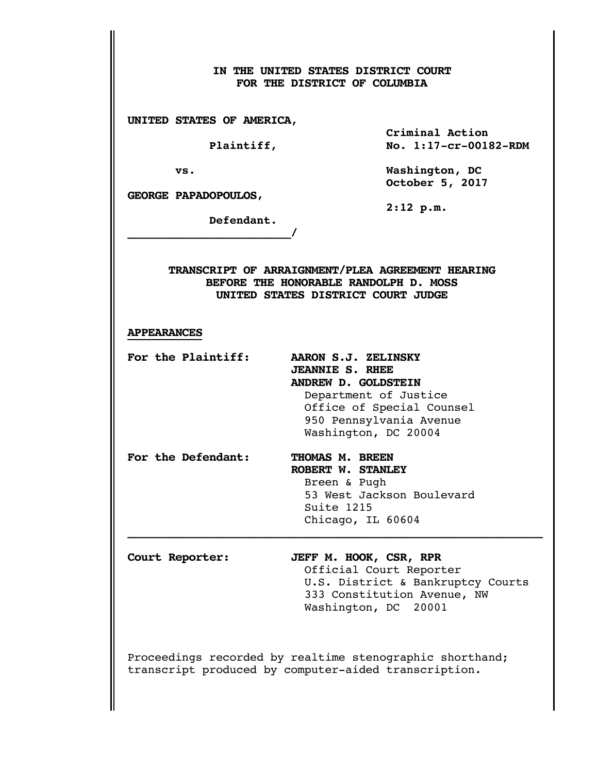## **IN THE UNITED STATES DISTRICT COURT FOR THE DISTRICT OF COLUMBIA**

**UNITED STATES OF AMERICA,**

**\_\_\_\_\_\_\_\_\_\_\_\_\_\_\_\_\_\_\_\_\_\_\_\_/**

 **Criminal Action Plaintiff, No. 1:17-cr-00182-RDM** 

 **vs. Washington, DC October 5, 2017**

**GEORGE PAPADOPOULOS,**

 **Defendant.**

 **2:12 p.m.**

**TRANSCRIPT OF ARRAIGNMENT/PLEA AGREEMENT HEARING BEFORE THE HONORABLE RANDOLPH D. MOSS UNITED STATES DISTRICT COURT JUDGE**

## **APPEARANCES**

**For the Plaintiff: AARON S.J. ZELINSKY**

- **JEANNIE S. RHEE ANDREW D. GOLDSTEIN** Department of Justice Office of Special Counsel 950 Pennsylvania Avenue Washington, DC 20004
- For the Defendant: THOMAS M. BREEN  **ROBERT W. STANLEY** Breen & Pugh 53 West Jackson Boulevard Suite 1215

 Chicago, IL 60604 **\_\_\_\_\_\_\_\_\_\_\_\_\_\_\_\_\_\_\_\_\_\_\_\_\_\_\_\_\_\_\_\_\_\_\_\_\_\_\_\_\_\_\_\_\_\_\_\_\_\_\_\_\_\_\_\_\_\_\_\_\_**

**Court Reporter: JEFF M. HOOK, CSR, RPR**

Official Court Reporter U.S. District & Bankruptcy Courts 333 Constitution Avenue, NW Washington, DC 20001

Proceedings recorded by realtime stenographic shorthand; transcript produced by computer-aided transcription.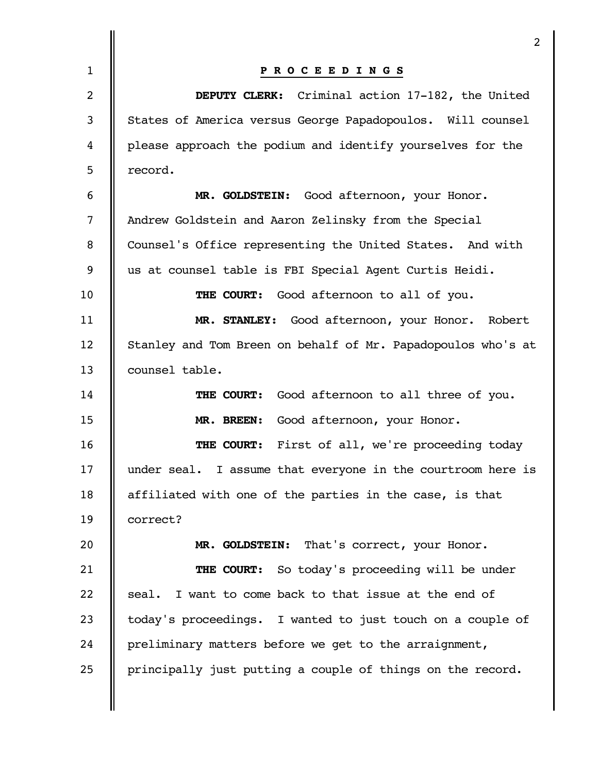| 2                                                            |
|--------------------------------------------------------------|
| PROCEEDINGS                                                  |
| DEPUTY CLERK: Criminal action 17-182, the United             |
| States of America versus George Papadopoulos. Will counsel   |
| please approach the podium and identify yourselves for the   |
| record.                                                      |
| MR. GOLDSTEIN: Good afternoon, your Honor.                   |
| Andrew Goldstein and Aaron Zelinsky from the Special         |
| Counsel's Office representing the United States. And with    |
| us at counsel table is FBI Special Agent Curtis Heidi.       |
| THE COURT: Good afternoon to all of you.                     |
| MR. STANLEY: Good afternoon, your Honor. Robert              |
| Stanley and Tom Breen on behalf of Mr. Papadopoulos who's at |
| counsel table.                                               |
| Good afternoon to all three of you.<br><b>THE COURT:</b>     |
| MR. BREEN: Good afternoon, your Honor.                       |
| First of all, we're proceeding today<br>THE COURT:           |
| under seal. I assume that everyone in the courtroom here is  |
| affiliated with one of the parties in the case, is that      |
| correct?                                                     |
| MR. GOLDSTEIN: That's correct, your Honor.                   |
| <b>THE COURT:</b> So today's proceeding will be under        |
| I want to come back to that issue at the end of<br>seal.     |
| today's proceedings. I wanted to just touch on a couple of   |
| preliminary matters before we get to the arraignment,        |
| principally just putting a couple of things on the record.   |
|                                                              |
|                                                              |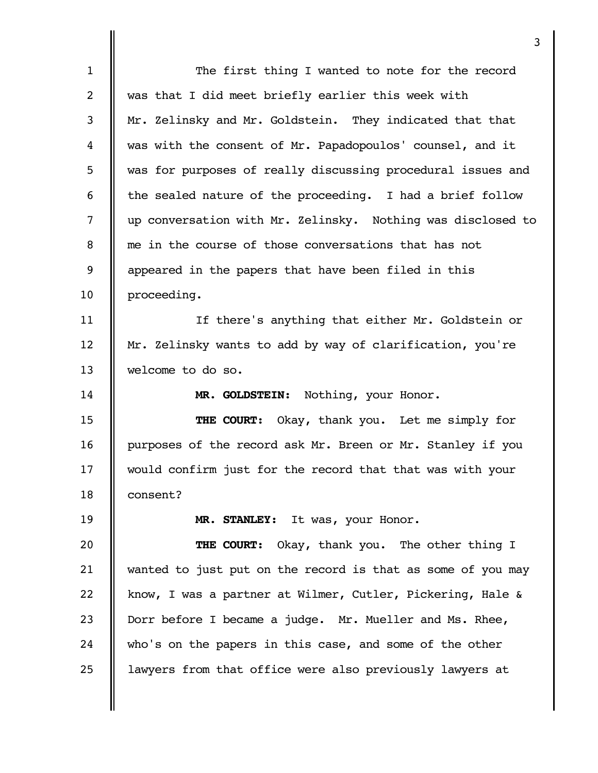|                | 3                                                           |
|----------------|-------------------------------------------------------------|
| $\mathbf{1}$   | The first thing I wanted to note for the record             |
| $\overline{2}$ | was that I did meet briefly earlier this week with          |
| 3              | Mr. Zelinsky and Mr. Goldstein. They indicated that that    |
| 4              | was with the consent of Mr. Papadopoulos' counsel, and it   |
| 5              | was for purposes of really discussing procedural issues and |
| 6              | the sealed nature of the proceeding. I had a brief follow   |
| $\overline{7}$ | up conversation with Mr. Zelinsky. Nothing was disclosed to |
| 8              | me in the course of those conversations that has not        |
| 9              | appeared in the papers that have been filed in this         |
| 10             | proceeding.                                                 |
| 11             | If there's anything that either Mr. Goldstein or            |
| 12             | Mr. Zelinsky wants to add by way of clarification, you're   |
| 13             | welcome to do so.                                           |
| 14             | MR. GOLDSTEIN: Nothing, your Honor.                         |
| 15             | THE COURT: Okay, thank you. Let me simply for               |
| 16             | purposes of the record ask Mr. Breen or Mr. Stanley if you  |
| 17             | would confirm just for the record that that was with your   |
| 18             | consent?                                                    |
| 19             | MR. STANLEY: It was, your Honor.                            |
| 20             | Okay, thank you. The other thing I<br>THE COURT:            |
| 21             | wanted to just put on the record is that as some of you may |
| 22             | know, I was a partner at Wilmer, Cutler, Pickering, Hale &  |
| 23             | Dorr before I became a judge. Mr. Mueller and Ms. Rhee,     |
| 24             | who's on the papers in this case, and some of the other     |
| 25             | lawyers from that office were also previously lawyers at    |
|                |                                                             |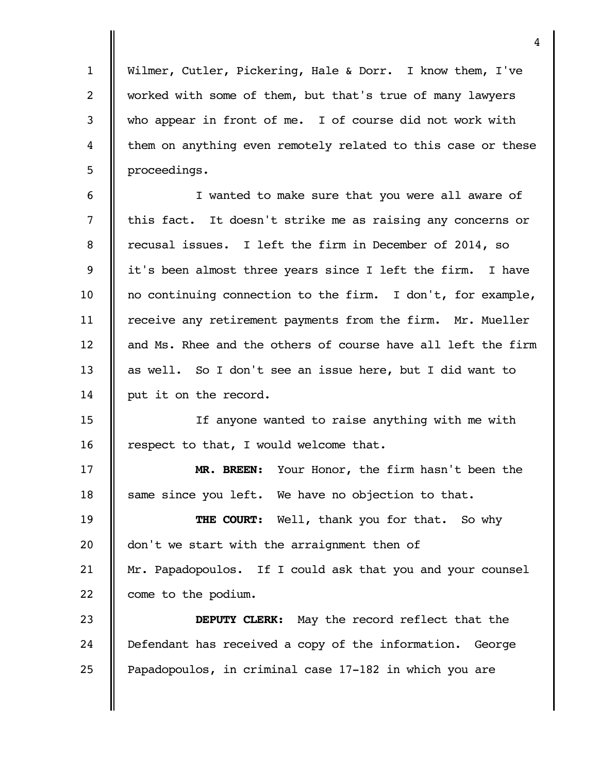Wilmer, Cutler, Pickering, Hale & Dorr. I know them, I've worked with some of them, but that's true of many lawyers who appear in front of me. I of course did not work with them on anything even remotely related to this case or these proceedings.

1

2

3

4

5

I wanted to make sure that you were all aware of this fact. It doesn't strike me as raising any concerns or recusal issues. I left the firm in December of 2014, so it's been almost three years since I left the firm. I have no continuing connection to the firm. I don't, for example, receive any retirement payments from the firm. Mr. Mueller and Ms. Rhee and the others of course have all left the firm as well. So I don't see an issue here, but I did want to put it on the record. 6 7 8 9 10 11 12 13 14

If anyone wanted to raise anything with me with respect to that, I would welcome that. 15 16

**MR. BREEN:** Your Honor, the firm hasn't been the same since you left. We have no objection to that. 17 18

**THE COURT:** Well, thank you for that. So why don't we start with the arraignment then of Mr. Papadopoulos. If I could ask that you and your counsel come to the podium. 19 20 21 22

**DEPUTY CLERK:** May the record reflect that the Defendant has received a copy of the information. George Papadopoulos, in criminal case 17-182 in which you are 23 24 25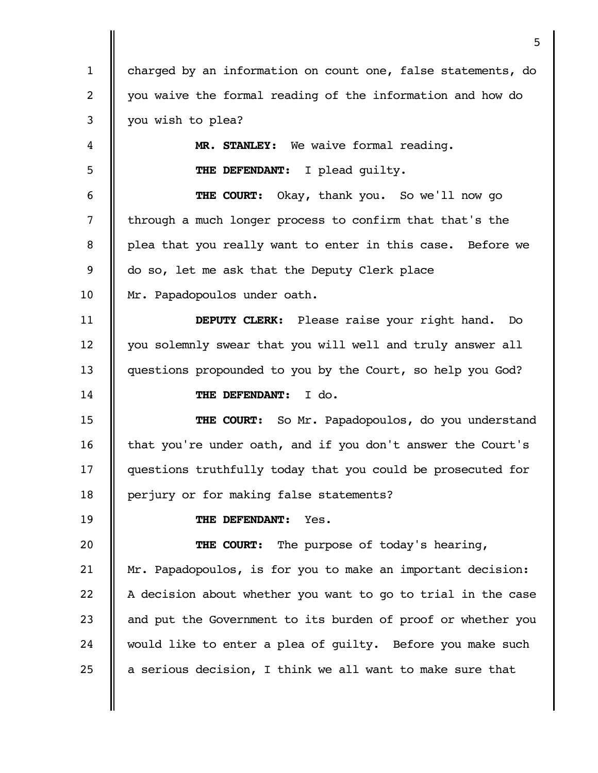charged by an information on count one, false statements, do you waive the formal reading of the information and how do you wish to plea? **MR. STANLEY:** We waive formal reading. **THE DEFENDANT:** I plead guilty. **THE COURT:** Okay, thank you. So we'll now go through a much longer process to confirm that that's the plea that you really want to enter in this case. Before we do so, let me ask that the Deputy Clerk place Mr. Papadopoulos under oath. **DEPUTY CLERK:** Please raise your right hand. Do you solemnly swear that you will well and truly answer all questions propounded to you by the Court, so help you God? **THE DEFENDANT:** I do. **THE COURT:** So Mr. Papadopoulos, do you understand that you're under oath, and if you don't answer the Court's questions truthfully today that you could be prosecuted for perjury or for making false statements? **THE DEFENDANT:** Yes. **THE COURT:** The purpose of today's hearing, Mr. Papadopoulos, is for you to make an important decision: A decision about whether you want to go to trial in the case and put the Government to its burden of proof or whether you would like to enter a plea of guilty. Before you make such a serious decision, I think we all want to make sure that 1 2 3 4 5 6 7 8 9 10 11 12 13 14 15 16 17 18 19 20 21 22 23 24 25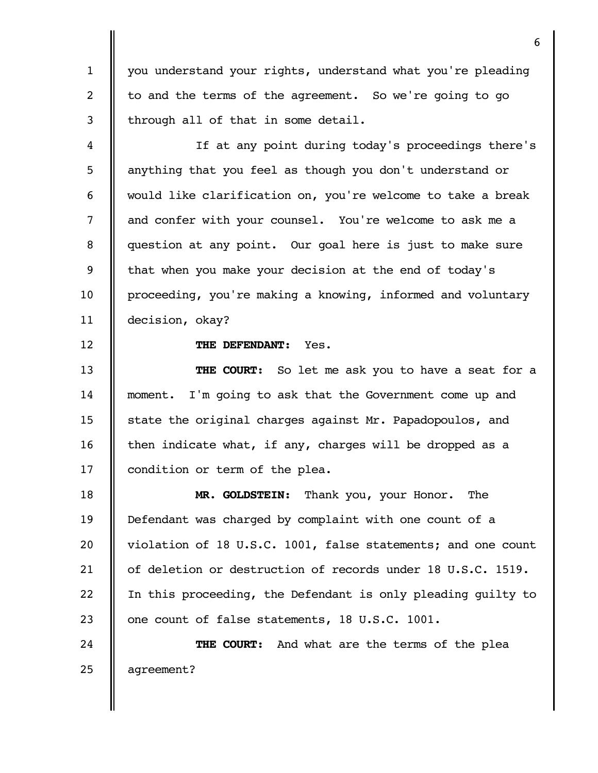you understand your rights, understand what you're pleading to and the terms of the agreement. So we're going to go through all of that in some detail.

If at any point during today's proceedings there's anything that you feel as though you don't understand or would like clarification on, you're welcome to take a break and confer with your counsel. You're welcome to ask me a question at any point. Our goal here is just to make sure that when you make your decision at the end of today's proceeding, you're making a knowing, informed and voluntary decision, okay? 4 5 6 7 8 9 10 11

**THE DEFENDANT:** Yes.

1

2

3

12

**THE COURT:** So let me ask you to have a seat for a moment. I'm going to ask that the Government come up and state the original charges against Mr. Papadopoulos, and then indicate what, if any, charges will be dropped as a condition or term of the plea. 13 14 15 16 17

**MR. GOLDSTEIN:** Thank you, your Honor. The Defendant was charged by complaint with one count of a violation of 18 U.S.C. 1001, false statements; and one count of deletion or destruction of records under 18 U.S.C. 1519. In this proceeding, the Defendant is only pleading guilty to one count of false statements, 18 U.S.C. 1001. 18 19 20 21 22 23

**THE COURT:** And what are the terms of the plea agreement? 24 25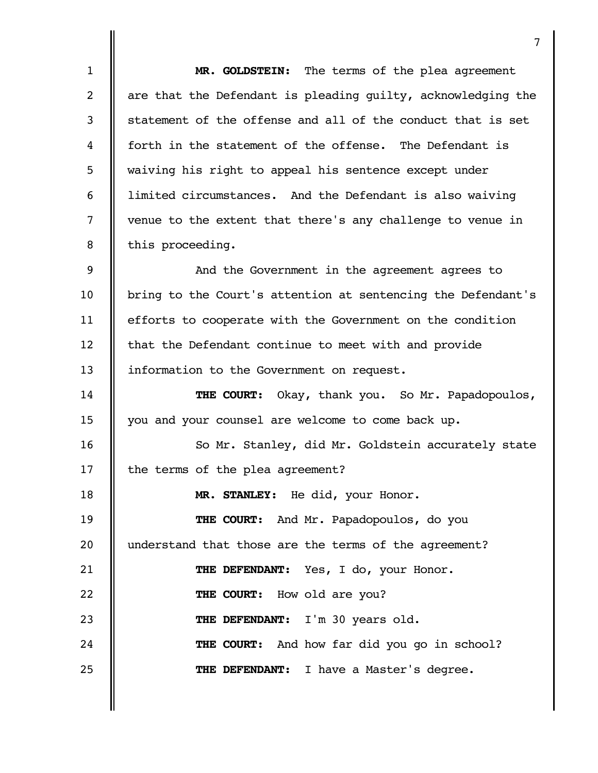|                | 7                                                            |
|----------------|--------------------------------------------------------------|
| $\mathbf{1}$   | MR. GOLDSTEIN: The terms of the plea agreement               |
| $\overline{2}$ | are that the Defendant is pleading guilty, acknowledging the |
| 3              | statement of the offense and all of the conduct that is set  |
| 4              | forth in the statement of the offense. The Defendant is      |
| 5              | waiving his right to appeal his sentence except under        |
| 6              | limited circumstances. And the Defendant is also waiving     |
| $\overline{7}$ | venue to the extent that there's any challenge to venue in   |
| 8              | this proceeding.                                             |
| 9              | And the Government in the agreement agrees to                |
| 10             | bring to the Court's attention at sentencing the Defendant's |
| 11             | efforts to cooperate with the Government on the condition    |
| 12             | that the Defendant continue to meet with and provide         |
| 13             | information to the Government on request.                    |
| 14             | THE COURT: Okay, thank you. So Mr. Papadopoulos,             |
| 15             | you and your counsel are welcome to come back up.            |
| 16             | So Mr. Stanley, did Mr. Goldstein accurately state           |
| 17             | the terms of the plea agreement?                             |
| 18             | MR. STANLEY: He did, your Honor.                             |
| 19             | THE COURT: And Mr. Papadopoulos, do you                      |
| 20             | understand that those are the terms of the agreement?        |
| 21             | THE DEFENDANT: Yes, I do, your Honor.                        |
| 22             | THE COURT: How old are you?                                  |
| 23             | THE DEFENDANT: I'm 30 years old.                             |
| 24             | <b>THE COURT:</b> And how far did you go in school?          |
| 25             | THE DEFENDANT: I have a Master's degree.                     |
|                |                                                              |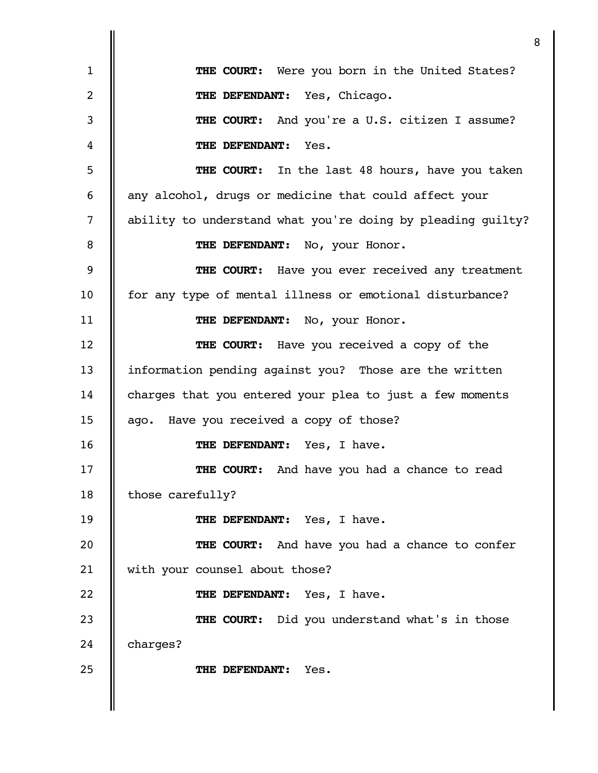|              | 8                                                           |
|--------------|-------------------------------------------------------------|
| $\mathbf{1}$ | <b>THE COURT:</b> Were you born in the United States?       |
| 2            | THE DEFENDANT: Yes, Chicago.                                |
| 3            | THE COURT: And you're a U.S. citizen I assume?              |
| 4            | THE DEFENDANT:<br>Yes.                                      |
| 5            | <b>THE COURT:</b> In the last 48 hours, have you taken      |
| 6            | any alcohol, drugs or medicine that could affect your       |
| 7            | ability to understand what you're doing by pleading guilty? |
| 8            | THE DEFENDANT: No, your Honor.                              |
| 9            | <b>THE COURT:</b> Have you ever received any treatment      |
| 10           | for any type of mental illness or emotional disturbance?    |
| 11           | THE DEFENDANT: No, your Honor.                              |
| 12           | <b>THE COURT:</b> Have you received a copy of the           |
| 13           | information pending against you? Those are the written      |
| 14           | charges that you entered your plea to just a few moments    |
| 15           | ago. Have you received a copy of those?                     |
| 16           | THE DEFENDANT: Yes, I have.                                 |
| 17           | THE COURT: And have you had a chance to read                |
| 18           | those carefully?                                            |
| 19           | THE DEFENDANT: Yes, I have.                                 |
| 20           | THE COURT: And have you had a chance to confer              |
| 21           | with your counsel about those?                              |
| 22           | THE DEFENDANT: Yes, I have.                                 |
| 23           | THE COURT: Did you understand what's in those               |
| 24           | charges?                                                    |
| 25           | Yes.<br>THE DEFENDANT:                                      |
|              |                                                             |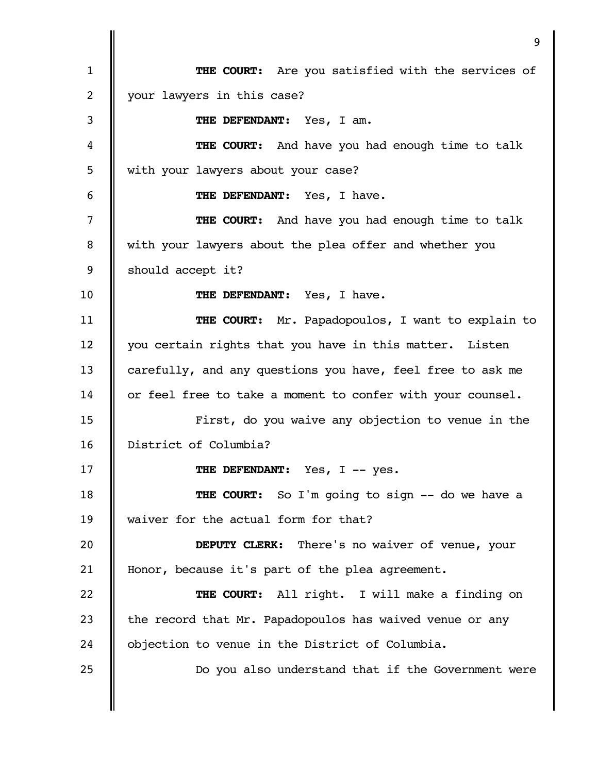|              | 9                                                          |
|--------------|------------------------------------------------------------|
| $\mathbf{1}$ | <b>THE COURT:</b> Are you satisfied with the services of   |
| 2            | your lawyers in this case?                                 |
| 3            | THE DEFENDANT:<br>Yes, I am.                               |
| 4            | <b>THE COURT:</b> And have you had enough time to talk     |
| 5            | with your lawyers about your case?                         |
| 6            | THE DEFENDANT: Yes, I have.                                |
| 7            | <b>THE COURT:</b> And have you had enough time to talk     |
| 8            | with your lawyers about the plea offer and whether you     |
| 9            | should accept it?                                          |
| 10           | THE DEFENDANT: Yes, I have.                                |
| 11           | THE COURT: Mr. Papadopoulos, I want to explain to          |
| 12           | you certain rights that you have in this matter. Listen    |
| 13           | carefully, and any questions you have, feel free to ask me |
| 14           | or feel free to take a moment to confer with your counsel. |
| 15           | First, do you waive any objection to venue in the          |
| 16           | District of Columbia?                                      |
| 17           | THE DEFENDANT: Yes, I -- yes.                              |
| 18           | THE COURT: So I'm going to sign -- do we have a            |
| 19           | waiver for the actual form for that?                       |
| 20           | <b>DEPUTY CLERK:</b> There's no waiver of venue, your      |
| 21           | Honor, because it's part of the plea agreement.            |
| 22           | THE COURT: All right. I will make a finding on             |
| 23           | the record that Mr. Papadopoulos has waived venue or any   |
| 24           | objection to venue in the District of Columbia.            |
| 25           | Do you also understand that if the Government were         |
|              |                                                            |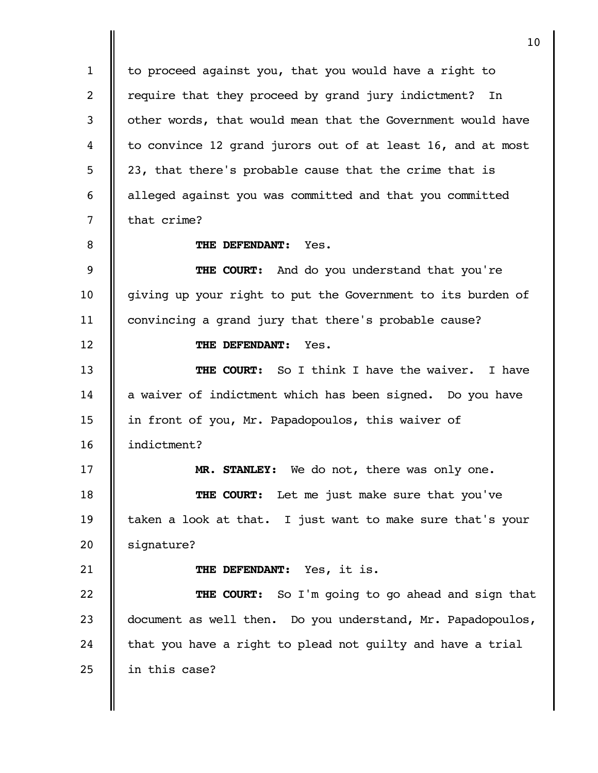to proceed against you, that you would have a right to require that they proceed by grand jury indictment? In other words, that would mean that the Government would have to convince 12 grand jurors out of at least 16, and at most 23, that there's probable cause that the crime that is alleged against you was committed and that you committed that crime? **THE DEFENDANT:** Yes. **THE COURT:** And do you understand that you're giving up your right to put the Government to its burden of convincing a grand jury that there's probable cause? **THE DEFENDANT:** Yes. **THE COURT:** So I think I have the waiver. I have a waiver of indictment which has been signed. Do you have in front of you, Mr. Papadopoulos, this waiver of indictment? **MR. STANLEY:** We do not, there was only one. **THE COURT:** Let me just make sure that you've taken a look at that. I just want to make sure that's your signature? **THE DEFENDANT:** Yes, it is. **THE COURT:** So I'm going to go ahead and sign that document as well then. Do you understand, Mr. Papadopoulos, that you have a right to plead not guilty and have a trial in this case? 1 2 3 4 5 6 7 8 9 10 11 12 13 14 15 16 17 18 19 20 21 22 23 24 25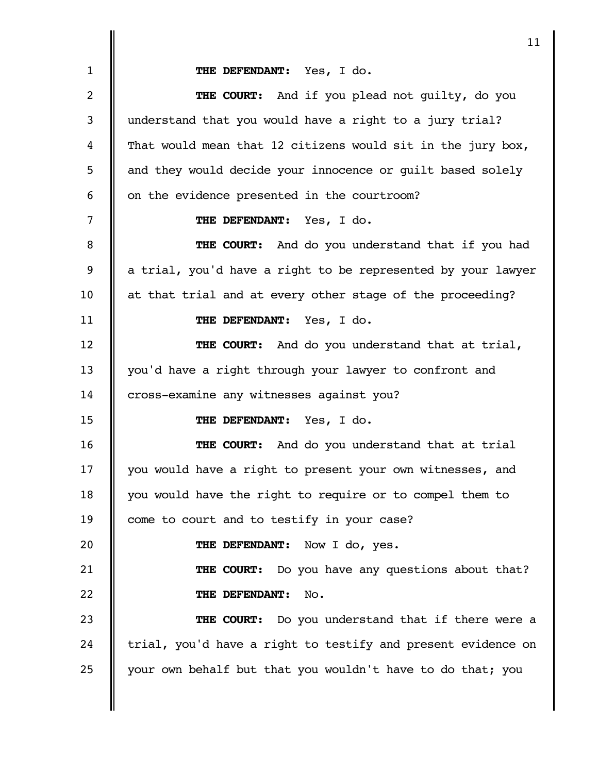**THE DEFENDANT:** Yes, I do. **THE COURT:** And if you plead not guilty, do you understand that you would have a right to a jury trial? That would mean that 12 citizens would sit in the jury box, and they would decide your innocence or guilt based solely on the evidence presented in the courtroom? **THE DEFENDANT:** Yes, I do. **THE COURT:** And do you understand that if you had a trial, you'd have a right to be represented by your lawyer at that trial and at every other stage of the proceeding? **THE DEFENDANT:** Yes, I do. **THE COURT:** And do you understand that at trial, you'd have a right through your lawyer to confront and cross-examine any witnesses against you? **THE DEFENDANT:** Yes, I do. **THE COURT:** And do you understand that at trial you would have a right to present your own witnesses, and you would have the right to require or to compel them to come to court and to testify in your case? **THE DEFENDANT:** Now I do, yes. **THE COURT:** Do you have any questions about that? **THE DEFENDANT:** No. **THE COURT:** Do you understand that if there were a trial, you'd have a right to testify and present evidence on your own behalf but that you wouldn't have to do that; you 1 2 3 4 5 6 7 8 9 10 11 12 13 14 15 16 17 18 19 20 21 22 23 24 25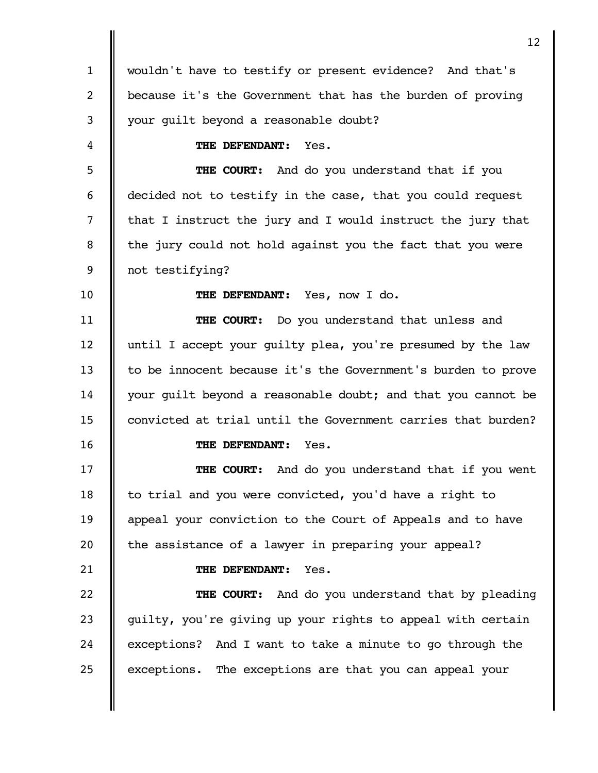|              | 12                                                           |
|--------------|--------------------------------------------------------------|
| $\mathbf{1}$ | wouldn't have to testify or present evidence? And that's     |
| 2            | because it's the Government that has the burden of proving   |
| 3            | your guilt beyond a reasonable doubt?                        |
| 4            | THE DEFENDANT:<br>Yes.                                       |
| 5            | And do you understand that if you<br>THE COURT:              |
| 6            | decided not to testify in the case, that you could request   |
| 7            | that I instruct the jury and I would instruct the jury that  |
| 8            | the jury could not hold against you the fact that you were   |
| 9            | not testifying?                                              |
| 10           | THE DEFENDANT: Yes, now I do.                                |
| 11           | <b>THE COURT:</b> Do you understand that unless and          |
| 12           | until I accept your guilty plea, you're presumed by the law  |
| 13           | to be innocent because it's the Government's burden to prove |
| 14           | your guilt beyond a reasonable doubt; and that you cannot be |
| 15           | convicted at trial until the Government carries that burden? |
| 16           | THE DEFENDANT:<br>Yes.                                       |
| 17           | THE COURT: And do you understand that if you went            |
| 18           | to trial and you were convicted, you'd have a right to       |
| 19           | appeal your conviction to the Court of Appeals and to have   |
| 20           | the assistance of a lawyer in preparing your appeal?         |
| 21           | THE DEFENDANT:<br>Yes.                                       |
| 22           | <b>THE COURT:</b> And do you understand that by pleading     |
| 23           | guilty, you're giving up your rights to appeal with certain  |
| 24           | exceptions? And I want to take a minute to go through the    |
| 25           | exceptions. The exceptions are that you can appeal your      |
|              |                                                              |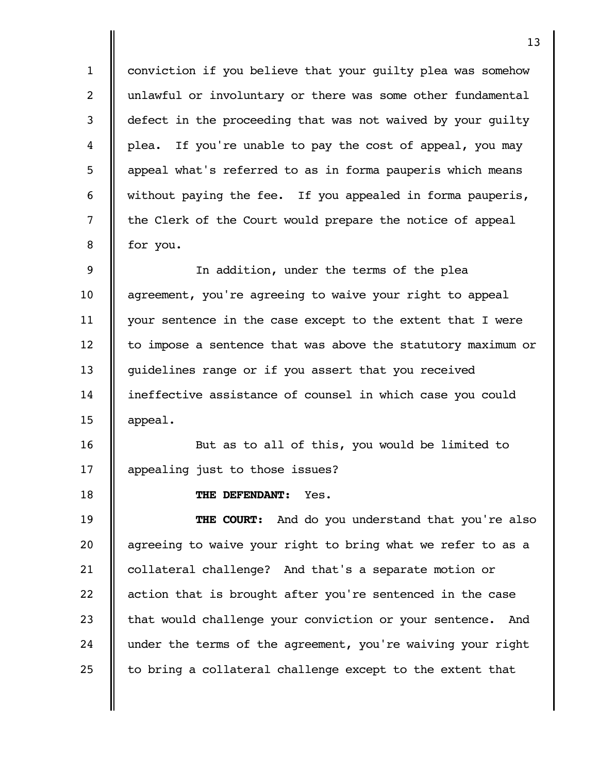conviction if you believe that your guilty plea was somehow unlawful or involuntary or there was some other fundamental defect in the proceeding that was not waived by your guilty plea. If you're unable to pay the cost of appeal, you may appeal what's referred to as in forma pauperis which means without paying the fee. If you appealed in forma pauperis, the Clerk of the Court would prepare the notice of appeal for you. 1 2 3 4 5 6 7 8

In addition, under the terms of the plea agreement, you're agreeing to waive your right to appeal your sentence in the case except to the extent that I were to impose a sentence that was above the statutory maximum or guidelines range or if you assert that you received ineffective assistance of counsel in which case you could appeal. 9 10 11 12 13 14 15

But as to all of this, you would be limited to appealing just to those issues? 16 17

**THE DEFENDANT:** Yes.

18

**THE COURT:** And do you understand that you're also agreeing to waive your right to bring what we refer to as a collateral challenge? And that's a separate motion or action that is brought after you're sentenced in the case that would challenge your conviction or your sentence. And under the terms of the agreement, you're waiving your right to bring a collateral challenge except to the extent that 19 20 21 22 23 24 25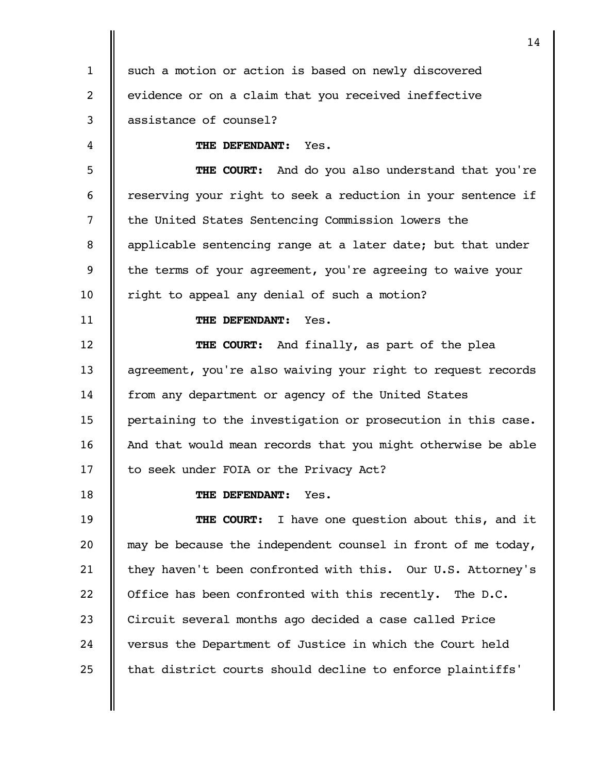such a motion or action is based on newly discovered evidence or on a claim that you received ineffective assistance of counsel? 1 2 3

**THE DEFENDANT:** Yes.

**THE COURT:** And do you also understand that you're reserving your right to seek a reduction in your sentence if the United States Sentencing Commission lowers the applicable sentencing range at a later date; but that under the terms of your agreement, you're agreeing to waive your right to appeal any denial of such a motion? 5 6 7 8 9 10

**THE DEFENDANT:** Yes.

**THE COURT:** And finally, as part of the plea agreement, you're also waiving your right to request records from any department or agency of the United States pertaining to the investigation or prosecution in this case. And that would mean records that you might otherwise be able to seek under FOIA or the Privacy Act? 12 13 14 15 16 17

18

11

4

**THE DEFENDANT:** Yes.

**THE COURT:** I have one question about this, and it may be because the independent counsel in front of me today, they haven't been confronted with this. Our U.S. Attorney's Office has been confronted with this recently. The D.C. Circuit several months ago decided a case called Price versus the Department of Justice in which the Court held that district courts should decline to enforce plaintiffs' 19 20 21 22 23 24 25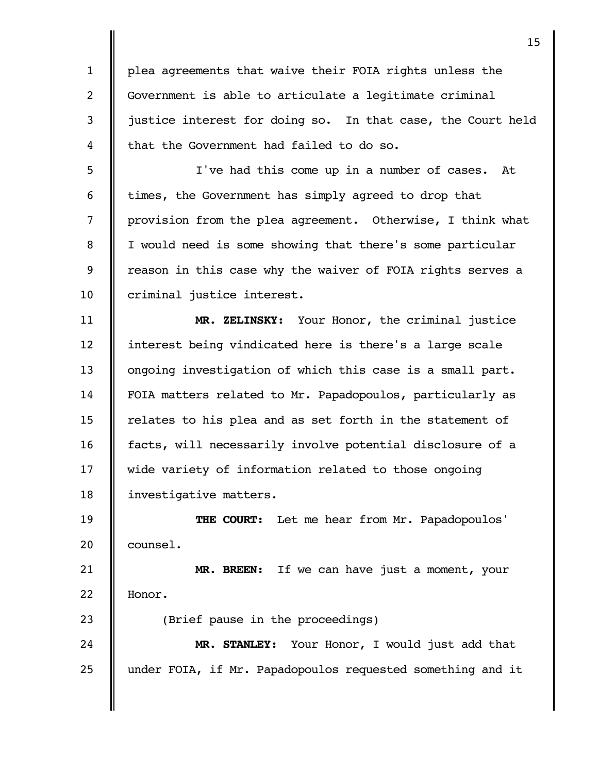plea agreements that waive their FOIA rights unless the Government is able to articulate a legitimate criminal justice interest for doing so. In that case, the Court held that the Government had failed to do so. 1 2 3 4

I've had this come up in a number of cases. At times, the Government has simply agreed to drop that provision from the plea agreement. Otherwise, I think what I would need is some showing that there's some particular reason in this case why the waiver of FOIA rights serves a criminal justice interest. 5 6 7 8 9 10

**MR. ZELINSKY:** Your Honor, the criminal justice interest being vindicated here is there's a large scale ongoing investigation of which this case is a small part. FOIA matters related to Mr. Papadopoulos, particularly as relates to his plea and as set forth in the statement of facts, will necessarily involve potential disclosure of a wide variety of information related to those ongoing investigative matters. 11 12 13 14 15 16 17 18

**THE COURT:** Let me hear from Mr. Papadopoulos' counsel. 19 20

**MR. BREEN:** If we can have just a moment, your Honor. 21 22

(Brief pause in the proceedings)

23

**MR. STANLEY:** Your Honor, I would just add that under FOIA, if Mr. Papadopoulos requested something and it 24 25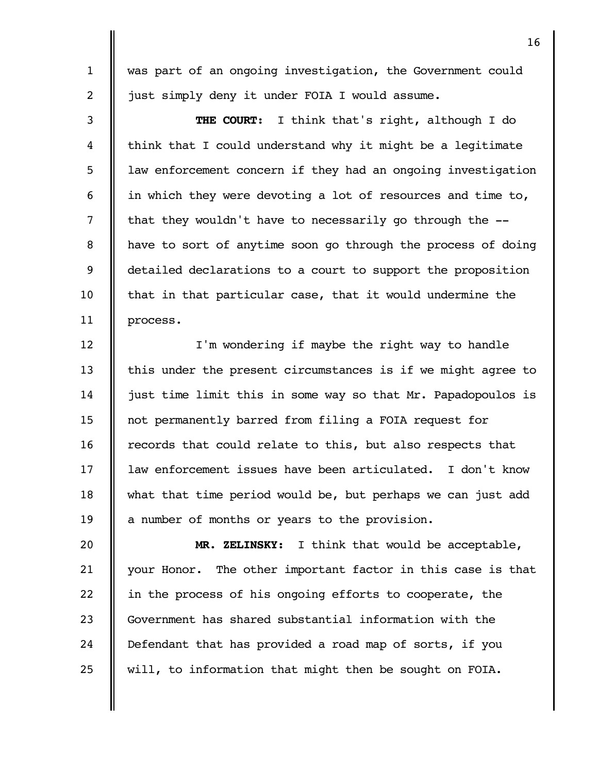was part of an ongoing investigation, the Government could just simply deny it under FOIA I would assume.

1

2

**THE COURT:** I think that's right, although I do think that I could understand why it might be a legitimate law enforcement concern if they had an ongoing investigation in which they were devoting a lot of resources and time to, that they wouldn't have to necessarily go through the - have to sort of anytime soon go through the process of doing detailed declarations to a court to support the proposition that in that particular case, that it would undermine the process. 3 4 5 6 7 8 9 10 11

I'm wondering if maybe the right way to handle this under the present circumstances is if we might agree to just time limit this in some way so that Mr. Papadopoulos is not permanently barred from filing a FOIA request for records that could relate to this, but also respects that law enforcement issues have been articulated. I don't know what that time period would be, but perhaps we can just add a number of months or years to the provision. 12 13 14 15 16 17 18 19

**MR. ZELINSKY:** I think that would be acceptable, your Honor. The other important factor in this case is that in the process of his ongoing efforts to cooperate, the Government has shared substantial information with the Defendant that has provided a road map of sorts, if you will, to information that might then be sought on FOIA. 20 21 22 23 24 25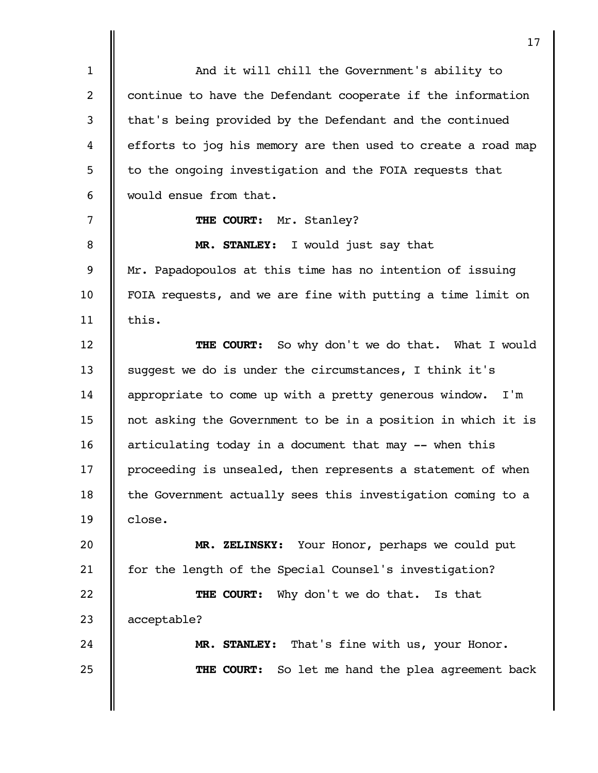And it will chill the Government's ability to continue to have the Defendant cooperate if the information that's being provided by the Defendant and the continued efforts to jog his memory are then used to create a road map to the ongoing investigation and the FOIA requests that would ensue from that. **THE COURT:** Mr. Stanley? **MR. STANLEY:** I would just say that Mr. Papadopoulos at this time has no intention of issuing FOIA requests, and we are fine with putting a time limit on this. **THE COURT:** So why don't we do that. What I would suggest we do is under the circumstances, I think it's appropriate to come up with a pretty generous window. I'm not asking the Government to be in a position in which it is articulating today in a document that may -- when this proceeding is unsealed, then represents a statement of when the Government actually sees this investigation coming to a close. **MR. ZELINSKY:** Your Honor, perhaps we could put for the length of the Special Counsel's investigation? **THE COURT:** Why don't we do that. Is that acceptable? **MR. STANLEY:** That's fine with us, your Honor. **THE COURT:** So let me hand the plea agreement back 1 2 3 4 5 6 7 8 9 10 11 12 13 14 15 16 17 18 19 20 21 22 23 24 25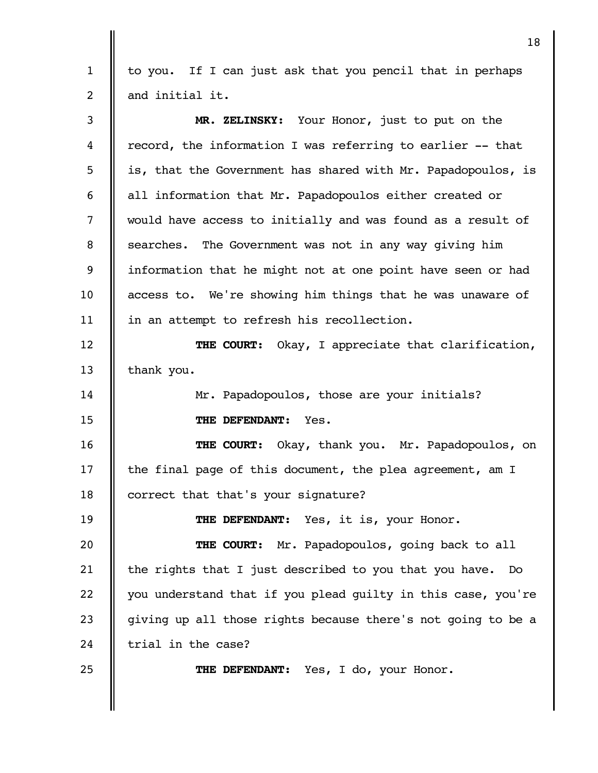to you. If I can just ask that you pencil that in perhaps and initial it. 1 2

| 3  | MR. ZELINSKY: Your Honor, just to put on the                 |
|----|--------------------------------------------------------------|
| 4  | record, the information I was referring to earlier -- that   |
| 5  | is, that the Government has shared with Mr. Papadopoulos, is |
| 6  | all information that Mr. Papadopoulos either created or      |
| 7  | would have access to initially and was found as a result of  |
| 8  | searches. The Government was not in any way giving him       |
| 9  | information that he might not at one point have seen or had  |
| 10 | access to. We're showing him things that he was unaware of   |
| 11 | in an attempt to refresh his recollection.                   |
| 12 | <b>THE COURT:</b> Okay, I appreciate that clarification,     |
| 13 | thank you.                                                   |
| 14 | Mr. Papadopoulos, those are your initials?                   |
| 15 | THE DEFENDANT: Yes.                                          |
| 16 | THE COURT: Okay, thank you. Mr. Papadopoulos, on             |
| 17 | the final page of this document, the plea agreement, am I    |
| 18 | correct that that's your signature?                          |
| 19 | THE DEFENDANT: Yes, it is, your Honor.                       |
| 20 | THE COURT: Mr. Papadopoulos, going back to all               |
| 21 | the rights that I just described to you that you have.<br>DO |
| 22 | you understand that if you plead guilty in this case, you're |
| 23 | giving up all those rights because there's not going to be a |
| 24 | trial in the case?                                           |
| 25 | THE DEFENDANT:<br>Yes, I do, your Honor.                     |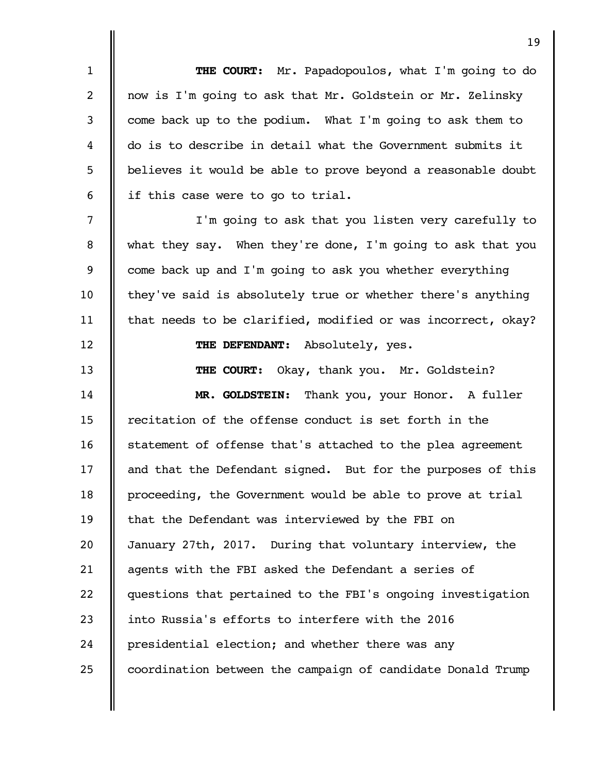|                | 19                                                           |
|----------------|--------------------------------------------------------------|
| $\mathbf{1}$   | THE COURT: Mr. Papadopoulos, what I'm going to do            |
| 2              | now is I'm going to ask that Mr. Goldstein or Mr. Zelinsky   |
| 3              | come back up to the podium. What I'm going to ask them to    |
| 4              | do is to describe in detail what the Government submits it   |
| 5              | believes it would be able to prove beyond a reasonable doubt |
| 6              | if this case were to go to trial.                            |
| $\overline{7}$ | I'm going to ask that you listen very carefully to           |
| 8              | what they say. When they're done, I'm going to ask that you  |
| 9              | come back up and I'm going to ask you whether everything     |
| 10             | they've said is absolutely true or whether there's anything  |
| 11             | that needs to be clarified, modified or was incorrect, okay? |
| 12             | THE DEFENDANT: Absolutely, yes.                              |
| 13             | Okay, thank you. Mr. Goldstein?<br>THE COURT:                |
| 14             | Thank you, your Honor. A fuller<br><b>MR. GOLDSTEIN:</b>     |
| 15             | recitation of the offense conduct is set forth in the        |
| 16             | statement of offense that's attached to the plea agreement   |
| 17             | and that the Defendant signed. But for the purposes of this  |
| 18             | proceeding, the Government would be able to prove at trial   |
| 19             | that the Defendant was interviewed by the FBI on             |
| 20             | January 27th, 2017. During that voluntary interview, the     |
| 21             | agents with the FBI asked the Defendant a series of          |
| 22             | questions that pertained to the FBI's ongoing investigation  |
| 23             | into Russia's efforts to interfere with the 2016             |
| 24             | presidential election; and whether there was any             |
| 25             | coordination between the campaign of candidate Donald Trump  |
|                |                                                              |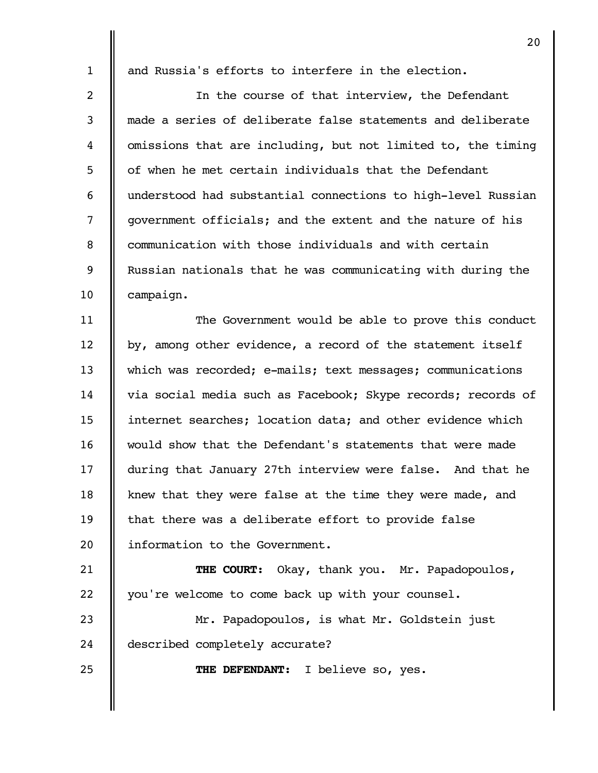25

and Russia's efforts to interfere in the election.

In the course of that interview, the Defendant made a series of deliberate false statements and deliberate omissions that are including, but not limited to, the timing of when he met certain individuals that the Defendant understood had substantial connections to high-level Russian government officials; and the extent and the nature of his communication with those individuals and with certain Russian nationals that he was communicating with during the campaign. 2 3 4 5 6 7 8 9 10

The Government would be able to prove this conduct by, among other evidence, a record of the statement itself which was recorded; e-mails; text messages; communications via social media such as Facebook; Skype records; records of internet searches; location data; and other evidence which would show that the Defendant's statements that were made during that January 27th interview were false. And that he knew that they were false at the time they were made, and that there was a deliberate effort to provide false information to the Government. 11 12 13 14 15 16 17 18 19 20

**THE COURT:** Okay, thank you. Mr. Papadopoulos, you're welcome to come back up with your counsel. 21 22

Mr. Papadopoulos, is what Mr. Goldstein just described completely accurate? 23 24

**THE DEFENDANT:** I believe so, yes.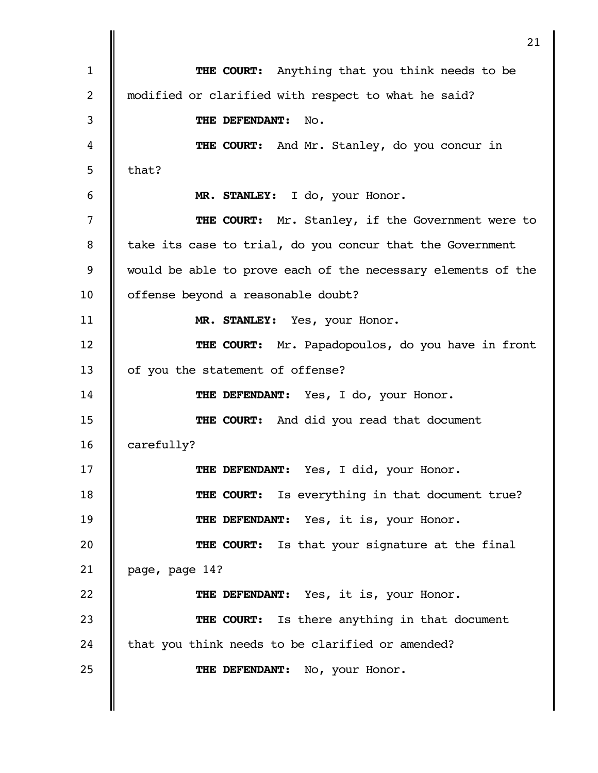|    | 21                                                           |
|----|--------------------------------------------------------------|
| 1  | Anything that you think needs to be<br>THE COURT:            |
| 2  | modified or clarified with respect to what he said?          |
| 3  | THE DEFENDANT:<br>No.                                        |
| 4  | THE COURT: And Mr. Stanley, do you concur in                 |
| 5  | that?                                                        |
| 6  | MR. STANLEY: I do, your Honor.                               |
| 7  | THE COURT: Mr. Stanley, if the Government were to            |
| 8  | take its case to trial, do you concur that the Government    |
| 9  | would be able to prove each of the necessary elements of the |
| 10 | offense beyond a reasonable doubt?                           |
| 11 | MR. STANLEY: Yes, your Honor.                                |
| 12 | <b>THE COURT:</b> Mr. Papadopoulos, do you have in front     |
| 13 | of you the statement of offense?                             |
| 14 | THE DEFENDANT: Yes, I do, your Honor.                        |
| 15 | <b>THE COURT:</b> And did you read that document             |
| 16 | carefully?                                                   |
| 17 | THE DEFENDANT: Yes, I did, your Honor.                       |
| 18 | THE COURT: Is everything in that document true?              |
| 19 | THE DEFENDANT: Yes, it is, your Honor.                       |
| 20 | THE COURT: Is that your signature at the final               |
| 21 | page, page 14?                                               |
| 22 | THE DEFENDANT: Yes, it is, your Honor.                       |
| 23 | <b>THE COURT:</b> Is there anything in that document         |
| 24 | that you think needs to be clarified or amended?             |
| 25 | THE DEFENDANT: No, your Honor.                               |
|    |                                                              |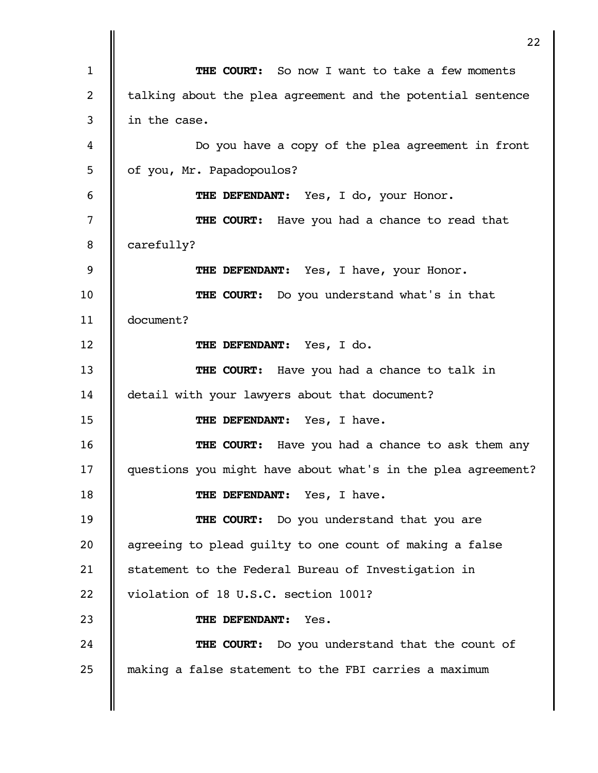**THE COURT:** So now I want to take a few moments talking about the plea agreement and the potential sentence in the case. Do you have a copy of the plea agreement in front of you, Mr. Papadopoulos? **THE DEFENDANT:** Yes, I do, your Honor. **THE COURT:** Have you had a chance to read that carefully? **THE DEFENDANT:** Yes, I have, your Honor. **THE COURT:** Do you understand what's in that document? **THE DEFENDANT:** Yes, I do. **THE COURT:** Have you had a chance to talk in detail with your lawyers about that document? **THE DEFENDANT:** Yes, I have. **THE COURT:** Have you had a chance to ask them any questions you might have about what's in the plea agreement? **THE DEFENDANT:** Yes, I have. **THE COURT:** Do you understand that you are agreeing to plead guilty to one count of making a false statement to the Federal Bureau of Investigation in violation of 18 U.S.C. section 1001? **THE DEFENDANT:** Yes. **THE COURT:** Do you understand that the count of making a false statement to the FBI carries a maximum 1 2 3 4 5 6 7 8 9 10 11 12 13 14 15 16 17 18 19 20 21 22 23 24 25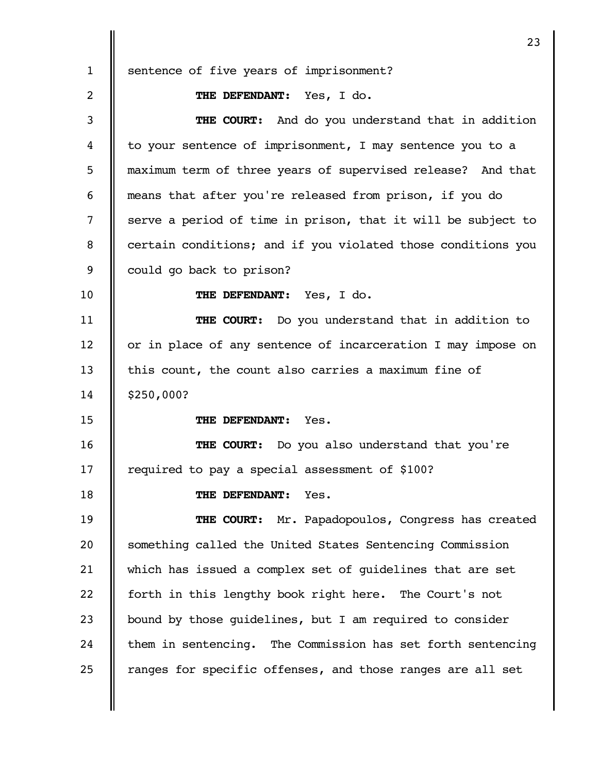sentence of five years of imprisonment? **THE DEFENDANT:** Yes, I do. **THE COURT:** And do you understand that in addition to your sentence of imprisonment, I may sentence you to a maximum term of three years of supervised release? And that means that after you're released from prison, if you do serve a period of time in prison, that it will be subject to certain conditions; and if you violated those conditions you could go back to prison? **THE DEFENDANT:** Yes, I do. **THE COURT:** Do you understand that in addition to or in place of any sentence of incarceration I may impose on this count, the count also carries a maximum fine of \$250,000? **THE DEFENDANT:** Yes. **THE COURT:** Do you also understand that you're required to pay a special assessment of \$100? **THE DEFENDANT:** Yes. **THE COURT:** Mr. Papadopoulos, Congress has created something called the United States Sentencing Commission which has issued a complex set of guidelines that are set forth in this lengthy book right here. The Court's not bound by those guidelines, but I am required to consider them in sentencing. The Commission has set forth sentencing ranges for specific offenses, and those ranges are all set 1 2 3 4 5 6 7 8 9 10 11 12 13 14 15 16 17 18 19 20 21 22 23 24 25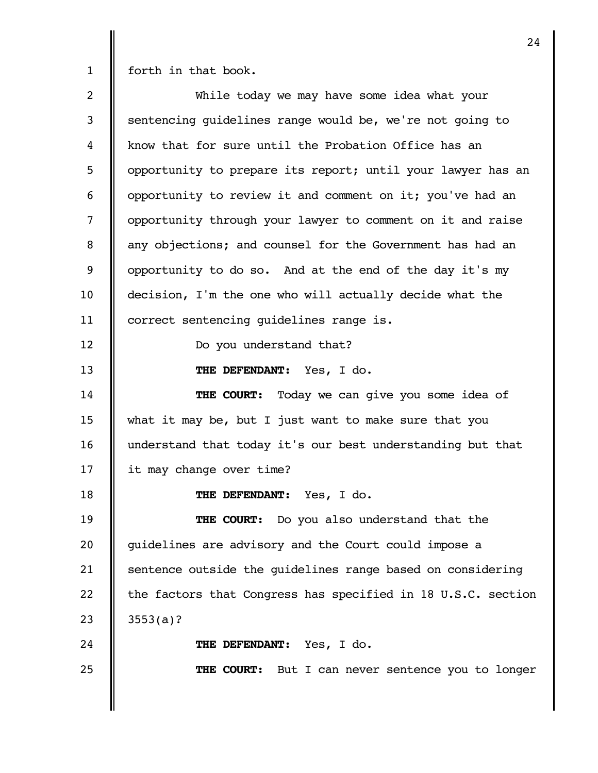forth in that book.

While today we may have some idea what your sentencing guidelines range would be, we're not going to know that for sure until the Probation Office has an opportunity to prepare its report; until your lawyer has an opportunity to review it and comment on it; you've had an opportunity through your lawyer to comment on it and raise any objections; and counsel for the Government has had an opportunity to do so. And at the end of the day it's my decision, I'm the one who will actually decide what the correct sentencing guidelines range is. Do you understand that? **THE DEFENDANT:** Yes, I do. **THE COURT:** Today we can give you some idea of what it may be, but I just want to make sure that you understand that today it's our best understanding but that it may change over time? **THE DEFENDANT:** Yes, I do. **THE COURT:** Do you also understand that the guidelines are advisory and the Court could impose a sentence outside the guidelines range based on considering the factors that Congress has specified in 18 U.S.C. section 3553(a)? **THE DEFENDANT:** Yes, I do. **THE COURT:** But I can never sentence you to longer 2 3 4 5 6 7 8 9 10 11 12 13 14 15 16 17 18 19 20 21 22 23 24 25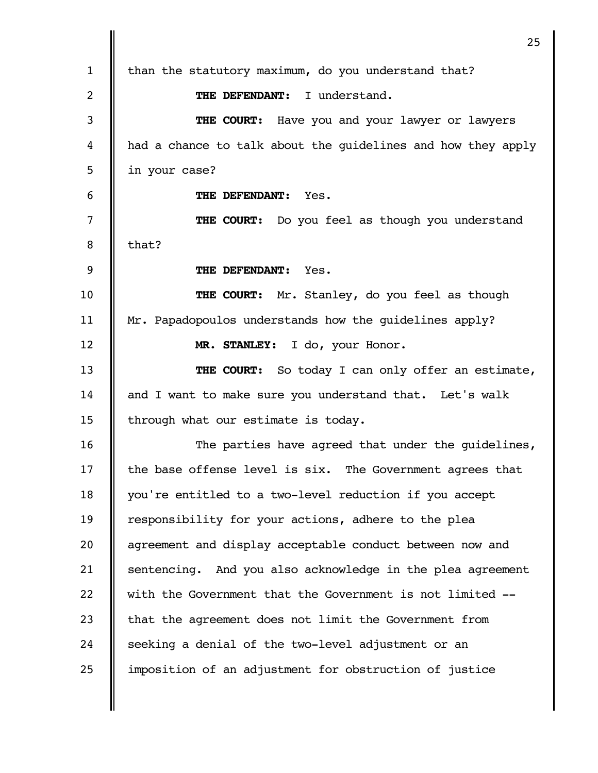than the statutory maximum, do you understand that? **THE DEFENDANT:** I understand. **THE COURT:** Have you and your lawyer or lawyers had a chance to talk about the guidelines and how they apply in your case? **THE DEFENDANT:** Yes. **THE COURT:** Do you feel as though you understand that? **THE DEFENDANT:** Yes. **THE COURT:** Mr. Stanley, do you feel as though Mr. Papadopoulos understands how the guidelines apply? **MR. STANLEY:** I do, your Honor. **THE COURT:** So today I can only offer an estimate, and I want to make sure you understand that. Let's walk through what our estimate is today. The parties have agreed that under the guidelines, the base offense level is six. The Government agrees that you're entitled to a two-level reduction if you accept responsibility for your actions, adhere to the plea agreement and display acceptable conduct between now and sentencing. And you also acknowledge in the plea agreement with the Government that the Government is not limited - that the agreement does not limit the Government from seeking a denial of the two-level adjustment or an imposition of an adjustment for obstruction of justice 1 2 3 4 5 6 7 8 9 10 11 12 13 14 15 16 17 18 19 20 21 22 23 24 25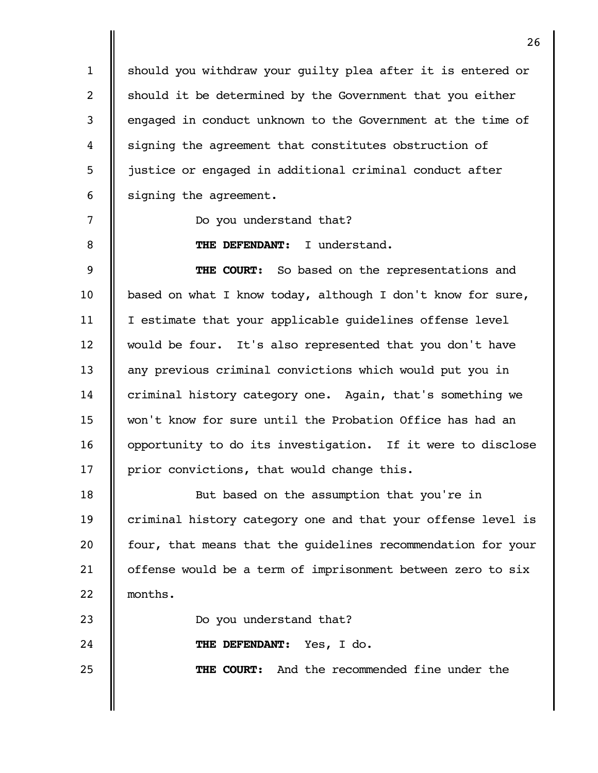should you withdraw your guilty plea after it is entered or should it be determined by the Government that you either engaged in conduct unknown to the Government at the time of signing the agreement that constitutes obstruction of justice or engaged in additional criminal conduct after signing the agreement. 1 2 3 4 5 6

Do you understand that?

7

8

23

24

25

**THE DEFENDANT:** I understand.

**THE COURT:** So based on the representations and based on what I know today, although I don't know for sure, I estimate that your applicable guidelines offense level would be four. It's also represented that you don't have any previous criminal convictions which would put you in criminal history category one. Again, that's something we won't know for sure until the Probation Office has had an opportunity to do its investigation. If it were to disclose prior convictions, that would change this. 9 10 11 12 13 14 15 16 17

But based on the assumption that you're in criminal history category one and that your offense level is four, that means that the guidelines recommendation for your offense would be a term of imprisonment between zero to six months. 18 19 20 21 22

Do you understand that?

**THE DEFENDANT:** Yes, I do.

**THE COURT:** And the recommended fine under the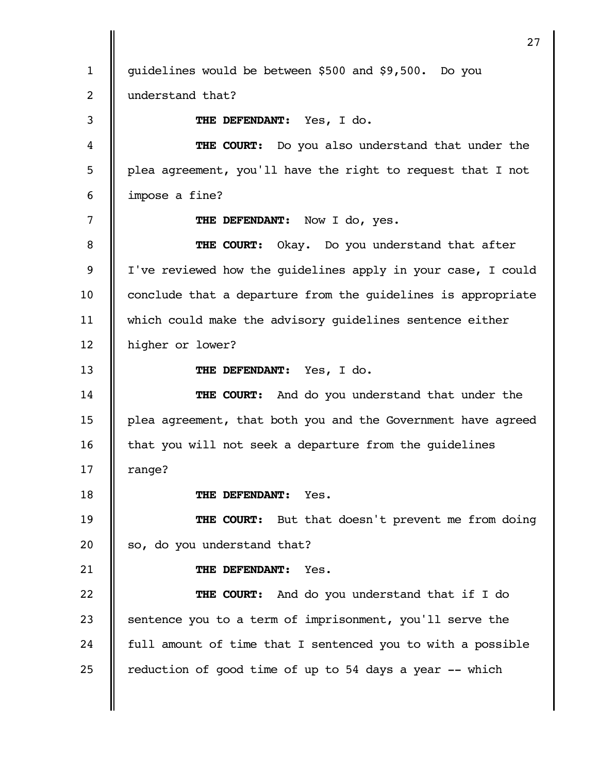guidelines would be between \$500 and \$9,500. Do you understand that? **THE DEFENDANT:** Yes, I do. **THE COURT:** Do you also understand that under the plea agreement, you'll have the right to request that I not impose a fine? THE DEFENDANT: Now I do, yes. **THE COURT:** Okay. Do you understand that after I've reviewed how the guidelines apply in your case, I could conclude that a departure from the guidelines is appropriate which could make the advisory guidelines sentence either higher or lower? **THE DEFENDANT:** Yes, I do. **THE COURT:** And do you understand that under the plea agreement, that both you and the Government have agreed that you will not seek a departure from the guidelines range? **THE DEFENDANT:** Yes. **THE COURT:** But that doesn't prevent me from doing so, do you understand that? **THE DEFENDANT:** Yes. **THE COURT:** And do you understand that if I do sentence you to a term of imprisonment, you'll serve the full amount of time that I sentenced you to with a possible reduction of good time of up to 54 days a year -- which 1 2 3 4 5 6 7 8 9 10 11 12 13 14 15 16 17 18 19 20 21 22 23 24 25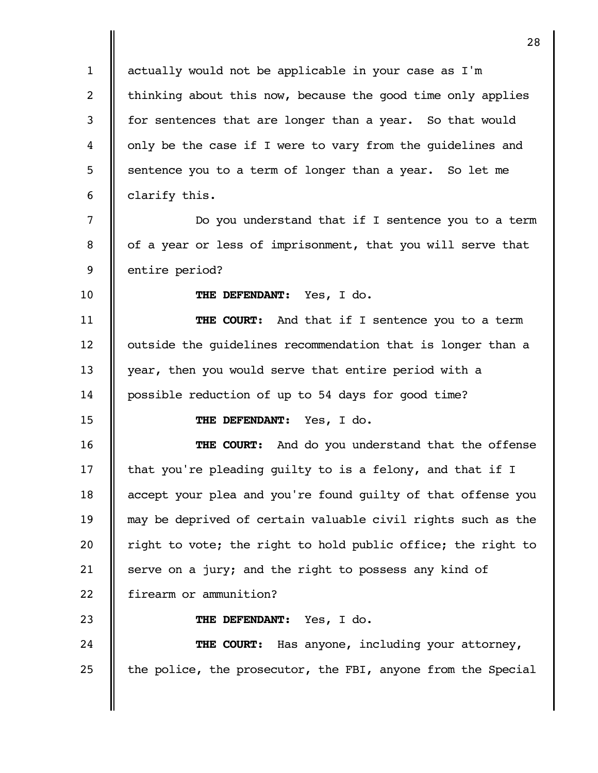actually would not be applicable in your case as I'm thinking about this now, because the good time only applies for sentences that are longer than a year. So that would only be the case if I were to vary from the guidelines and sentence you to a term of longer than a year. So let me clarify this. Do you understand that if I sentence you to a term of a year or less of imprisonment, that you will serve that entire period? **THE DEFENDANT:** Yes, I do. **THE COURT:** And that if I sentence you to a term outside the guidelines recommendation that is longer than a year, then you would serve that entire period with a possible reduction of up to 54 days for good time? **THE DEFENDANT:** Yes, I do. **THE COURT:** And do you understand that the offense that you're pleading guilty to is a felony, and that if I accept your plea and you're found guilty of that offense you may be deprived of certain valuable civil rights such as the right to vote; the right to hold public office; the right to serve on a jury; and the right to possess any kind of firearm or ammunition? **THE DEFENDANT:** Yes, I do. **THE COURT:** Has anyone, including your attorney, the police, the prosecutor, the FBI, anyone from the Special 1 2 3 4 5 6 7 8 9 10 11 12 13 14 15 16 17 18 19 20 21 22 23 24 25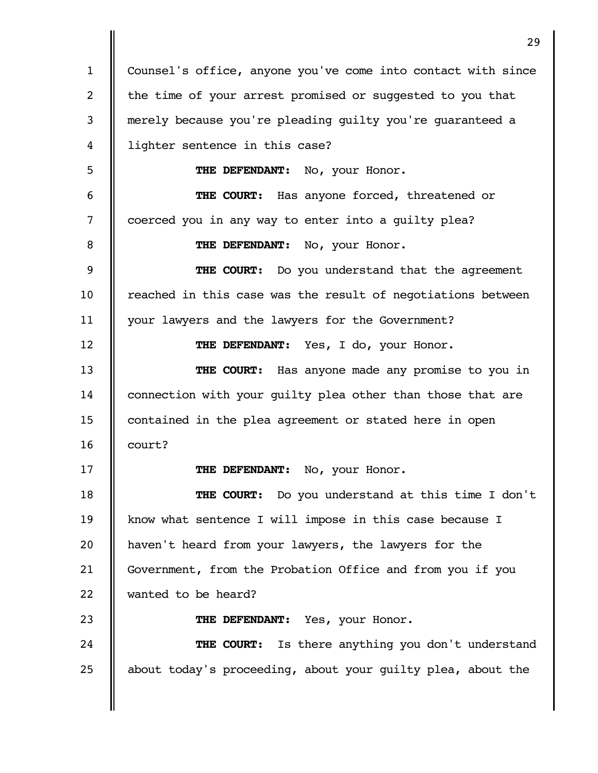Counsel's office, anyone you've come into contact with since the time of your arrest promised or suggested to you that merely because you're pleading guilty you're guaranteed a lighter sentence in this case? **THE DEFENDANT:** No, your Honor. **THE COURT:** Has anyone forced, threatened or coerced you in any way to enter into a guilty plea? **THE DEFENDANT:** No, your Honor. **THE COURT:** Do you understand that the agreement reached in this case was the result of negotiations between your lawyers and the lawyers for the Government? THE DEFENDANT: Yes, I do, your Honor. **THE COURT:** Has anyone made any promise to you in connection with your guilty plea other than those that are contained in the plea agreement or stated here in open court? **THE DEFENDANT:** No, your Honor. **THE COURT:** Do you understand at this time I don't know what sentence I will impose in this case because I haven't heard from your lawyers, the lawyers for the Government, from the Probation Office and from you if you wanted to be heard? THE DEFENDANT: Yes, your Honor. **THE COURT:** Is there anything you don't understand about today's proceeding, about your guilty plea, about the 1 2 3 4 5 6 7 8 9 10 11 12 13 14 15 16 17 18 19 20 21 22 23 24 25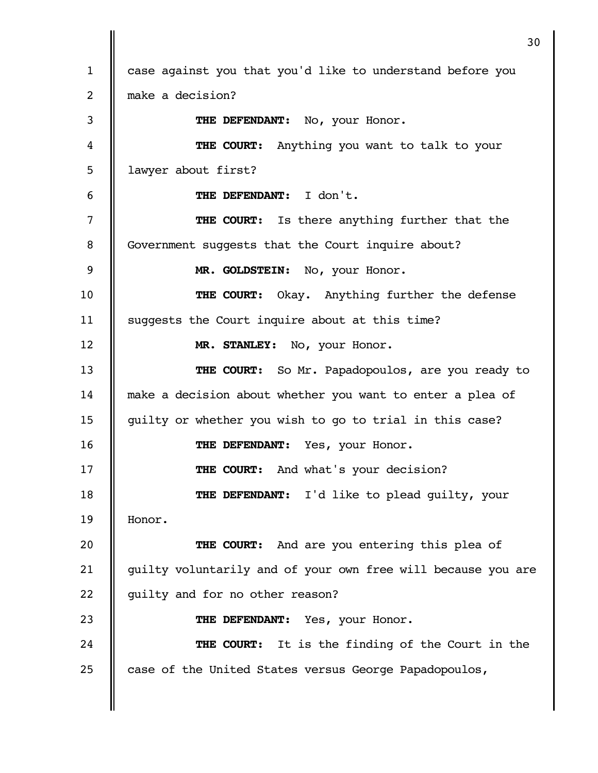case against you that you'd like to understand before you make a decision? **THE DEFENDANT:** No, your Honor. **THE COURT:** Anything you want to talk to your lawyer about first? **THE DEFENDANT:** I don't. **THE COURT:** Is there anything further that the Government suggests that the Court inquire about? **MR. GOLDSTEIN:** No, your Honor. **THE COURT:** Okay. Anything further the defense suggests the Court inquire about at this time? **MR. STANLEY:** No, your Honor. **THE COURT:** So Mr. Papadopoulos, are you ready to make a decision about whether you want to enter a plea of guilty or whether you wish to go to trial in this case? **THE DEFENDANT:** Yes, your Honor. **THE COURT:** And what's your decision? **THE DEFENDANT:** I'd like to plead guilty, your Honor. **THE COURT:** And are you entering this plea of guilty voluntarily and of your own free will because you are guilty and for no other reason? THE DEFENDANT: Yes, your Honor. **THE COURT:** It is the finding of the Court in the case of the United States versus George Papadopoulos, 1 2 3 4 5 6 7 8 9 10 11 12 13 14 15 16 17 18 19 20 21 22 23 24 25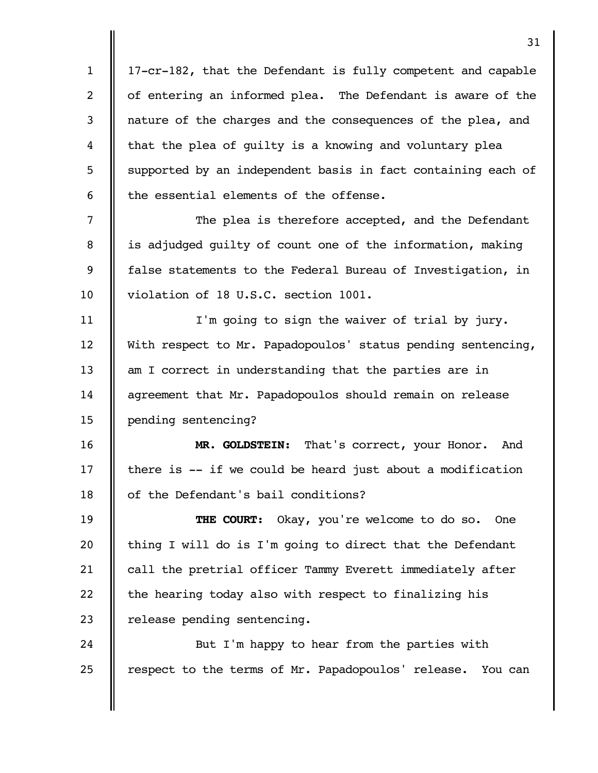17-cr-182, that the Defendant is fully competent and capable of entering an informed plea. The Defendant is aware of the nature of the charges and the consequences of the plea, and that the plea of guilty is a knowing and voluntary plea supported by an independent basis in fact containing each of the essential elements of the offense. The plea is therefore accepted, and the Defendant is adjudged guilty of count one of the information, making false statements to the Federal Bureau of Investigation, in violation of 18 U.S.C. section 1001. I'm going to sign the waiver of trial by jury. With respect to Mr. Papadopoulos' status pending sentencing, am I correct in understanding that the parties are in agreement that Mr. Papadopoulos should remain on release pending sentencing? **MR. GOLDSTEIN:** That's correct, your Honor. And there is -- if we could be heard just about a modification of the Defendant's bail conditions? **THE COURT:** Okay, you're welcome to do so. One thing I will do is I'm going to direct that the Defendant call the pretrial officer Tammy Everett immediately after the hearing today also with respect to finalizing his release pending sentencing. But I'm happy to hear from the parties with respect to the terms of Mr. Papadopoulos' release. You can 1 2 3 4 5 6 7 8 9 10 11 12 13 14 15 16 17 18 19 20 21 22 23 24 25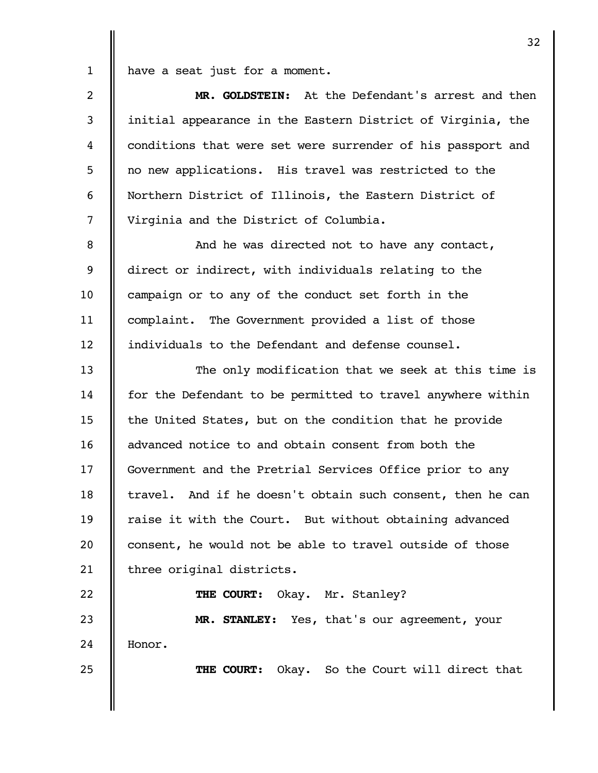have a seat just for a moment. 1

| $\overline{2}$ | MR. GOLDSTEIN: At the Defendant's arrest and then           |
|----------------|-------------------------------------------------------------|
| 3              | initial appearance in the Eastern District of Virginia, the |
| 4              | conditions that were set were surrender of his passport and |
| 5              | no new applications. His travel was restricted to the       |
| 6              | Northern District of Illinois, the Eastern District of      |
| $\overline{7}$ | Virginia and the District of Columbia.                      |
| 8              | And he was directed not to have any contact,                |
| 9              | direct or indirect, with individuals relating to the        |
| 10             | campaign or to any of the conduct set forth in the          |
| 11             | complaint. The Government provided a list of those          |
| 12             | individuals to the Defendant and defense counsel.           |
| 13             | The only modification that we seek at this time is          |
| 14             | for the Defendant to be permitted to travel anywhere within |
| 15             | the United States, but on the condition that he provide     |
| 16             | advanced notice to and obtain consent from both the         |
| 17             | Government and the Pretrial Services Office prior to any    |
| 18             | travel. And if he doesn't obtain such consent, then he can  |
| 19             | raise it with the Court. But without obtaining advanced     |
| 20             | consent, he would not be able to travel outside of those    |
| 21             | three original districts.                                   |
| 22             | Okay. Mr. Stanley?<br>THE COURT:                            |
| 23             | MR. STANLEY: Yes, that's our agreement, your                |
| 24             | Honor.                                                      |
| 25             | THE COURT: Okay. So the Court will direct that              |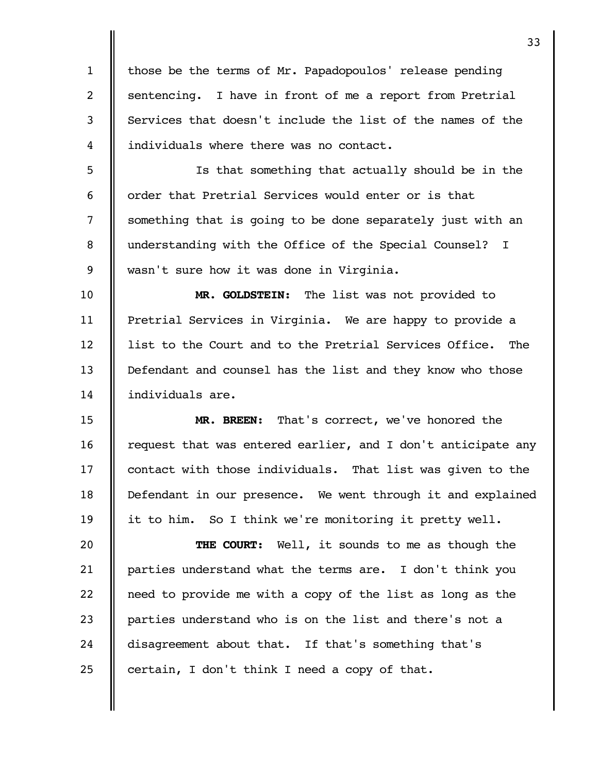those be the terms of Mr. Papadopoulos' release pending sentencing. I have in front of me a report from Pretrial Services that doesn't include the list of the names of the individuals where there was no contact. 1 2 3 4

Is that something that actually should be in the order that Pretrial Services would enter or is that something that is going to be done separately just with an understanding with the Office of the Special Counsel? I wasn't sure how it was done in Virginia. 5 6 7 8 9

**MR. GOLDSTEIN:** The list was not provided to Pretrial Services in Virginia. We are happy to provide a list to the Court and to the Pretrial Services Office. The Defendant and counsel has the list and they know who those individuals are. 10 11 12 13 14

**MR. BREEN:** That's correct, we've honored the request that was entered earlier, and I don't anticipate any contact with those individuals. That list was given to the Defendant in our presence. We went through it and explained it to him. So I think we're monitoring it pretty well. 15 16 17 18 19

**THE COURT:** Well, it sounds to me as though the parties understand what the terms are. I don't think you need to provide me with a copy of the list as long as the parties understand who is on the list and there's not a disagreement about that. If that's something that's certain, I don't think I need a copy of that. 20 21 22 23 24 25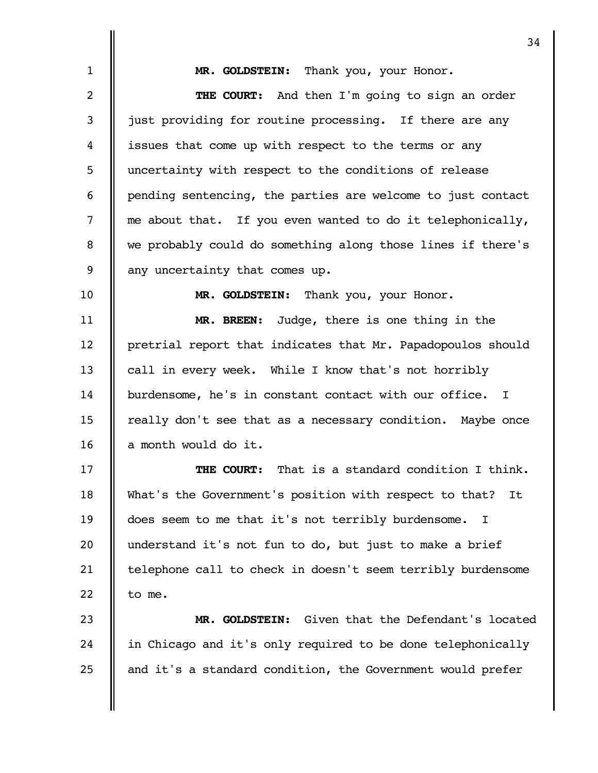|                | 34                                                          |
|----------------|-------------------------------------------------------------|
| $\mathbf{1}$   | MR. GOLDSTEIN: Thank you, your Honor.                       |
| $\overline{2}$ | THE COURT: And then I'm going to sign an order              |
| 3              | just providing for routine processing. If there are any     |
| 4              | issues that come up with respect to the terms or any        |
| 5              | uncertainty with respect to the conditions of release       |
| 6              | pending sentencing, the parties are welcome to just contact |
| 7              | me about that. If you even wanted to do it telephonically,  |
| 8              | we probably could do something along those lines if there's |
| 9              | any uncertainty that comes up.                              |
| 10             | MR. GOLDSTEIN: Thank you, your Honor.                       |
| 11             | MR. BREEN: Judge, there is one thing in the                 |
| 12             | pretrial report that indicates that Mr. Papadopoulos should |
| 13             | call in every week. While I know that's not horribly        |
| 14             | burdensome, he's in constant contact with our office. I     |
| 15             | really don't see that as a necessary condition. Maybe once  |
| 16             | a month would do it.                                        |
| 17             | That is a standard condition I think.<br>THE COURT:         |
| 18             | What's the Government's position with respect to that? It   |
| 19             | does seem to me that it's not terribly burdensome.<br>I     |
| 20             | understand it's not fun to do, but just to make a brief     |
| 21             | telephone call to check in doesn't seem terribly burdensome |
| 22             | to me.                                                      |
| 23             | Given that the Defendant's located<br>MR. GOLDSTEIN:        |
| 24             | in Chicago and it's only required to be done telephonically |
| 25             | and it's a standard condition, the Government would prefer  |
|                |                                                             |
|                |                                                             |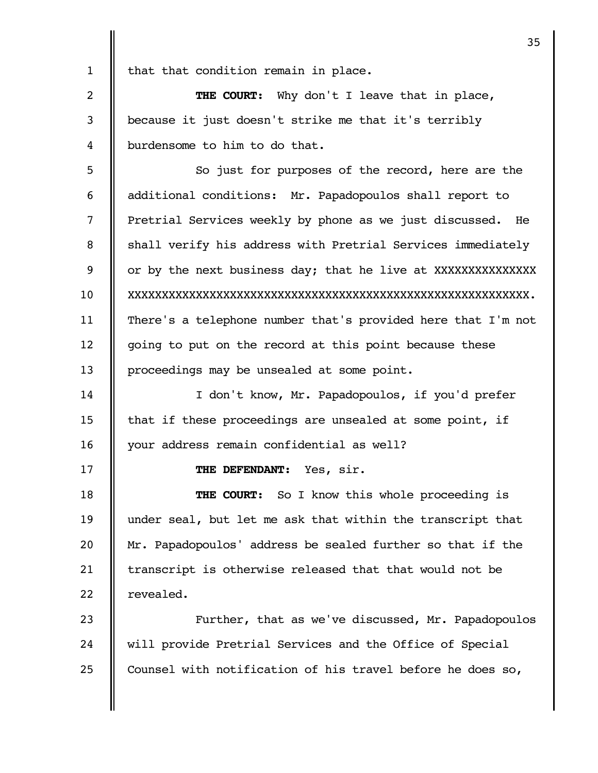|              | 35                                                           |
|--------------|--------------------------------------------------------------|
| $\mathbf{1}$ | that that condition remain in place.                         |
| 2            | <b>THE COURT:</b> Why don't I leave that in place,           |
| 3            | because it just doesn't strike me that it's terribly         |
| 4            | burdensome to him to do that.                                |
| 5            | So just for purposes of the record, here are the             |
| 6            | additional conditions: Mr. Papadopoulos shall report to      |
| 7            | Pretrial Services weekly by phone as we just discussed. He   |
| 8            | shall verify his address with Pretrial Services immediately  |
| 9            | or by the next business day; that he live at XXXXXXXXXXXXXX  |
| 10           |                                                              |
| 11           | There's a telephone number that's provided here that I'm not |
| 12           | going to put on the record at this point because these       |
| 13           | proceedings may be unsealed at some point.                   |
| 14           | I don't know, Mr. Papadopoulos, if you'd prefer              |
| 15           | that if these proceedings are unsealed at some point, if     |
| 16           | your address remain confidential as well?                    |
| 17           | THE DEFENDANT:<br>Yes, sir.                                  |
| 18           | <b>THE COURT:</b> So I know this whole proceeding is         |
| 19           | under seal, but let me ask that within the transcript that   |
| 20           | Mr. Papadopoulos' address be sealed further so that if the   |
| 21           | transcript is otherwise released that that would not be      |
| 22           | revealed.                                                    |
| 23           | Further, that as we've discussed, Mr. Papadopoulos           |
| 24           | will provide Pretrial Services and the Office of Special     |
| 25           | Counsel with notification of his travel before he does so,   |
|              |                                                              |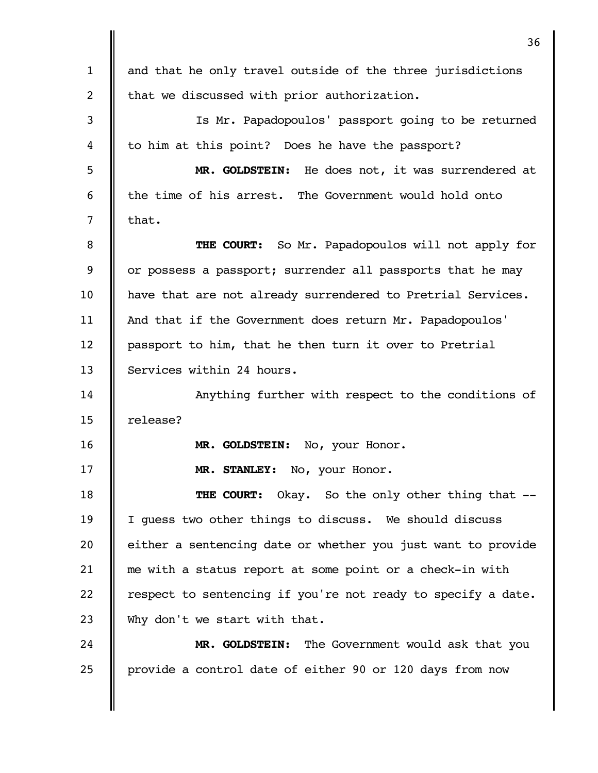|                | 36                                                           |
|----------------|--------------------------------------------------------------|
| $\mathbf{1}$   | and that he only travel outside of the three jurisdictions   |
| $\overline{2}$ | that we discussed with prior authorization.                  |
| 3              | Is Mr. Papadopoulos' passport going to be returned           |
| 4              | to him at this point? Does he have the passport?             |
| 5              | MR. GOLDSTEIN: He does not, it was surrendered at            |
| 6              | the time of his arrest. The Government would hold onto       |
| 7              | that.                                                        |
| 8              | THE COURT: So Mr. Papadopoulos will not apply for            |
| 9              | or possess a passport; surrender all passports that he may   |
| 10             | have that are not already surrendered to Pretrial Services.  |
| 11             | And that if the Government does return Mr. Papadopoulos'     |
| 12             | passport to him, that he then turn it over to Pretrial       |
| 13             | Services within 24 hours.                                    |
| 14             | Anything further with respect to the conditions of           |
| 15             | release?                                                     |
| 16             | MR. GOLDSTEIN:<br>No, your Honor.                            |
| 17             | MR. STANLEY: No, your Honor.                                 |
| 18             | <b>THE COURT:</b> Okay. So the only other thing that --      |
| 19             | I guess two other things to discuss. We should discuss       |
| 20             | either a sentencing date or whether you just want to provide |
| 21             | me with a status report at some point or a check-in with     |
| 22             | respect to sentencing if you're not ready to specify a date. |
| 23             | Why don't we start with that.                                |
| 24             | MR. GOLDSTEIN: The Government would ask that you             |
| 25             | provide a control date of either 90 or 120 days from now     |
|                |                                                              |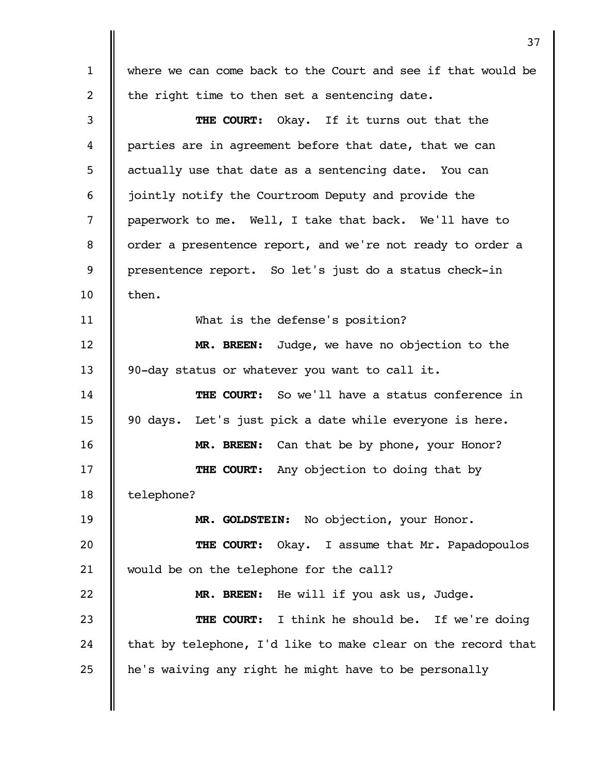where we can come back to the Court and see if that would be the right time to then set a sentencing date. **THE COURT:** Okay. If it turns out that the parties are in agreement before that date, that we can actually use that date as a sentencing date. You can jointly notify the Courtroom Deputy and provide the paperwork to me. Well, I take that back. We'll have to order a presentence report, and we're not ready to order a presentence report. So let's just do a status check-in then. What is the defense's position? **MR. BREEN:** Judge, we have no objection to the 90-day status or whatever you want to call it. **THE COURT:** So we'll have a status conference in 90 days. Let's just pick a date while everyone is here. **MR. BREEN:** Can that be by phone, your Honor? **THE COURT:** Any objection to doing that by telephone? **MR. GOLDSTEIN:** No objection, your Honor. **THE COURT:** Okay. I assume that Mr. Papadopoulos would be on the telephone for the call? **MR. BREEN:** He will if you ask us, Judge. **THE COURT:** I think he should be. If we're doing that by telephone, I'd like to make clear on the record that he's waiving any right he might have to be personally 1 2 3 4 5 6 7 8 9 10 11 12 13 14 15 16 17 18 19 20 21 22 23 24 25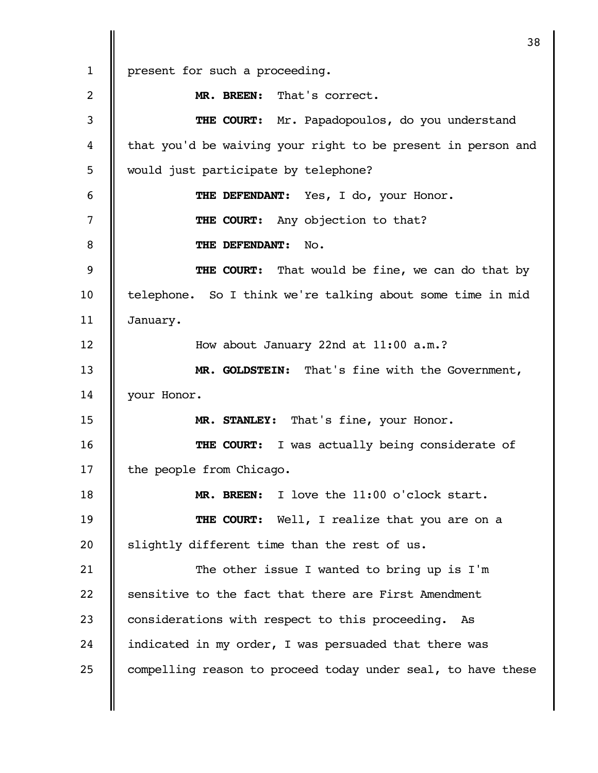|              | 38                                                           |
|--------------|--------------------------------------------------------------|
| $\mathbf{1}$ | present for such a proceeding.                               |
| 2            | MR. BREEN: That's correct.                                   |
| 3            | THE COURT: Mr. Papadopoulos, do you understand               |
| 4            | that you'd be waiving your right to be present in person and |
| 5            | would just participate by telephone?                         |
| 6            | THE DEFENDANT: Yes, I do, your Honor.                        |
| 7            | Any objection to that?<br>THE COURT:                         |
| 8            | THE DEFENDANT:<br>No.                                        |
| 9            | <b>THE COURT:</b> That would be fine, we can do that by      |
| 10           | telephone. So I think we're talking about some time in mid   |
| 11           | January.                                                     |
| 12           | How about January 22nd at 11:00 a.m.?                        |
| 13           | MR. GOLDSTEIN: That's fine with the Government,              |
| 14           | your Honor.                                                  |
| 15           | MR. STANLEY: That's fine, your Honor.                        |
| 16           | I was actually being considerate of<br>THE COURT:            |
| 17           | the people from Chicago.                                     |
| 18           | MR. BREEN: I love the 11:00 o'clock start.                   |
| 19           | THE COURT: Well, I realize that you are on a                 |
| 20           | slightly different time than the rest of us.                 |
| 21           | The other issue I wanted to bring up is I'm                  |
| 22           | sensitive to the fact that there are First Amendment         |
| 23           | considerations with respect to this proceeding. As           |
| 24           | indicated in my order, I was persuaded that there was        |
| 25           | compelling reason to proceed today under seal, to have these |
|              |                                                              |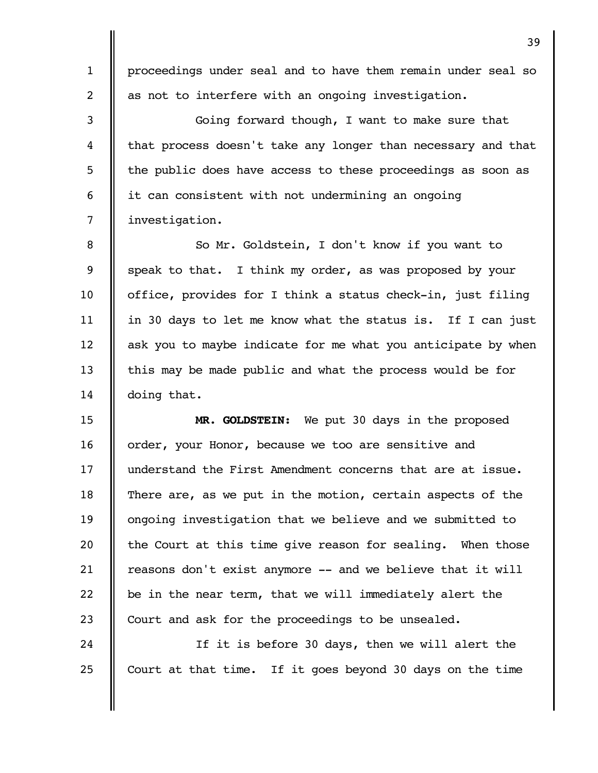proceedings under seal and to have them remain under seal so as not to interfere with an ongoing investigation.

1

2

3

4

5

6

24

25

Going forward though, I want to make sure that that process doesn't take any longer than necessary and that the public does have access to these proceedings as soon as it can consistent with not undermining an ongoing investigation. 7

So Mr. Goldstein, I don't know if you want to speak to that. I think my order, as was proposed by your office, provides for I think a status check-in, just filing in 30 days to let me know what the status is. If I can just ask you to maybe indicate for me what you anticipate by when this may be made public and what the process would be for doing that. 8 9 10 11 12 13 14

**MR. GOLDSTEIN:** We put 30 days in the proposed order, your Honor, because we too are sensitive and understand the First Amendment concerns that are at issue. There are, as we put in the motion, certain aspects of the ongoing investigation that we believe and we submitted to the Court at this time give reason for sealing. When those reasons don't exist anymore -- and we believe that it will be in the near term, that we will immediately alert the Court and ask for the proceedings to be unsealed. 15 16 17 18 19 20 21 22 23

If it is before 30 days, then we will alert the Court at that time. If it goes beyond 30 days on the time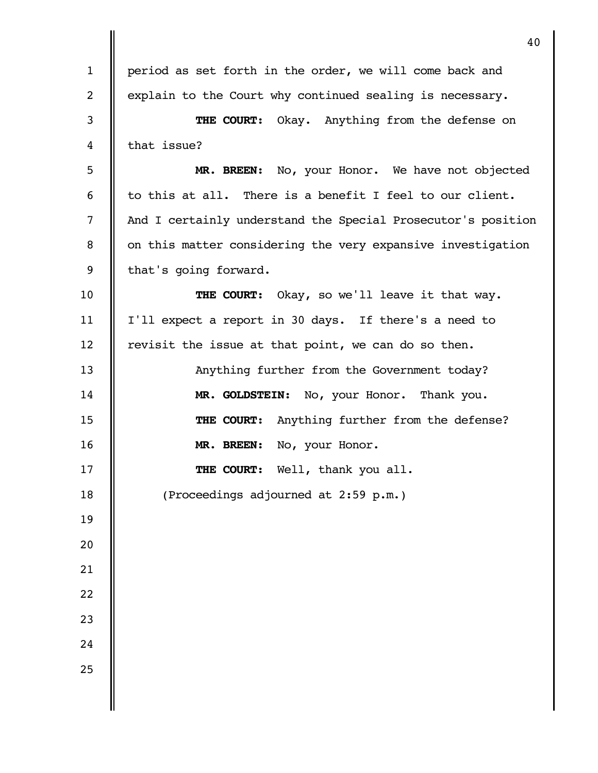|              | 40                                                           |
|--------------|--------------------------------------------------------------|
| $\mathbf{1}$ | period as set forth in the order, we will come back and      |
| 2            | explain to the Court why continued sealing is necessary.     |
| 3            | THE COURT: Okay. Anything from the defense on                |
| 4            | that issue?                                                  |
| 5            | MR. BREEN: No, your Honor. We have not objected              |
| 6            | to this at all. There is a benefit I feel to our client.     |
| 7            | And I certainly understand the Special Prosecutor's position |
| 8            | on this matter considering the very expansive investigation  |
| 9            | that's going forward.                                        |
| 10           | THE COURT: Okay, so we'll leave it that way.                 |
| 11           | I'll expect a report in 30 days. If there's a need to        |
| 12           | revisit the issue at that point, we can do so then.          |
| 13           | Anything further from the Government today?                  |
| 14           | MR. GOLDSTEIN: No, your Honor. Thank you.                    |
| 15           | THE COURT: Anything further from the defense?                |
| 16           | No, your Honor.<br>MR. BREEN:                                |
| 17           | THE COURT:<br>Well, thank you all.                           |
| 18           | (Proceedings adjourned at 2:59 p.m.)                         |
| 19           |                                                              |
| 20           |                                                              |
| 21           |                                                              |
| 22           |                                                              |
| 23           |                                                              |
| 24           |                                                              |
| 25           |                                                              |
|              |                                                              |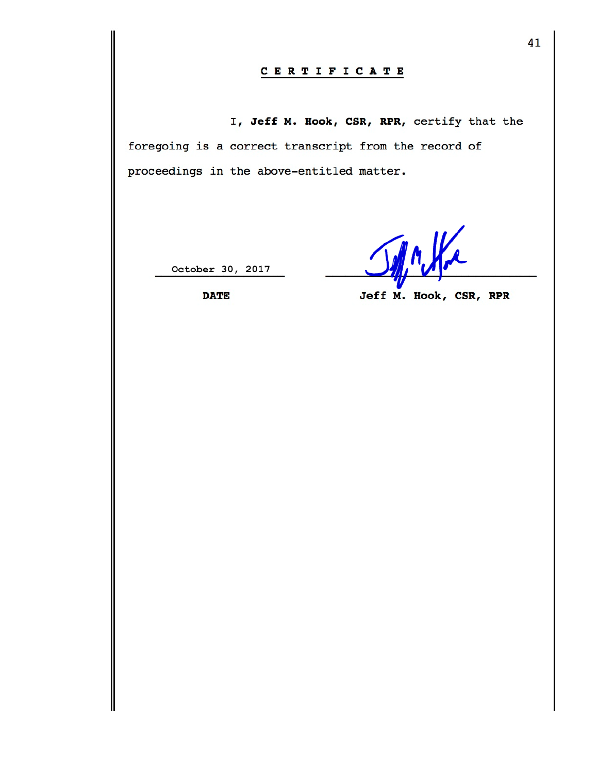## CERTIFICATE

I, Jeff M. Hook, CSR, RPR, certify that the foregoing is a correct transcript from the record of proceedings in the above-entitled matter.

October 30, 2017

JAn We

**DATE** 

Jeff M. Hook, CSR, RPR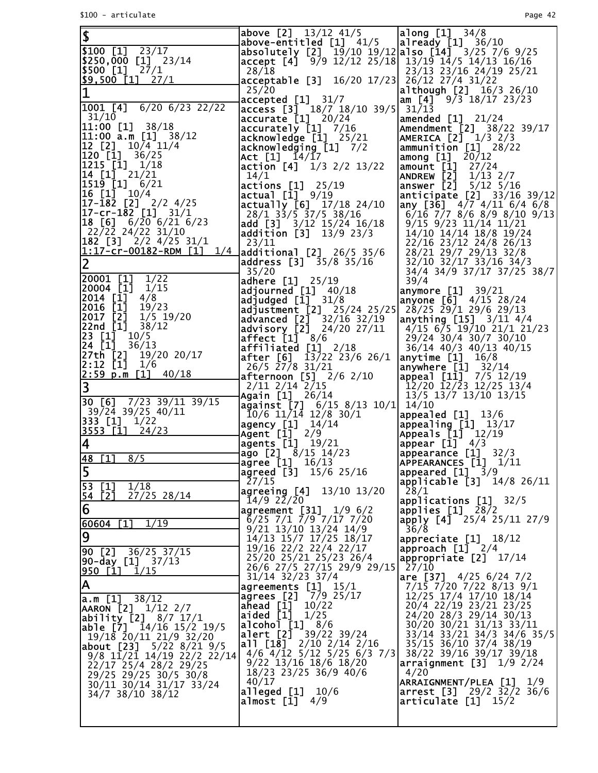| $\overline{\mathbf{3}}$                                                                                                                    | above [2] 13/12 41/5<br>above-entitled $[1]$ $41/5$                                                                            | $\lambda$ along [1] 34/8<br>$\vert$ already [1] 36/10                                                                                    |
|--------------------------------------------------------------------------------------------------------------------------------------------|--------------------------------------------------------------------------------------------------------------------------------|------------------------------------------------------------------------------------------------------------------------------------------|
| $$100$ $[1]$ $23/17$                                                                                                                       | absolutely [2] $\overline{19}/10$ 19/12 also [14] $\overline{3}/25$ 7/6 9/25                                                   |                                                                                                                                          |
| $$250,000$ [1] $23/14$<br><b>\$500 [1]</b> 27/1                                                                                            | $accept [4]$ 9/9 12/12 25/18 13/19 14/5 14/13 16/16<br>28/18                                                                   | 23/13 23/16 24/19 25/21                                                                                                                  |
| $$9,500$ [1] $27/1$                                                                                                                        | acceptable [3] 16/20 17/23 26/12 27/4 31/22                                                                                    |                                                                                                                                          |
|                                                                                                                                            | 25/20<br>accepted [1] 31/7                                                                                                     | although [2] 16/3 26/10<br>am $[4]$ 9/3 18/17 23/23                                                                                      |
| [1001 [4] 6/20 6/23 22/22]                                                                                                                 | access $\begin{bmatrix} 3 \end{bmatrix}$ 18/7 18/10 39/5 31/13                                                                 |                                                                                                                                          |
| 31/10<br>$11:00$ [1] 38/18                                                                                                                 | $accurate$ $[1]$ 20/24<br>$accurate$ <sup>1</sup> [1] $7/16$                                                                   | amended $[1]$ 21/24<br>Amendment [2] 38/22 39/17                                                                                         |
| $11:00$ a.m [1] $38/12$                                                                                                                    | $acknowledge [1]$ 25/21                                                                                                        | AMERICA $\begin{bmatrix} 2 \end{bmatrix}$ $\begin{bmatrix} 1/3 & 2/3 \end{bmatrix}$                                                      |
| 12 [2] 10/4 11/4<br>$120$ [1] 36/25                                                                                                        | acknowledging [1] 7/2<br>Act [1] 14/17                                                                                         | $\lambda$ ammunition $\begin{bmatrix} 1 \end{bmatrix}$ 28/22<br>among $[1]$ 20/12                                                        |
| $\begin{bmatrix} 1215 \\ 1 \end{bmatrix}$ $\begin{bmatrix} 1 \\ 1 \end{bmatrix}$ $\begin{bmatrix} 1/18 \\ 1 \end{bmatrix}$                 | action [4] $1/3$ 2/2 13/22                                                                                                     | amount [1]<br>27/24                                                                                                                      |
| $[14 \t[1] \t21/21]$<br>$\begin{bmatrix} 1519 \\ 1 \end{bmatrix}$ 6/21                                                                     | 14/1<br>actions [1]<br>25/19                                                                                                   | ANDREW [2]<br>$1/13$ 2/7<br>answer [2]<br>$5/12$ $5/16$                                                                                  |
| $16$ $\begin{bmatrix} 1 \end{bmatrix}$ $10/4$                                                                                              | actual [1] 9/19                                                                                                                | anticipate [2] 33/16 39/12                                                                                                               |
| $\begin{bmatrix} 17 - \bar{1}8\bar{2} & \bar{2} \end{bmatrix}$ 2/2 4/25<br>$\begin{bmatrix} 17 & -c & r & -182 & [1] & 31/1 \end{bmatrix}$ | actually $[6]$ 17/18 24/10<br>$28/1$ $33/5$ $37/5$ $38/16$                                                                     | any [36] $4/7$ $4/11$ 6/4 6/8<br>$6/16$ 7/7 8/6 8/9 8/10 9/13                                                                            |
| 18 [6]<br>6/20 6/21 6/23                                                                                                                   | add [3] 3/12 15/24 16/18                                                                                                       | $9/15$ $9/23$ $11/14$ $11/21$                                                                                                            |
| 22/22 24/22 31/10<br>$\begin{bmatrix} 182 & 3 \end{bmatrix}$ 2/2 4/25 31/1                                                                 | addition [3] $13/9$ 23/3<br>23/11                                                                                              | 14/10 14/14 18/8 19/24<br>22/16 23/12 24/8 26/13                                                                                         |
| <u> 1:17-cr-00182-RDM</u> [1]<br>1/4                                                                                                       | additional [2] 26/5 35/6                                                                                                       | 28/21 29/7 29/13 32/8                                                                                                                    |
| $\overline{2}$                                                                                                                             | address [3] 35/8 35/16<br>35/20                                                                                                | 32/10 32/17 33/16 34/3<br>34/4 34/9 37/17 37/25 38/7                                                                                     |
| 20001 [1]<br>1/22                                                                                                                          | adhere [1] 25/19                                                                                                               | 39/4                                                                                                                                     |
| 20004 [1] 1/15<br> 2014 [1]<br>4/8                                                                                                         | adjourned $[1]$ 40/18<br>$adjudged$ $[1]$ $31/8$                                                                               | anymore [1] 39/21<br>anyone $[6]$ 4/15 28/24                                                                                             |
| 2016 [1]<br>19/23                                                                                                                          | $\alpha$ Justment [2] 25/24 25/25 28/25 29/1 29/6 29/13                                                                        |                                                                                                                                          |
| 2017 [2]<br>$1/5$ 19/20<br>22nd [1]<br>38/12                                                                                               | $\sqrt{a}$ ad $\sqrt{a}$ nced [2] $\sqrt{3}$ 2/16 32/19<br>advisory $\left[\frac{2}{3}\right]$ $\frac{24}{20}$ $\frac{27}{11}$ | $\textsf{lanything} \, 15 \, 3/11 \, 4/4$<br>$4/15$ 6/5 19/10 21/1 21/23                                                                 |
| 23 [1]<br>10/5                                                                                                                             | affect $[1]$ 8/6                                                                                                               | 29/24 30/4 30/7 30/10                                                                                                                    |
| 24 [1]<br>36/13<br>27th [2] 19/20 20/17                                                                                                    | affiliated [1]<br>2/18<br><b>after</b> $[6]$ 13/22 23/6 26/1                                                                   | 36/14 40/3 40/13 40/15<br>$\textsf{anytime}$ [1] $16/8$                                                                                  |
| 2:12 [1]<br>1/6                                                                                                                            | 26/5 27/8 31/21                                                                                                                | anywhere [1] 32/14<br>  appeal [11] 7/5 12/19                                                                                            |
| <u>2:59 p.m [1]</u><br>40/18<br>3                                                                                                          | afternoon $[5]$ $2/6$ $2/10$<br>2/11 2/14 2/15                                                                                 | 12/20 12/23 12/25 13/4                                                                                                                   |
| 30 [6] $7/23$ 39/11 39/15                                                                                                                  | Again [1] 26/14                                                                                                                | 13/5 13/7 13/10 13/15                                                                                                                    |
| 39/24 39/25 40/11                                                                                                                          | against [7] 6/15 8/13 10/1 14/10<br>$10/6$ 11/14 12/8 30/1                                                                     | appealed $[1]$ $13/6$                                                                                                                    |
| <b>333 [1]</b> $1/22$<br><u> 3553 [1]</u><br>24/23                                                                                         | agency [1] 14/14                                                                                                               | $\alpha$ appealing $\begin{bmatrix} 1 \\ 1 \end{bmatrix}$ $\begin{bmatrix} 13/17 \\ 13/17 \end{bmatrix}$                                 |
| $\overline{\mathbf{4}}$                                                                                                                    | Agent [1] 2/9                                                                                                                  | Appeals $\begin{bmatrix} 1 \end{bmatrix}$ $\begin{bmatrix} 12/19 \end{bmatrix}$<br>$\alpha$ appear $\begin{bmatrix} 1 \end{bmatrix}$ 4/3 |
| 48 [1]<br>8/5                                                                                                                              | agents [1] 19/21<br>ago [2] 8/15 14/23                                                                                         | $\alpha$ appearance $\begin{bmatrix} 1 \end{bmatrix}$ 32/3                                                                               |
| 5                                                                                                                                          | $large$ $[1]$ $16/13$<br>agreed [3] 15/6 25/16                                                                                 | APPEARANCES [1] 1/11<br>appeared $\begin{bmatrix} 1 \end{bmatrix}$ $\begin{bmatrix} 3/9 \end{bmatrix}$                                   |
| $\overline{53}$<br>[1]<br>1/18                                                                                                             | 27/15                                                                                                                          | applicable [3] 14/8 26/11                                                                                                                |
| Ī2Ī<br>54<br>27/25 28/14                                                                                                                   | 13/10 13/20<br>agreeing [4]<br>14/9 22/20                                                                                      | 28/1<br>applications $[1]$ 32/5                                                                                                          |
| $ \overline{6} $                                                                                                                           | agreement [31] 1/9 6/2                                                                                                         | applies $[1]$ 28/2                                                                                                                       |
| 60604<br>$[1]$<br>1/19                                                                                                                     | $6/25$ 7/1 7/9 7/17 7/20<br>$9/21$ 13/10 13/24 14/9                                                                            | apply $[4]$ 25/4 25/11 27/9<br>36/8                                                                                                      |
| $\overline{9}$                                                                                                                             | 14/13 15/7 17/25 18/17<br>19/16 22/2 22/4 22/17                                                                                | appreciate [1] 18/12                                                                                                                     |
| $90$ [2] $36/25$ 37/15<br>  <b>90-day [1]</b> 37/13                                                                                        | 25/20 25/21 25/23 26/4                                                                                                         | approach $[1]$ 2/4<br>appropriate $[2]$ 17/14                                                                                            |
| 950<br>T11<br>1/15                                                                                                                         | 26/6 27/5 27/15 29/9 29/15<br>31/14 32/23 37/4                                                                                 | 27/10<br>are [37] $4/25$ 6/24 7/2                                                                                                        |
| A                                                                                                                                          | agreements $[1]$ $15/1$                                                                                                        | 7/15 7/20 7/22 8/13 9/1                                                                                                                  |
| $\overline{a.m}$ [1] $\overline{\phantom{a}}$<br>38/12                                                                                     | 7/9 25/17<br>agrees [2]<br>ahead [1]<br>10/22                                                                                  | 12/25 17/4 17/10 18/14<br>20/4 22/19 23/21 23/25                                                                                         |
| AARON [2]<br>$1/12$ 2/7<br>ability [2] 8/7 17/1                                                                                            | aided [1]<br>1/25                                                                                                              | 24/20 28/3 29/14 30/13                                                                                                                   |
| <b>able [7]</b> 14/16 15/2 19/5                                                                                                            | alcohol [1]<br>8/6<br>alert [2]<br>39/22 39/24                                                                                 | 30/20 30/21 31/13 33/11<br>33/14 33/21 34/3 34/6 35/5                                                                                    |
| 19/18 20/11 21/9 32/20<br>$5/22$ $8/21$ $9/5$<br> about [23]                                                                               | all [18]<br>$2/10$ $2/14$ $2/16$                                                                                               | 35/15 36/10 37/4 38/19                                                                                                                   |
| 9/8 11/21 14/19 22/2 22/14                                                                                                                 | 4/6 4/12 5/12 5/25 6/3 7/3<br>$9/22$ 13/16 18/6 18/20                                                                          | 38/22 39/16 39/17 39/18<br>$\arcsin$ gnment [3] $1/9$ 2/24                                                                               |
| 22/17 25/4 28/2 29/25<br>29/25 29/25 30/5 30/8                                                                                             | 18/23 23/25 36/9 40/6                                                                                                          | 4/20                                                                                                                                     |
| 30/11 30/14 31/17 33/24                                                                                                                    | 40/17<br>alleged [1]<br>10/6                                                                                                   | ARTGNMENT/PLEA [1] 1/9<br>arrest $[3]$ 29/2 32/2 36/6                                                                                    |
| 34/7 38/10 38/12                                                                                                                           | almost [1]<br>4/9                                                                                                              | articulate $[1]$ 15/2                                                                                                                    |
|                                                                                                                                            |                                                                                                                                |                                                                                                                                          |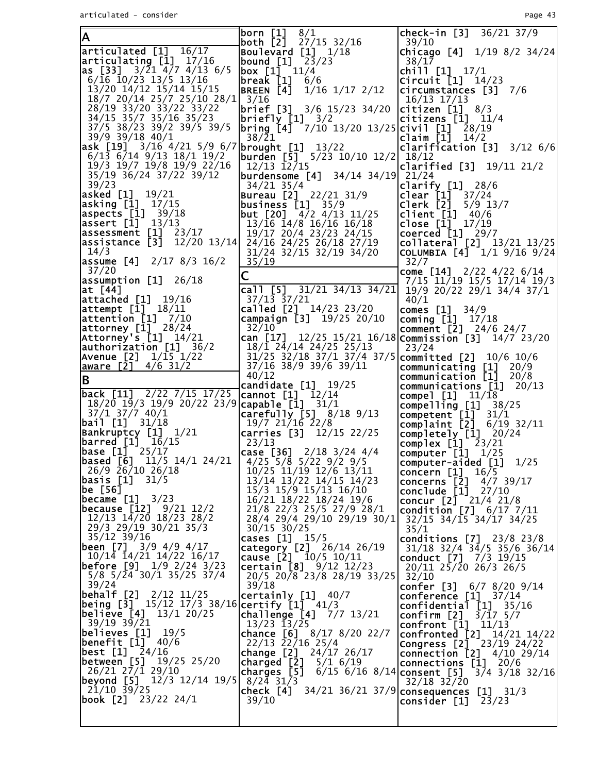| A                                                                                                        | 8/1<br> born [1]<br>both [2]<br>27/15 32/16                                   | $check-in [3] 36/21 37/9$<br>39/10                                              |
|----------------------------------------------------------------------------------------------------------|-------------------------------------------------------------------------------|---------------------------------------------------------------------------------|
| articulated [1] 16/17                                                                                    | Boulevard [1]<br>1/18                                                         | Chicago $[4]$ $1/19$ $8/2$ $34/24$                                              |
| articulating [1] 17/16<br>as [33] $3/\overline{2}1 \overline{4}/7 \overline{4}/13 \overline{6}/5$        | bound [1] <sup>23</sup> /23<br> box [1] 11/4                                  | 38/17<br>chill $[1]$ $17/1$                                                     |
| $6/16$ 10/23 13/5 13/16                                                                                  | break [1]<br>6/6                                                              | Circuit $[1]$ $14/23$                                                           |
| 13/20 14/12 15/14 15/15                                                                                  | BREEN [4] 1/16 1/17 2/12                                                      | $circumstances$ [3] $7/6$                                                       |
| 18/7 20/14 25/7 25/10 28/1<br>28/19 33/20 33/22 33/22                                                    | 3/16<br><b>brief</b> [3] $3/6$ 15/23 34/20                                    | 16/13 17/13<br>$ c$ itizen $[1]$ 8/3                                            |
| 34/15 35/7 35/16 35/23                                                                                   | <b>briefly [1]</b> 3/2                                                        | $ citizens$ $[1]$ $11/4$                                                        |
| 37/5 38/23 39/2 39/5 39/5<br>39/9 39/18 40/1                                                             | bring [4] <sup>7</sup> /10 13/20 13/25 civil [1]                              | 28/19                                                                           |
| ask [19] 3/16 4/21 5/9 6/7 brought [1] 13/22                                                             | 38/21                                                                         | $claim$ [1]<br>14/2<br>clarification $[3]$ $3/12$ $6/6$                         |
| $6/13$ $6/14$ $9/13$ $18/1$ $19/2$                                                                       | burden [5] 5/23 10/10 12/2  18/12                                             |                                                                                 |
| 19/3 19/7 19/8 19/9 22/16<br>35/19 36/24 37/22 39/12                                                     | $12/13$ $12/15$<br> burdensome [4]                                            | clarified $[3]$ 19/11 21/2                                                      |
| 39/23                                                                                                    | 34/14 34/19 21/24<br>$34/21$ 35/4                                             | clarify $[1]$ 28/6                                                              |
| asked [1] 19/21                                                                                          | Bureau [2] 22/21 31/9                                                         | clear [1]<br>37/24                                                              |
| <b>asking [1]</b> 17/15<br>aspects $[1]$ 39/18                                                           | $ {\rm business}$ $[1]$ 35/9<br><b>but [20]</b> $4/2$ $4/13$ $11/25$          | Clerk [2]<br>$5/9$ 13/7<br>client $[1]$ 40/6                                    |
| $\textsf{assert} \; [1] \; 13/13$                                                                        | $13/\overline{16}$ $\overline{14}/8$ $16/\overline{16}$ $16/\overline{18}$    | close $[1]$ $17/19$                                                             |
| assessment [1] 23/17                                                                                     | 19/17 20/4 23/23 24/15                                                        | coerced $[1]$ 29/7                                                              |
| assistance [3] 12/20 13/14  24/16 24/25 26/18 27/19<br>14/3                                              | 31/24 32/15 32/19 34/20                                                       | collateral <sup>[2]</sup> 13/21 13/25<br>COLUMBIA $[4]$ $1/1$ $9/16$ $9/24$     |
| assume [4] 2/17 8/3 16/2                                                                                 | 35/19                                                                         | 32/7                                                                            |
| 37/20                                                                                                    | C                                                                             | come [14] 2/22 4/22 6/14                                                        |
| $\textsf{lassumption}$ [1] 26/18<br>at [44]                                                              | call [5] $31/21$ $34/13$ $34/21$ 19/9 20/22 29/1 34/4 37/1                    | 7/15 11/19 15/5 17/14 19/3                                                      |
| <b>attached [1]</b> 19/16                                                                                | 37/13 37/21                                                                   | 40/1                                                                            |
| $\textsf{attempt}\ [1]\ \ 18/11$<br>attention [1] 7/10                                                   | called [2] 14/23 23/20                                                        | comes $[1]$ 34/9                                                                |
| <b>attorney [1]</b> 28/24                                                                                | campaign $[3]$ 19/25 20/10<br>32/10                                           | coming $[1]$ $17/18$<br>comment [2] 24/6 24/7                                   |
| Attorney's [1] 14/21                                                                                     | can [17] 12/25 15/21 16/18 Commission [3] 14/7 23/20                          |                                                                                 |
| authorization [1] 36/2<br> Avenue [2] 1/15 1/22                                                          | $18/\overline{1}$ $2\overline{4}/14$ $24/25$ $25/13$                          | 23/24                                                                           |
| aware [2] 4/6 31/2                                                                                       | 31/25 32/18 37/1 37/4 37/5   committed [2] 10/6 10/6<br>37/16 38/9 39/6 39/11 | communicating [1] 20/9                                                          |
| B                                                                                                        | 40/12                                                                         | communication [1] 20/8                                                          |
| back [11] $\frac{2}{22}$ 7/15 17/25 cannot [1] 12/14                                                     | candidate $[1]$ $19/25$                                                       | communications [1]<br>20/13<br>compel $[1]$ $11/18$                             |
| 18/20 19/3 19/9 20/22 23/9 capable [1] 31/1                                                              |                                                                               | $compelling$ [1]<br>38/25                                                       |
| $37/1$ $37/7$ $40/1$<br><b>bail [1]</b> 31/18                                                            | $\sqrt{2}$ carefully [5] 8/18 9/13                                            | competent [1]<br>31/1                                                           |
|                                                                                                          | 19/7 21/16 22/8<br>carries [3] 12/15 22/25                                    | complaint [2]<br>$6/19$ 32/11<br>$completely [1]$ $20/24$                       |
| Bankrūptcy [1] 1/21<br> barred [1] 16/15                                                                 | 23/13                                                                         | complex $\begin{bmatrix} 1 \end{bmatrix}$ $\begin{bmatrix} 23/21 \end{bmatrix}$ |
| $\bm{\mathsf{base}}$ [1] $\scriptstyle{\textcolor{red}{\mathsf{7}}}$ 25/17                               | case [36] $2/18$ 3/24 4/4                                                     | computer $\begin{bmatrix} 1 \end{bmatrix}$ $1/25$                               |
| $\overline{5}$ based $\overline{16}$ ] 11/5 14/1 24/21   4/25 5/8 5/22 9/2 9/5<br>$26/9$ $26/10$ $26/18$ | 10/25 11/19 12/6 13/11                                                        | computer-aided [1]<br>1/25<br>concern [1]<br>16/5                               |
| basis [1]<br>31/5                                                                                        | 13/14 13/22 14/15 14/23                                                       | concerns $[\bar{2}]$<br>4/7 39/17                                               |
| be [56]<br><b>became</b> $[1]$ $3/23$                                                                    | 15/3 15/9 15/13 16/10<br>16/21 18/22 18/24 19/6                               | conclude [1]<br>27/10                                                           |
| because [12]<br>9/21 12/2                                                                                | 21/8 22/3 25/5 27/9 28/1                                                      | concur $[2]$ $21/4$ $21/8$<br>condition $[7]$ 6/17 7/11                         |
| 12/13 14/20 18/23 28/2                                                                                   | 28/4 29/4 29/10 29/19 30/1                                                    | 32/15 34/15 34/17 34/25                                                         |
| 29/3 29/19 30/21 35/3<br>35/12 39/16                                                                     | 30/15 30/25<br>cases [1] 15/5                                                 | 35/1<br>conditions $[7]$ 23/8 23/8                                              |
| <b>been</b> [7] $3/9$ $4/9$ $4/17$                                                                       | category [2] 26/14 26/19                                                      | 31/18 32/4 34/5 35/6 36/14                                                      |
| 10/14 14/21 14/22 16/17                                                                                  | cause $[2]$ $10/5$ $10/11$                                                    | conduct [7] 7/3 19/15                                                           |
| <b>before [9]</b> 1/9 2/24 3/23<br>$5/8$ $5/\overline{2}4$ 30/1 35/25 37/4                               | certain $[8]$ 9/12 12/23<br>20/5 20/8 23/8 28/19 33/25                        | $20/11$ $25/20$ $26/3$ $26/5$<br>32/10                                          |
| 39/24                                                                                                    | 39/18                                                                         | confer $[3]$ 6/7 8/20 9/14                                                      |
| <b>behalf [2]</b> 2/12 11/25                                                                             | certainly $[1]$ 40/7                                                          | conference $[1]$ 37/14                                                          |
| being [3] $15/12$ $17/3$ $38/16$ certify [1] $41/3$<br><b>believe [4]</b> 13/1 20/25                     |                                                                               | confidential $[1]$ 35/16                                                        |
|                                                                                                          |                                                                               |                                                                                 |
| $39/19$ $39/21$                                                                                          | challenge [4]<br>7/7 13/21<br>13/23 13/25                                     | $3/17$ $5/7$<br>confirm [2]<br>confront $[1]$ $11/13$                           |
| believes [1]<br>19/5                                                                                     | chance $[6]$ 8/17 8/20 22/7                                                   | confronted [2]<br>14/21 14/22                                                   |
| benefit [1]<br>40/6<br><b>best [1]</b> 24/16                                                             | 22/13 22/16 25/4<br>change [2]<br>24/17 26/17                                 | Congress [2] 23/19 24/22                                                        |
| 19/25 25/20                                                                                              | charged [2]<br>$5/1$ 6/19                                                     | <b>connection</b> $[2]$ 4/10 29/14<br>connections [1]<br>20/6                   |
| <b>between [5]</b> 19/2<br>26/21 27/1 29/10                                                              | charges [5]<br>$6/15$ 6/16 8/14 consent [5]                                   | $3/4$ $3/18$ $32/16$                                                            |
| <b>beyond [5]</b> 12/3 12/14 19/5 <b> </b><br>21/10 39/25                                                | $8/24$ 31/3<br>check [4]<br>34/21 36/21 37/9 consequences [1]                 | $32/18$ $32/20$<br>31/3                                                         |
| <b>book [2]</b> 23/22 24/1                                                                               | 39/10                                                                         | consider [1]<br>23/23                                                           |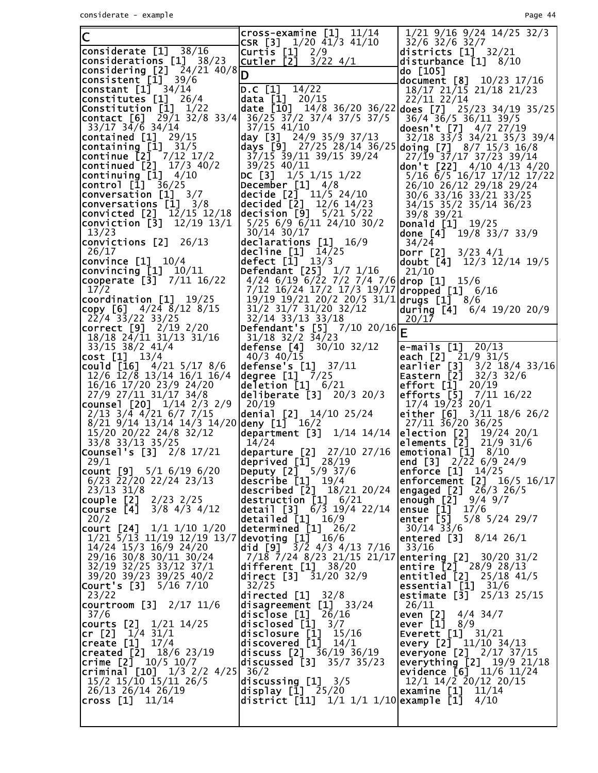| CSR $[3]$ $1/20$ $41/3$ $41/10$<br>32/6 32/6 32/7                                                                                                                                            |  |
|----------------------------------------------------------------------------------------------------------------------------------------------------------------------------------------------|--|
| considerate $[1]$ 38/16<br>Curtis $[1]$ $2/9$<br>districts $[1]$ 32/21                                                                                                                       |  |
| $\textsf{considerations}$ [1] 38/23<br><u> Cutler [2]</u><br>$3/22$ 4/1<br>disturbance $[1]$ 8/10                                                                                            |  |
| <b>considering_[<u>2</u>]</b> 24/21 40/8 <br>do [105]<br>D                                                                                                                                   |  |
| <b> consistent [1]</b> 39/6<br>  <b>constant [1]</b> 34/14<br>document [8]<br>10/23 17/16<br>D.C [1]<br>14/22<br>18/17 21/15 21/18 21/23                                                     |  |
| constitutes [1]<br>data $[1]$ 20/15<br>26/4<br>22/11 22/14                                                                                                                                   |  |
| Constitution [1]<br>date [10] $14/8$ 36/20 36/22 does [7] 25/23 34/19 35/25<br>1/22                                                                                                          |  |
| <b>contact</b> [6] $29/1$ 32/8 33/4<br>36/25 37/2 37/4 37/5 37/5<br>36/4 36/5 36/11 39/5<br>33/17 34/6 34/14<br>37/15 41/10<br>doesn't [7] $4/7$ 27/19                                       |  |
| contained $[1]$ 29/15<br>day [3] $24/9$ 35/9 37/13<br>$32/18$ $33/3$ $34/21$ $35/3$ $39/4$                                                                                                   |  |
| containing $\begin{bmatrix} 1 \end{bmatrix}$ 31/5<br>days [9] 27/25 28/14 36/25 doing [7] 8/7 15/3 16/8                                                                                      |  |
| continue [2] <sup>-</sup> 7/12 17/2<br>37/15 39/11 39/15 39/24<br>27/19 37/17 37/23 39/14                                                                                                    |  |
| continued $[2]$ $17/3$ $40/2$<br>39/25 40/11<br><b>don't [22]</b> 4/10 4/13 4/20<br>$\textsf{continuing}$ [1] $4/10$<br> DC [3]<br>1/5 1/15 1/22<br>5/16 6/5 16/17 17/12 17/22               |  |
| control [1]<br>36/25<br>December $[1]$ 4/8<br>26/10 26/12 29/18 29/24                                                                                                                        |  |
| decide $[2]$ $11/5$ 24/10<br>conversation [1]<br>3/7<br>30/6 33/16 33/21 33/25                                                                                                               |  |
| decided $[2]$ $12/6$ $14/23$<br>$\left  \text{conversations} \right[ 1 \right]$ 3/8<br>34/15 35/2 35/14 36/23<br><b>convicted [2]</b> 12/15 12/18<br>decision $[9]$ $5/21$ $5/22$            |  |
| 39/8 39/21<br>$5/25$ 6/9 6/11 24/10 30/2<br>$12/19$ $13/1$<br> conviction [3]<br>Donald $[1]$ $19/25$                                                                                        |  |
| 30/14 30/17<br>13/23<br>done $[4]$ 19/8 33/7 33/9                                                                                                                                            |  |
| declarations [1] 16/9<br> convictions [2]<br>26/13<br>34/24                                                                                                                                  |  |
| 26/17<br>decline $[1]$ $14/25$<br><b>Dorr</b> $[2]$ $3/23$ $4/1$<br>defect $[\overline{1}]$ $13/3$<br>$\textsf{convince} \texttt{[1]} \quad 10/4$<br>doubt $[4]$ 12/3 12/14 19/5             |  |
| convincing [1]<br> Defendant [25]<br>$1/7$ $1/16$<br>10/11<br>21/10                                                                                                                          |  |
| cooperate [3] 7/11 16/22<br>4/24 6/19 6/22 7/2 7/4 7/6 drop [1] 15/6                                                                                                                         |  |
| 7/12 16/24 17/2 17/3 19/17 dropped [1] 6/16<br>17/2<br>$\left\lfloor \text{coordination} \right\rfloor$ 19/25<br>$19/19$ $19/21$ $20/2$ $20/5$ $31/1$ drugs $[1]$ $8/6$                      |  |
| 31/2 31/7 31/20 32/12<br><b>copy [6]</b> 4/24 8/12 8/15<br> during [4]<br>6/4 19/20 20/9                                                                                                     |  |
| 22/4 33/22 33/25<br>32/14 33/13 33/18<br>20/17                                                                                                                                               |  |
| correct [9] 2/19 2/20<br>Defendant's [5] $7/10$ 20/16<br>31/18 32/2 34/23                                                                                                                    |  |
| 18/18 24/11 31/13 31/16<br>e-mails [1]<br>$33/15$ $38/2$ $41/4$<br>defense [4]<br>20/13<br>30/10 32/12                                                                                       |  |
| cost [1] 13/4<br>each [2] 21/9 31/5<br>$40/3$ $40/15$                                                                                                                                        |  |
| could $[16]$ 4/21 5/17 8/6<br>defense's [1]<br>earlier [3]<br>37/11<br>3/2 18/4 33/16<br>degree $[1]$ $7/25$                                                                                 |  |
| Eastern [2]<br>12/6 12/8 13/14 16/1 16/4<br>$32/3$ 32/6<br>$effort$ $[1]$<br>16/16 17/20 23/9 24/20<br>deletion $[1]$ $6/21$<br>20/19                                                        |  |
| efforts [5]<br>27/9 27/11 31/17 34/8<br>deliberate $[3]$ 20/3 20/3<br>7/11 16/22                                                                                                             |  |
| $17/4$ $19/2\overline{3}$ $20/1$<br>counsel $[20]$ $1/14$ $2/3$ $2/9$<br>20/19                                                                                                               |  |
| $2/13$ $3/4$ $4/21$ $6/7$ $7/15$<br>denial $[2]$ $14/10$ $25/24$<br>either [6]<br>$3/11$ 18/6 26/2<br>8/21 9/14 13/14 14/3 14/20 deny [1] 16/2<br>27/11 36/20 36/25                          |  |
| 15/20 20/22 24/8 32/12<br>department $[3]$ $1/14$ $14/14$<br>election [2]<br>19/24 20/1                                                                                                      |  |
| 33/8 33/13 35/25<br>14/24<br>elements [2]<br>$21/9$ 31/6                                                                                                                                     |  |
| Counsel's [3] 2/8 17/21<br>emotional $\begin{bmatrix} 1 \end{bmatrix}$ 8/10<br>departure [2] 27/10 27/16<br>deprived $[1]$ 28/19<br>end [3] 2/22 6/9 24/9<br>29/1                            |  |
| Deputy [2] 5/9 37/6<br>count $[9]$ 5/1 6/19 6/20<br>enforce [1]<br>14/25                                                                                                                     |  |
| $describe$ $[1]$ $19/4$<br>6/23 22/20 22/24 23/13<br>enforcement $[2]$ 16/5 16/17                                                                                                            |  |
| described $[2]$ $18/21$ $20/24$<br>engaged [2]<br>$23/13$ $31/8$<br>26/3 26/5<br>$des$ truction $[1]$ $6/21$<br>enough [2] 9/4 9/7<br> couple [2]<br>2/23 2/25                               |  |
| ensue $\begin{bmatrix} 1 \end{bmatrix}$ 17/6<br>detail [3] 6/3 19/4 22/14<br> course [4]<br>$3/8$ 4/3 4/12                                                                                   |  |
| enter $[5]$ 5/8 5/24 29/7<br>detailed $\begin{bmatrix} 1 \end{bmatrix}$ $\begin{bmatrix} 16/9 \end{bmatrix}$<br>20/2                                                                         |  |
| determined $[1]$ $26/2$<br>court [24] 1/1 1/10 1/20<br>$30/14$ $33/6$<br>$1/21$ 5/13 11/19 12/19 13/7 devoting [1]<br>entered [3]<br>16/6<br>8/14 26/1                                       |  |
| did [9] $\frac{1}{3}$ /2 4/3 4/13 7/16<br>14/24 15/3 16/9 24/20<br>33/16                                                                                                                     |  |
| 29/16 30/8 30/11 30/24<br>$7/18$ $7/24$ $8/23$ 21/15 21/17 entering [2] 30/20 31/2                                                                                                           |  |
| 32/19 32/25 33/12 37/1<br>different $[1]$ 38/20<br>entire $[2]$ 28/9 28/13<br>entitled [2]<br>$25/18$ 41/5<br>39/20 39/23 39/25 40/2<br><b>direct [3]</b> 31/20 32/9                         |  |
| <b>Court's [3]</b> 5/16 7/10<br>essential $[1]$ $31/6$<br>32/25                                                                                                                              |  |
| estimate $[3]$ 25/13 25/15<br>directed [1]<br>32/8<br>23/22                                                                                                                                  |  |
| disagreement [1] 33/24<br>  <b>courtroom [3]</b> 2/17 11/6<br>26/11<br>even $[2]$<br>disclose [1] 26/16<br>37/6<br>4/4 34/7                                                                  |  |
| disclosed [1]<br>ever [1]<br>3/7<br>  <b>courts [2]</b> 1/21 14/25<br>8/9                                                                                                                    |  |
| disclosure [1]<br>Everett [1] 31/21<br>cr $[2]$ $1/4$ $31/1$<br>15/16                                                                                                                        |  |
| <b>create</b> $[1]$ $17/4$<br>$div$ discovered [1] $14/1$<br>every $[2]$ $11/10$ 34/13<br>created [2] 18/6 23/19<br>discuss [2] 36/19 36/19<br>everyone [2] 2/17 37/15                       |  |
| crime $[2]$ $10/5$ $10/7$<br>everything $[2]$ 19/9 21/18<br>35/7 35/23<br> discussed [3]                                                                                                     |  |
| criminal $[10]$ $1/3$ $2/2$ $4/25$ $36/2$<br>evidence [6] 11/6 11/24                                                                                                                         |  |
| $15/2$ $15/\overline{10}$ $\overline{15}/11$ $26/\overline{5}$<br>12/1 14/2 20/12 20/15<br>discussing $[1]$ $3/5$<br>examine [1]<br>26/13 26/14 26/19<br><b>display [1̃]</b> 25/20 <br>11/14 |  |
| $\textsf{cross} \; [1] \; 11/14$<br>district [11]<br>$1/1$ $1/1$ $1/10$ example [1]<br>4/10                                                                                                  |  |
|                                                                                                                                                                                              |  |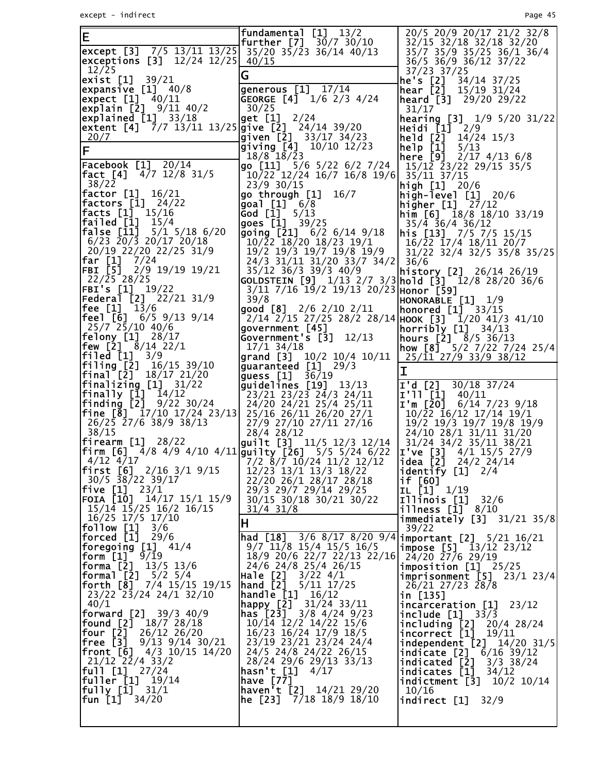| E                                                                                                                                          | fundamental [1] 13/2<br><b>further</b> $[7]$ 30/7 30/10                                                          | 20/5 20/9 20/17 21/2 32/8<br>32/15 32/18 32/18 32/20                                                    |
|--------------------------------------------------------------------------------------------------------------------------------------------|------------------------------------------------------------------------------------------------------------------|---------------------------------------------------------------------------------------------------------|
| except [3] $7/5$ 13/11 13/25 35/20 35/23 36/14 40/13<br>exceptions [3] $12/24$ $12/25$ $40/15$                                             |                                                                                                                  | 35/7 35/9 35/25 36/1 36/4<br>36/5 36/9 36/12 37/22                                                      |
| 12/25<br><b>exist [1]</b> 39/21                                                                                                            | G                                                                                                                | 37/23 37/25<br>he's $[2]$ 34/14 37/25                                                                   |
| $\left \vert \text{{\small exp}ansive} \right \vert$ 40/8<br>$\left  \text{expect} \right $ 40/11                                          | generous [1] 17/14<br>GEORGE $[4]$ $1/6$ 2/3 4/24                                                                | <b>hear</b> $[2]$ 15/19 31/24<br>$\left[\text{heart} \right]$ 29/20 29/22                               |
| explain [2] 9/11 40/2                                                                                                                      | 30/25                                                                                                            | 31/17                                                                                                   |
| $\left  \text{explained} \right $ 33/18<br>extent [4] 7/7 13/11 13/25 give [2] 24/14 39/20                                                 | get [1] 2/24                                                                                                     | <b>hearing [3]</b> $1/9$ 5/20 31/22<br>Heidi [1] 2/9                                                    |
| 20/7<br>lF                                                                                                                                 | given [2] 33/17 34/23<br>$\left[$ giving [4] $\left[ 10/10 \right] 12/23$                                        | $he$ <sup>1</sup> d $[2]$ 14/24 15/3<br>help [1]<br>5/13                                                |
| <b>Facebook [1]</b> 20/14                                                                                                                  | $18/8$ 18/23<br>go $[11]$ 5/6 5/22 6/2 7/24                                                                      | <b>here [9]</b> $2/17$ $4/13$ $6/8$<br>15/12 23/22 29/15 35/5                                           |
| <b> fact [4]</b> 4/7 12/8 31/5<br>38/22                                                                                                    | $10/22$ $12/24$ $16/7$ $16/8$ $19/6$ $35/11$ $37/15$<br>23/9 30/15                                               |                                                                                                         |
| <sup>30/22</sup><br>  <b>factor [1]</b> 16/21                                                                                              | go through $[1]$ $16/7$                                                                                          | <b>high [1]</b> $20/6$<br>high-level [1] 20/6                                                           |
| <b> factors [1]</b> 24/22<br><b> facts [1]</b> 15/16                                                                                       | goal [1] 6/8<br>God [Ī] 5/13<br>goes [1̄] 39/25                                                                  | higher [1] $\sqrt{27/12}$<br>$\text{him} [6]$ 18/8 18/10 33/19                                          |
| $ $ failed $ $ [1] 15/4<br><b>false [11]</b> $5/1$ $5/18$ $6/20$                                                                           | going [21] 6/2 6/14 9/18                                                                                         | $35/4$ 36/4 36/12<br>$\ln$ is [13] 7/5 7/5 15/15                                                        |
| $6/23$ 20/3 20/17 20/18<br>20/19 22/20 22/25 31/9                                                                                          | $10/\overline{2}2$ 18/20 18/23 19/1<br>19/2 19/3 19/7 19/8 19/9                                                  | $16/\overline{2}2$ $\overline{17}/4$ $18/\overline{11}$ $20/\overline{7}$<br>31/22 32/4 32/5 35/8 35/25 |
| <b> far [1]</b> 7/24<br>$FBI$ $\begin{bmatrix} 5 \end{bmatrix}$ 2/9 19/19 19/21                                                            | 24/3 31/11 31/20 33/7 34/2 36/6                                                                                  |                                                                                                         |
| 22/25 28/25                                                                                                                                | 35/12 36/3 39/3 40/9                                                                                             |                                                                                                         |
| <b>FBI's [1]</b> 19/22<br><b>Federal [2]</b> 22/21 31/9                                                                                    | 3/11 7/16 19/2 19/13 20/23 Honor [59]<br>39/8                                                                    | HONORABLE [1]<br>1/9                                                                                    |
| <b> fee [1]</b> 13/6                                                                                                                       | <b>good</b> $[8]$ 2/6 2/10 2/11<br>$2/14$ $2/15$ $27/25$ $28/2$ $28/14$ HOOK [3] $\frac{1}{2}$ $1/20$ 41/3 41/10 | honored $[1]$ 33/15                                                                                     |
| $25/7$ 25/10 40/6                                                                                                                          | government [45]                                                                                                  | horribly $[1]$ 34/13                                                                                    |
| <b> felony [1]</b> 28/17<br><b> few [2]</b> 8/14 22/1                                                                                      | Government's [3]<br>12/13<br>17/1 34/18                                                                          | <b>hours [2]</b> $8/5$ 36/13<br>how [8] $5/2$ 7/22 7/24 25/4                                            |
| <b> filed [1]</b> 3/9<br> filing [2]<br>16/15 39/10                                                                                        | grand [3] $10/2$ 10/4 10/11<br>guaranteed [1] 29/3                                                               | 25/11 27/9 33/9 38/12<br>I                                                                              |
| $\left  \mathbf{final}^{\mathsf{T}}[\bar{2}] - 18/17 \right  21/20$<br>$\begin{bmatrix} \text{finalizing} \\ \text{I} \end{bmatrix}$ 31/22 | guess $[1]$ 36/19<br>$\left  \text{guidelines} \right[ 19 \right]$ 13/13                                         | I'd [2] $30/18$ $37/24$                                                                                 |
| $\textsf{finally} \texttt{[1]} \texttt{14/12}$<br><b>finding [2]</b> $9/22$ 30/24                                                          | 23/21 23/23 24/3 24/11<br>24/20 24/21 25/4 25/11                                                                 | $I'$ 11 [1] 40/11<br>I'm [20] $6/14$ 7/23 9/18                                                          |
| <b>fine [8]</b> $17/10$ $17/24$ $23/13$                                                                                                    | 25/16 26/11 26/20 27/1                                                                                           | 10/22 16/12 17/14 19/1                                                                                  |
| 26/25 27/6 38/9 38/13<br>38/15                                                                                                             | 27/9 27/10 27/11 27/16<br>$28/4$ 28/12                                                                           | 19/2 19/3 19/7 19/8 19/9<br>24/10 28/1 31/11 31/20                                                      |
|                                                                                                                                            | firearm [1] 28/22<br> firm [6] 4/8 4/9 4/10 4/11  guilty [26] 5/5 5/24 6/22                                      | 31/24 34/2 35/11 38/21<br>$I$ ve [3] $4/1$ 15/5 27/9                                                    |
| 4/12 4/17<br><b>first</b> [6] 2/16 3/1 9/15                                                                                                | $\begin{bmatrix} 7/2 & 8/7 & 10/24 & 11/2 & 12/12 \end{bmatrix}$<br>12/23 13/1 13/3 18/22                        | $\sqrt{1}$ dea $\sqrt{2}$ 24/2 24/14<br>identify [1] 2/4                                                |
| 30/5 38/22 39/17<br> five [1]<br>23/1                                                                                                      | 22/20 26/1 28/17 28/18<br>29/3 29/7 29/14 29/25                                                                  | if [60]<br>IL [1] 1/19                                                                                  |
| <b>FOIA [10]</b> 14/17 15/1 15/9                                                                                                           | 30/15 30/18 30/21 30/22                                                                                          | Illinois [1]<br>32/6                                                                                    |
| 15/14 15/25 16/2 16/15<br>  16/25 17/5 17/10<br>  <b>follow [1]</b> 3/6                                                                    | $31/4$ $31/8$<br>Η                                                                                               | $i$ llness [ $1$ ] $8/10$<br><b>immediately</b> $[3]$ $31/21$ $35/8$                                    |
| forced [1]<br>29/6                                                                                                                         | $[hal [18] 3/6 8/17 8/20 9/4]$ important [2] 5/21 16/21                                                          | 39/22                                                                                                   |
| <b> foregoing [1]</b> 41/4<br> form [1]<br>9/19                                                                                            | $9/7$ 11/8 15/4 15/5 16/5<br>18/9 20/6 22/7 22/13 22/16                                                          | <b>impose</b> $[5]$ $13/12$ $23/12$<br>24/20 27/6 29/19                                                 |
| forma [2]<br>$13/5$ 13/6<br> formal [2]<br>$5/2$ 5/4                                                                                       | 24/6 24/8 25/4 26/15<br>Hale [2]<br>$3/22$ 4/1                                                                   | $imposition$ [1] $25/25$                                                                                |
| <b>forth [8]</b> $7/4$ 15/15 19/15                                                                                                         | hand [2]<br>$5/11$ $17/25$                                                                                       | <b>imprisonment</b> $[5]$ 23/1 23/4<br>26/21 27/23 28/8                                                 |
| 23/22 23/24 24/1 32/10<br>40/1                                                                                                             | handle_[1]<br>16/12<br>happy [2] 31/24 33/11                                                                     | in [135]<br>incarceration [1]<br>23/12                                                                  |
| <b>forward [2]</b> 39/3 40/9<br>[found [2]<br>18/7 28/18                                                                                   | <b>has [23]</b> 3/8 4/24 9/23<br>10/14 12/2 14/22 15/6                                                           | include $[1]$ 33/3<br>including [2]<br>20/4 28/24                                                       |
| four [2] $^{-}$<br>26/12 26/20<br> free [3]<br>$9/13$ $9/14$ $30/21$                                                                       | 16/23 16/24 17/9 18/5<br>23/19 23/21 23/24 24/4                                                                  | incorrect [1]<br>19/11<br>independent [2] 14/20 31/5                                                    |
| <b>front [6]</b> 4/3 10/15 14/20                                                                                                           | 24/5 24/8 24/22 26/15                                                                                            | indicate [2] 6/16 39/12                                                                                 |
| 21/12 22/4 33/2<br> full [1]<br>27/24                                                                                                      | 28/24 29/6 29/13 33/13<br>hasn't [1]<br>4/17                                                                     | indicated [2]<br>$3/3$ 38/24<br>34/12<br>indicates [1]                                                  |
| fuller [1]<br>19/14<br><b> fully [1]</b> 31/1                                                                                              | have [77]<br>haven't $[2]$ 14/21 29/20                                                                           | indictment [3]<br>10/2 10/14<br>10/16                                                                   |
| fun [1]<br>34/20                                                                                                                           | he [23] 7/18 18/9 18/10                                                                                          | indirect [1]<br>32/9                                                                                    |
|                                                                                                                                            |                                                                                                                  |                                                                                                         |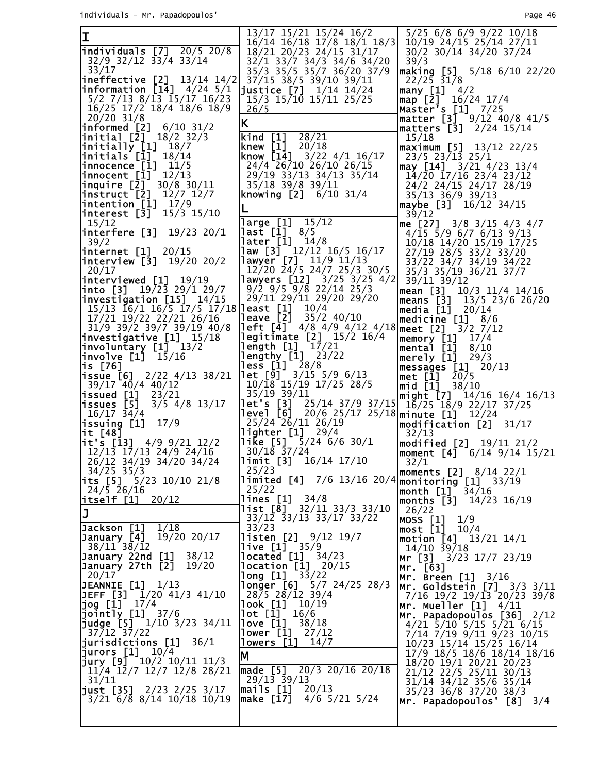individuals - Mr. Papadopoulos' Page 46

|                                                                                             | 13/17 15/21 15/24 16/2                                          | $5/25$ 6/8 6/9 9/22 10/18                                                         |
|---------------------------------------------------------------------------------------------|-----------------------------------------------------------------|-----------------------------------------------------------------------------------|
| I                                                                                           | 16/14 16/18 17/8 18/1 18/3                                      | $10/19$ 24/15 25/14 27/11                                                         |
| $\ln$ dividuals $[7]$ 20/5 20/8                                                             |                                                                 |                                                                                   |
|                                                                                             | 18/21 20/23 24/15 31/17                                         | 30/2 30/14 34/20 37/24                                                            |
| 32/9 32/12 33/4 33/14                                                                       | 32/1 33/7 34/3 34/6 34/20                                       | 39/3                                                                              |
| 33/17                                                                                       | 35/3 35/5 35/7 36/20 37/9                                       |                                                                                   |
|                                                                                             |                                                                 | $\begin{bmatrix} \text{making} & 5 \\ 22/25 & 31/8 \end{bmatrix}$ 5/18 6/10 22/20 |
| <b>ineffective</b> $[2]$ 13/14 14/2                                                         | 37/15 38/5 39/10 39/11                                          |                                                                                   |
| <b>information</b> $[14]$ 4/24 5/1                                                          | justice $[7]$ $1/14$ $14/24$                                    | many $[1]$ 4/2                                                                    |
|                                                                                             |                                                                 |                                                                                   |
| 5/2 7/13 8/13 15/17 16/23                                                                   | 15/3 15/10 15/11 25/25                                          | $\text{map}$ [2] 16/24 17/4                                                       |
| 16/25 17/2 18/4 18/6 18/9                                                                   | 26/5                                                            | Master's [1] 7/25                                                                 |
| $20/20$ 31/8                                                                                |                                                                 |                                                                                   |
|                                                                                             | K.                                                              | matter [3] 9/12 40/8 41/5                                                         |
| $\ln$ formed [2] $6/10$ 31/2                                                                |                                                                 | matters [3] 2/24 15/14                                                            |
| initial $[2]$ $18/2$ $32/3$                                                                 | 28/21<br>$\text{kind}$ $[1]$                                    | 15/18                                                                             |
|                                                                                             |                                                                 |                                                                                   |
| $\begin{bmatrix} \texttt{initially} & \texttt{[1]} & \texttt{18/7} \end{bmatrix}$           | <b>knew</b> $[1]$ 20/18                                         | maximum [5]<br>13/12 22/25                                                        |
| $\left  \mathsf{initials}\right.$ $\left[ \bar{1}\right] ^{-}$ 18/14                        | <b>know [14]</b> $3/22$ $4/1$ $16/17$                           | 23/5 23/13 25/1                                                                   |
|                                                                                             |                                                                 |                                                                                   |
| $ $ innocence $[1]$ $11/5$                                                                  | 24/4 26/10 26/10 26/15                                          | $\textsf{may}$ [14] 3/21 4/23 13/4                                                |
| $\textsf{innocent}$ $\begin{bmatrix} 1 \end{bmatrix}$ $\begin{bmatrix} 12/13 \end{bmatrix}$ | 29/19 33/13 34/13 35/14                                         | 14/20 17/16 23/4 23/12                                                            |
| $\ln$ quire [2] 30/8 30/11                                                                  | 35/18 39/8 39/11                                                |                                                                                   |
|                                                                                             |                                                                 | 24/2 24/15 24/17 28/19                                                            |
| $ins$ truct $[2]$ $12/7$ $12/7$                                                             | <b>knowing [2]</b> $6/10$ 31/4                                  | 35/13 36/9 39/13                                                                  |
| $\left  \text{intention} \left[ 1 \right] \right  17/9$                                     |                                                                 | <b>maybe [3]</b> 16/12 34/15                                                      |
|                                                                                             |                                                                 |                                                                                   |
| interest $[3]$ $15/3$ $15/10$                                                               |                                                                 | 39/12                                                                             |
| 15/12                                                                                       | large [1]<br>15/12                                              | me [27] 3/8 3/15 4/3 4/7                                                          |
| <b>interfere [3]</b> 19/23 20/1                                                             | $\textsf{last}[1] \ \ 8/5$                                      |                                                                                   |
|                                                                                             |                                                                 | $4/15$ 5/9 6/7 6/13 9/13                                                          |
| 39/2                                                                                        | <b>later [1]</b> 14/8                                           | 10/18 14/20 15/19 17/25                                                           |
| internet [1]<br>20/15                                                                       | $\text{law}$ [3] $\frac{12}{12}$ 16/5 16/17                     | 27/19 28/5 33/2 33/20                                                             |
|                                                                                             |                                                                 |                                                                                   |
| $\left  \text{interview [3]} \right  19/20 20/2$                                            | <b>lawyer [7]</b> 11/9 11/13                                    | 33/22 34/7 34/19 34/22                                                            |
| 20/17                                                                                       | 12/20 24/5 24/7 25/3 30/5                                       | 35/3 35/19 36/21 37/7                                                             |
|                                                                                             | lawyers [12] 3/25 3/25 4/2                                      |                                                                                   |
| interviewed [1] 19/19                                                                       |                                                                 | 39/11 39/12                                                                       |
| <b>into</b> [3] $19/23$ 29/1 29/7                                                           | $9/2$ $9/5$ $9/8$ 22/14 25/3                                    | mean [3] 10/3 11/4 14/16                                                          |
| investigation [15] 14/15                                                                    | 29/11 29/11 29/20 29/20                                         | means [3] 13/5 23/6 26/20                                                         |
|                                                                                             |                                                                 |                                                                                   |
| 15/13 16/1 16/5 17/5 17/18                                                                  | <b>least</b> $[1]$ $10/4$                                       | <b>media [1]</b> 20/14                                                            |
| 17/21 19/22 22/21 26/16                                                                     | <b>leave [2]</b> $35/2$ 40/10                                   | medicine $[1]$ 8/6                                                                |
| 31/9 39/2 39/7 39/19 40/8                                                                   | <b>left [4]</b> $4/8$ 4/9 4/12 4/18 meet [2] 3/2 7/12           |                                                                                   |
|                                                                                             |                                                                 |                                                                                   |
| investigative $[1]$ $15/18$                                                                 | <b>legitimate</b> $[2]$ 15/2 16/4                               | memory [1]<br>17/4                                                                |
| $\lceil$ invo $\lceil$ untary $\lceil 1 \rceil$ $\lceil 13/2 \rceil$                        | length [1] <sup>-</sup> 17/21<br>lengthy [1] <sub>-</sub> 23/22 | mental [1]<br>8/10                                                                |
|                                                                                             |                                                                 |                                                                                   |
| $ involve [1]$ 15/16                                                                        |                                                                 | <b>merely [1]</b> 29/3                                                            |
| is [76]                                                                                     | <b>less</b> [1] 28/8                                            | messages [1] 20/13                                                                |
| <b>issue [6]</b> $2/22$ $4/13$ $38/21$                                                      | <b>let</b> $\begin{bmatrix} 9 \end{bmatrix}$ 3/15 5/9 6/13      | 20/5                                                                              |
|                                                                                             |                                                                 | met [1]                                                                           |
| $39/17$ $40/4$ $40/12$                                                                      | $10/\overline{18}$ 15/19 17/25 28/5                             | <b>mid [1]</b> 38/10                                                              |
| $\textsf{isused}\texttt{[1]}$ 23/21                                                         | 35/19 39/11                                                     | <b> might [7]</b> 14/16 16/4 16/13                                                |
|                                                                                             |                                                                 |                                                                                   |
| issues [5]<br>$3/5$ 4/8 13/17                                                               | $let's [3] 25/14 37/9 37/15   16/25 18/9 22/17 37/25$           |                                                                                   |
| $16/17$ $34/4$                                                                              | level [6] 20/6 25/17 25/18 minute [1] 12/24                     |                                                                                   |
| issuing [1]<br>17/9                                                                         | 25/24 26/11 26/19                                               | $\textsf{]modifification}$ [2] $\frac{31}{17}$                                    |
|                                                                                             |                                                                 |                                                                                   |
| it [48]                                                                                     | lighter $[1]$ 29/4                                              | 32/13                                                                             |
| $\overline{\textbf{ii}}$ it's [13] 4/9 9/21 12/2                                            | <b>like</b> [5] $5/24$ 6/6 30/1                                 | <b>modified [2]</b> 19/11 21/2                                                    |
| 12/13 17/13 24/9 24/16                                                                      | $30/18$ 37/24                                                   |                                                                                   |
|                                                                                             |                                                                 |                                                                                   |
| 26/12 34/19 34/20 34/24                                                                     | $\begin{bmatrix} 1 \text{imit} & 3 \end{bmatrix}$ 16/14 17/10   | 32/1                                                                              |
| $34/25$ 35/3                                                                                | 25/23                                                           | moments $[2]$ 8/14 22/1                                                           |
|                                                                                             |                                                                 |                                                                                   |
| its [5] $5/23$ 10/10 21/8                                                                   | limited [4] 7/6 13/16 20/4 monitoring [1] 33/19                 |                                                                                   |
| $24/5$ $\bar{2}6/16$                                                                        | 25/22                                                           | $ $ month $\left[1\right]^{-}$<br>34/16                                           |
| itself [1] 20/12                                                                            | lines [1]<br>34/8                                               |                                                                                   |
|                                                                                             |                                                                 | months [3] 14/23 16/19                                                            |
| J                                                                                           | <b>list [8]</b> 32/11 33/3 33/10                                | 26/22                                                                             |
|                                                                                             | 33/12 33/13 33/17 33/22                                         | MOSS [1]<br>1/9                                                                   |
| Jackson [1]<br>1/18                                                                         | 33/23                                                           | most [1] 10/4                                                                     |
|                                                                                             |                                                                 |                                                                                   |
| January [4]<br>19/20 20/17                                                                  | <b>listen</b> $[2]$ $9/12$ $19/7$                               | motion $[4]$ 13/21 14/1                                                           |
| 38/11 38/12                                                                                 | <b>live [1]</b> 35/9                                            | $14/10$ $39/18$                                                                   |
| January 22nd [1]<br>38/12                                                                   | <b>located</b> $[1]$ $34/23$                                    |                                                                                   |
|                                                                                             |                                                                 | <b>Mr [3]</b> 3/23 17/7 23/19                                                     |
| January 27th [2]<br>19/20                                                                   | location [1] 20/15                                              | Mr. [63]                                                                          |
| 20/17                                                                                       | long [1]<br>33/22                                               | <b>Mr. Breen [1]</b> 3/16                                                         |
| JEANNIE $[1]$ $1/13$                                                                        | longer [6]<br>$5/7$ 24/25 28/3                                  |                                                                                   |
|                                                                                             |                                                                 | <b> Mr. Goldstein [7]</b> 3/3 3/11 <b> </b>                                       |
| JEFF [3] 1/20 41/3 41/10                                                                    |                                                                 | 7/16 19/2 19/13 20/23 39/8                                                        |
| jog [1] $17/4$                                                                              | $28/5$ $28/12$ $39/4$                                           |                                                                                   |
|                                                                                             |                                                                 |                                                                                   |
|                                                                                             | look [1]<br>10/19                                               | Mr. Mueller [1]<br>4/11                                                           |
| $jointly [1]$ 37/6                                                                          | $lot$ $[1]$<br>16/6                                             |                                                                                   |
|                                                                                             |                                                                 | Mr. Papadopoulos [36]<br>2/12                                                     |
| <b>judge [5]</b> $1/10$ $3/23$ $34/11$                                                      | <b>love [1]</b> 38/18                                           | $4/21$ 5/10 5/15 5/21 6/15                                                        |
| $37/12$ $37/22$                                                                             | <b>lower</b> $[1]$ 27/12                                        | 7/14 7/19 9/11 9/23 10/15                                                         |
| 36/1                                                                                        |                                                                 |                                                                                   |
| jurisdictions [1]                                                                           | lowers [1] 14/7                                                 | 10/23 15/14 15/25 16/14                                                           |
| jurors $[1]$ $10/4$                                                                         | İΜ                                                              | 17/9 18/5 18/6 18/14 18/16                                                        |
| $\text{jury [9]}$ 10/2 10/11 11/3                                                           |                                                                 | 18/20 19/1 20/21 20/23                                                            |
| 11/4 12/7 12/7 12/8 28/21                                                                   | $\text{made}$ [5] 20/3 20/16 20/18                              |                                                                                   |
|                                                                                             |                                                                 | 21/12 22/5 25/11 30/13                                                            |
| 31/11                                                                                       | $29/13$ 39/13                                                   | 31/14 34/12 35/6 35/14                                                            |
| <b>just [35]</b> 2/23 2/25 3/17                                                             | $\textsf{mails [1]} \quad 20/13$                                | 35/23 36/8 37/20 38/3                                                             |
| 3/21 6/8 8/14 10/18 10/19                                                                   | make [17]<br>$4/6$ 5/21 5/24                                    |                                                                                   |
|                                                                                             |                                                                 | Mr. Papadopoulos' [8]<br>3/4                                                      |
|                                                                                             |                                                                 |                                                                                   |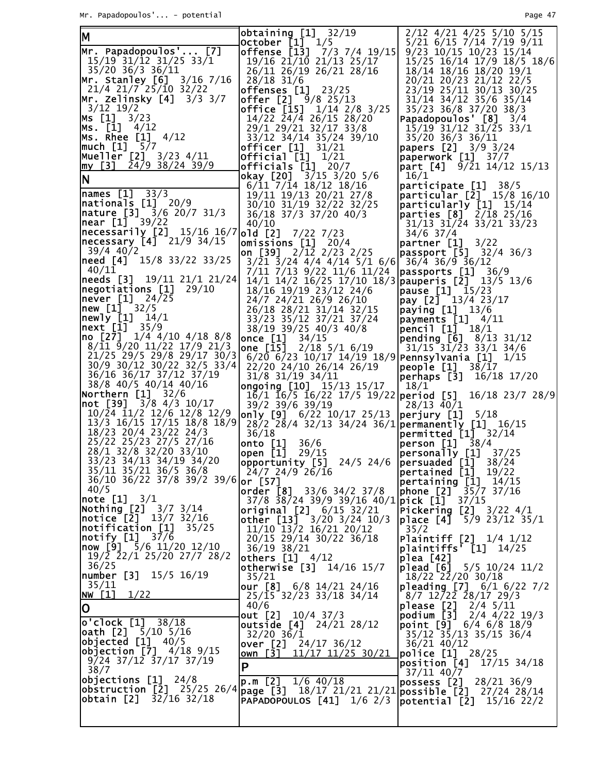| M                                                            | obtaining $[1]$ 32/19<br>October $\begin{bmatrix} 1 \end{bmatrix}$ $\begin{bmatrix} 1/5 \end{bmatrix}$ | 2/12 4/21 4/25 5/10 5/15<br>5/21 6/15 7/14 7/19 9/11                                                                                                                                                                                                                                                                                                                                                                                                             |
|--------------------------------------------------------------|--------------------------------------------------------------------------------------------------------|------------------------------------------------------------------------------------------------------------------------------------------------------------------------------------------------------------------------------------------------------------------------------------------------------------------------------------------------------------------------------------------------------------------------------------------------------------------|
| Mr. Papadopoulos' [7]                                        | offense [13] 7/3 7/4 19/15                                                                             | 9/23 10/15 10/23 15/14                                                                                                                                                                                                                                                                                                                                                                                                                                           |
| 15/19 31/12 31/25 33/1                                       | 19/16 21/10 21/13 25/17                                                                                | 15/25 16/14 17/9 18/5 18/6                                                                                                                                                                                                                                                                                                                                                                                                                                       |
| 35/20 36/3 36/11<br>Mr. Stanley [6] 3/16 7/16                | 26/11 26/19 26/21 28/16<br>28/18 31/6                                                                  | 18/14 18/16 18/20 19/1<br>20/21 20/23 21/12 22/5                                                                                                                                                                                                                                                                                                                                                                                                                 |
| $21/4$ $21/7$ $25/10$ $32/22$                                | <b>offenses [1]</b> 23/25                                                                              | 23/19 25/11 30/13 30/25                                                                                                                                                                                                                                                                                                                                                                                                                                          |
| <b> Mr. Zelinsky [4]</b> 3/3 3/7                             | offer $[2]$ $9/8$ 25/13                                                                                | 31/14 34/12 35/6 35/14                                                                                                                                                                                                                                                                                                                                                                                                                                           |
| $3/12$ 19/2<br>Ms [1] 3/23                                   | <b>office</b> $[15]$ $1/14$ $2/8$ $3/25$<br>$14/22$ $\bar{24}/\bar{4}$ 26/15 28/20                     | 35/23 36/8 37/20 38/3<br>Papadopoulos' $[8]$ $3/4$                                                                                                                                                                                                                                                                                                                                                                                                               |
| Ms. [1]<br>4/12                                              | 29/1 29/21 32/17 33/8                                                                                  | $15/19$ 31/12 31/25 33/1                                                                                                                                                                                                                                                                                                                                                                                                                                         |
| Ms. Rhee $[1]$ $4/12$                                        | 33/12 34/14 35/24 39/10                                                                                | 35/20 36/3 36/11                                                                                                                                                                                                                                                                                                                                                                                                                                                 |
| much [1] 5/7<br>Mueller [2] 3/23 4/11                        | <b>officer</b> [1] 31/21<br>Official [1] 1/21                                                          | papers [2] 3/9 3/24<br> paperwork [1] 37/7                                                                                                                                                                                                                                                                                                                                                                                                                       |
| $\text{my}$ [3] 24/9 38/24 39/9                              | officials $\begin{bmatrix} 1 \end{bmatrix}$ 20/7                                                       | <b>part [4]</b> 9/21 14/12 15/13                                                                                                                                                                                                                                                                                                                                                                                                                                 |
| N                                                            | <b>okay</b> [20] $3/15$ $3/20$ $5/6$                                                                   | 16/1                                                                                                                                                                                                                                                                                                                                                                                                                                                             |
| $names [1] 33/3$                                             | $6/11$ $7/14$ $18/12$ $18/16$<br>19/11 19/13 20/21 27/8                                                | participate [1]<br>38/5<br>$\left[\text{particular } [\tilde{2}] \right]$ 15/8 16/10                                                                                                                                                                                                                                                                                                                                                                             |
| $\sqrt{20/9}$                                                | 30/10 31/19 32/22 32/25                                                                                | particular]y [1] 15/14                                                                                                                                                                                                                                                                                                                                                                                                                                           |
| nature [3] 3/6 20/7 31/3                                     | 36/18 37/3 37/20 40/3                                                                                  | parties $[8]$ $2/18$ 25/16                                                                                                                                                                                                                                                                                                                                                                                                                                       |
| <b>near [1]</b> 39/22<br> necessarily [2] 15/16 16/7 old [2] | 40/10<br>$7/22$ $7/23$                                                                                 | $31/13$ $31/24$ $33/21$ $33/23$<br>$34/6$ 37/4                                                                                                                                                                                                                                                                                                                                                                                                                   |
| $ {\sf necessary}$ $[4]$ $21/9$ $34/15$                      | $omissions$ [1] $20/4$                                                                                 | $\lvert$ partner $\lbrack 1 \rbrack$ 3/22                                                                                                                                                                                                                                                                                                                                                                                                                        |
| $39/4$ 40/2                                                  | on [39] $2/12$ 2/23 2/25                                                                               | passport [5] 32/4 36/3                                                                                                                                                                                                                                                                                                                                                                                                                                           |
| need [4] 15/8 33/22 33/25<br>40/11                           | $3/21$ $3/24$ $4/4$ $4/14$ $5/1$ $6/6$ $36/4$ $36/9$ $36/12$<br>7/11 7/13 9/22 11/6 11/24              | $passports$ [1] $36/9$                                                                                                                                                                                                                                                                                                                                                                                                                                           |
| <b>needs [3]</b> 19/11 21/1 21/24                            | 14/1 14/2 16/25 17/10 18/3 pauperis [2] 13/5 13/6                                                      |                                                                                                                                                                                                                                                                                                                                                                                                                                                                  |
| $\left  \text{negotiations} \right[ 1 \right] 29/10$         | 18/16 19/19 23/12 24/6                                                                                 | $\alpha$ pause $[1]$ 15/23                                                                                                                                                                                                                                                                                                                                                                                                                                       |
| <b>never [1]</b> 24/25<br>new [1] 32/5                       | 24/7 24/21 26/9 26/10<br>26/18 28/21 31/14 32/15                                                       | $\left  \text{pay} \right $ $\left[ 2 \right]$ $\left  \right $ $\left  \right $ $\left  \right $ $\left  \right $ $\left  \right $ $\left  \right $ $\left  \right $ $\left  \right $ $\left  \right $ $\left  \right $ $\left  \right $ $\left  \right $ $\left  \right $ $\left  \right $ $\left  \right $ $\left  \right $ $\left  \right $ $\left  \right $ $\left  \right $ $\left  \right $ $\left  \right $ $\left  \right $<br>$\sqrt{paying}$ [1] 13/6 |
| newly [1] 14/1                                               | 33/23 35/12 37/21 37/24                                                                                | $\sqrt{p}$ payments $[1]$ 4/11                                                                                                                                                                                                                                                                                                                                                                                                                                   |
| <b>next</b> [1] 35/9<br>  <b>no [27]</b> 1/4 4/10 4/18 8/8   | 38/19 39/25 40/3 40/8                                                                                  | pencil [1] 18/1                                                                                                                                                                                                                                                                                                                                                                                                                                                  |
| $8/\overline{1}1$ $\overline{9}/20$ $11/22$ $17/9$ $21/3$    | <b>once</b> $[1]$ $34/15$<br>one $\left[\frac{1}{15}\right]$ $\frac{2}{18}$ 5/1 6/19                   | pending [6] 8/13 31/12<br>$31/15$ <sup>-</sup> $31/23$ 33/1 34/6                                                                                                                                                                                                                                                                                                                                                                                                 |
| 21/25 29/5 29/8 29/17 30/3                                   | $6/20$ 6/23 10/17 14/19 18/9 Pennsylvania [1] 1/15                                                     |                                                                                                                                                                                                                                                                                                                                                                                                                                                                  |
| 30/9 30/12 30/22 32/5 33/4<br>36/16 36/17 37/12 37/19        | 22/20 24/10 26/14 26/19                                                                                | <b>people</b> $[1]$ $38/17$                                                                                                                                                                                                                                                                                                                                                                                                                                      |
| 38/8 40/5 40/14 40/16                                        | $31/8$ $31/19$ $34/11$<br>ongoing $[10]$ 15/13 15/17                                                   | perhaps [3] 16/18 17/20<br>18/1                                                                                                                                                                                                                                                                                                                                                                                                                                  |
| Northern [1] 32/6                                            |                                                                                                        | $1\overline{6}/1$ $16\overline{7}$ $16\overline{7}$ $22\overline{17}/5$ $19\overline{7}$ $22$ <b>period</b> [5] $16\overline{7}$ $18\overline{7}$ $28\overline{7}$ $28\overline{7}$                                                                                                                                                                                                                                                                              |
| <b>not [39]</b> 3/8 4/3 10/17<br>10/24 11/2 12/6 12/8 12/9   | 39/2 39/6 39/19<br> only [9] 6/22 10/17 25/13                                                          | $28/13$ 40/1                                                                                                                                                                                                                                                                                                                                                                                                                                                     |
| 13/3 16/15 17/15 18/8 18/9                                   | 28/2 <sup>-</sup> 28/4 32/13 34/24 36/1 permanently [1] 16/15                                          | $\left $ perjury $\left[1\right]$ 5/18                                                                                                                                                                                                                                                                                                                                                                                                                           |
| 18/23 20/4 23/22 24/3                                        | 36/18                                                                                                  | $permitted$ $[1]$ $32/14$                                                                                                                                                                                                                                                                                                                                                                                                                                        |
| 25/22 25/23 27/5 27/16<br>28/1 32/8 32/20 33/10              | 36/6<br>onto $[1]$<br><b>open [1]</b> 29/15                                                            | <b>person [1]</b> 38/4<br>personally [1] 37/25                                                                                                                                                                                                                                                                                                                                                                                                                   |
| 33/23 34/13 34/19 34/20                                      | opportunity [5]                                                                                        | 24/5 24/6 $pers u = [1]$ 38/24                                                                                                                                                                                                                                                                                                                                                                                                                                   |
| 35/11 35/21 36/5 36/8                                        | 24/7 24/9 26/16                                                                                        | pertained [1]<br>19/22                                                                                                                                                                                                                                                                                                                                                                                                                                           |
| 36/10 36/22 37/8 39/2 39/6 or [57]<br>40/5                   | order $[8]$ 33/6 34/2 37/8                                                                             | pertaining [1]<br>14/15<br>35/7 37/16<br> phone [2]                                                                                                                                                                                                                                                                                                                                                                                                              |
| note [1]<br>3/1                                              | $37/8$ 38/24 39/9 39/16 40/1 pick [1]                                                                  | 37/15                                                                                                                                                                                                                                                                                                                                                                                                                                                            |
| Nothing [2]<br>$3/7$ $3/14$<br>13/7 32/16                    | original [2] 6/15 32/21                                                                                | Pickering [2] 3/22 4/1                                                                                                                                                                                                                                                                                                                                                                                                                                           |
| notice [2]<br> notification [1]<br>35/25                     | other [13]<br>$3/20$ $3/24$ $10/3$<br>11/10 13/2 16/21 20/12                                           | place [4]<br>5/9 23/12 35/1<br>35/2                                                                                                                                                                                                                                                                                                                                                                                                                              |
| notify [1]<br>37/6                                           | 20/15 29/14 30/22 36/18                                                                                | Plaintiff [2] 1/4 1/12                                                                                                                                                                                                                                                                                                                                                                                                                                           |
| $\sqrt{9}$ 5/6 11/20 12/10<br>19/2 22/1 25/20 27/7 28/2      | 36/19 38/21                                                                                            | <b>plaintiffs' [1]</b> 14/25                                                                                                                                                                                                                                                                                                                                                                                                                                     |
| 36/25                                                        | others $[1]$ $4/12$<br>otherwise [3] 14/16 15/7                                                        | p1ea [42]<br>$ $ plead $[6]$<br>$5/5$ 10/24 11/2                                                                                                                                                                                                                                                                                                                                                                                                                 |
| <b>number [3]</b> 15/5 16/19                                 | 35/21                                                                                                  | 18/22 22/20 30/18                                                                                                                                                                                                                                                                                                                                                                                                                                                |
| 35/11<br>1/22<br>NW [1]                                      | our $[8]$ 6/8 14/21 24/16                                                                              | pleading [7] 6/1 6/22 7/2                                                                                                                                                                                                                                                                                                                                                                                                                                        |
| 0                                                            | 25/15 32/23 33/18 34/14<br>40/6                                                                        | 8/7 12/22 28/17 29/3<br><b>please [2]</b> 2/4 5/11                                                                                                                                                                                                                                                                                                                                                                                                               |
| o'clock [1]<br>38/18                                         | out $[2]$ $10/4$ 37/3                                                                                  | podium [3]<br>2/4 4/22 19/3                                                                                                                                                                                                                                                                                                                                                                                                                                      |
| <b>oath [2]</b> 5/10 5/16                                    | <b>outside</b> $[4]$ $24/21$ $28/12$<br>$32/20$ 36/1                                                   | point $[9]$ 6/4 6/8 18/9<br>35/12 35/13 35/15 36/4                                                                                                                                                                                                                                                                                                                                                                                                               |
| <b>objected [1]</b> 40/5                                     | over $[2]$ 24/17 36/12                                                                                 | 36/21 40/12                                                                                                                                                                                                                                                                                                                                                                                                                                                      |
| <b>objection [7]</b> 4/18 9/15<br>$9/24$ 37/12 37/17 37/19   | own $\sqrt{31}$<br>11/17 11/25 30/21                                                                   | police [1] 28/25                                                                                                                                                                                                                                                                                                                                                                                                                                                 |
| 38/7                                                         | P                                                                                                      | position [4]<br>$17/15$ 34/18<br>37/11 40/7                                                                                                                                                                                                                                                                                                                                                                                                                      |
| <b>objections [1]</b> 24/8                                   | p.m [2] 1/6 40/18                                                                                      | possess [2] 28/21 36/9                                                                                                                                                                                                                                                                                                                                                                                                                                           |
| obtain [2]<br>32/16 32/18                                    | obstruction [2] 25/25_26/4 page [3] 18/17 21/21 21/21 possible [2] 27/24 28/14<br>PAPADOPOULOS [41]    |                                                                                                                                                                                                                                                                                                                                                                                                                                                                  |
|                                                              | $1/6$ 2/3                                                                                              | potential [2]<br>15/16 22/2                                                                                                                                                                                                                                                                                                                                                                                                                                      |
|                                                              |                                                                                                        |                                                                                                                                                                                                                                                                                                                                                                                                                                                                  |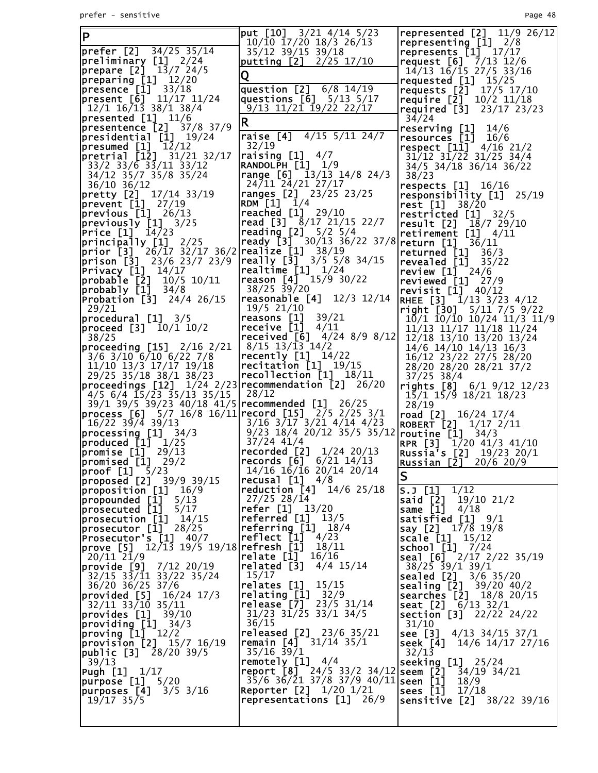| ΙP                                                                                                                           | put $[10]$ $3/21$ $4/14$ $5/23$<br>10/10 17/20 18/3 26/13                      | represented $[2]$ 11/9 26/12<br>representing $[1]$ $2/8$                                                                   |
|------------------------------------------------------------------------------------------------------------------------------|--------------------------------------------------------------------------------|----------------------------------------------------------------------------------------------------------------------------|
| prefer [2] 34/25 35/14                                                                                                       | 35/12 39/15 39/18                                                              | represents $[1]$ 17/17                                                                                                     |
| $\lvert \text{preliminary} \quad \text{[1]} \quad \text{2/24}$                                                               | putting $[2]$ $2/25$ 17/10                                                     | request $[6]$ 7/13 12/6                                                                                                    |
| <b>prepare [2]</b> 13/7 24/5                                                                                                 | Q                                                                              | $14/13$ $16/15$ $27/5$ $33/16$<br>requested $[1]$ $15/25$                                                                  |
| preparing [1] 12/20<br>presence [1] 33/18                                                                                    | question $[2]$ 6/8 14/19                                                       | requests [2] 17/5 17/10                                                                                                    |
| present $[6]$ 11/17 11/24                                                                                                    | questions $[6]$ $5/13$ $5/17$                                                  | require $[2]$ 10/2 11/18                                                                                                   |
| $12/1$ $16/13$ $38/1$ $38/4$                                                                                                 | <u>9/13 11/21 19/22 22/17</u>                                                  | required $[3]$ 23/17 23/23                                                                                                 |
| presented [1] 11/6<br>presentence [2] 37/8 37/9                                                                              | R                                                                              | 34/24<br>reserving [1]<br>14/6                                                                                             |
| $presidential$ $[1]$ $19/24$                                                                                                 | raise $\boxed{4}$ 4/15 5/11 24/7                                               | resources [1]<br>16/6                                                                                                      |
| presented [1] 12/12                                                                                                          | 32/19                                                                          | respect $[11]$ 4/16 21/2                                                                                                   |
| pretrial [12] 31/21 32/17                                                                                                    | raising $[1]$ 4/7<br><b>RANDOLPH [1]</b> 1/9                                   | 31/12 31/22 31/25 34/4                                                                                                     |
| $33/2$ $33/6$ $33/11$ $33/12$<br>34/12 35/7 35/8 35/24                                                                       | range $[6]$ 13/13 14/8 24/3                                                    | 34/5 34/18 36/14 36/22<br>38/23                                                                                            |
| $36/10$ 36/12                                                                                                                | 24/11 24/21 27/17                                                              | respects $[1]$ 16/16                                                                                                       |
| <b>pretty [2]</b> 17/14 33/19                                                                                                | <b>ranges [2]</b> 23/25 23/25                                                  | responsibility [1]<br>25/19                                                                                                |
| $\frac{1}{2}$ prevent $\begin{bmatrix} 1 \end{bmatrix}$ 27/19<br>previous $[1]$ 26/13                                        | <b>RDM</b> $[1]$ $1/4$<br><b>reached</b> [1] 29/10                             | rest [1] 38/20                                                                                                             |
| $ previously [1]$ 3/25                                                                                                       | read [3] $8/17$ 21/15 22/7                                                     | restricted $[1]$ 32/5<br>result $[2]$ $18/7$ 29/10                                                                         |
| <b>Price [1]</b> 14/23                                                                                                       | <b>reading [2]</b> $5/2$ $5/4$                                                 | retirement $[1]$ 4/11                                                                                                      |
| principally [1] 2/25                                                                                                         | ready [3] $30/13$ 36/22 37/8 return [1] $3\overline{6}/11$                     |                                                                                                                            |
| prior $[3]$ 26/17 32/17 36/2<br>prison [3] 23/6 23/7 23/9                                                                    | $\lceil \text{realize} \rceil$ 38/19<br>really $[3]$ $3/5$ $5/8$ $34/15$       | returned $[1]$ 36/3                                                                                                        |
| $Pri\$ {vacy} [1] 14/17                                                                                                      | realtime $[1]$ $1/24$                                                          | <b>revealed [1]</b> 35<br><b>review [1]</b> 24/6<br>35/22                                                                  |
| probable [2]<br>10/5 10/11                                                                                                   | reason $[4]$ 15/9 30/22                                                        | reviewed [1]<br>27/9                                                                                                       |
| $\begin{bmatrix} probab1y & 1 \end{bmatrix}$ 34/8                                                                            | $38/25$ $39/20$<br>reasonable [4] 12/3 12/14                                   | revisit $[1]$ 40/12                                                                                                        |
| <b>Probation [3]</b> $24/4$ 26/15<br>29/21                                                                                   | 19/5 21/10                                                                     | RHEE [3] 1/13 3/23 4/12<br>right $[30]$ 5/11 7/5 9/22                                                                      |
| procedure11 3/5                                                                                                              | reasons [1]<br>39/21                                                           | 10/1 10/10 10/24 11/3 11/9                                                                                                 |
| <b>proceed [3]</b> 10/1 10/2                                                                                                 | receive [1]<br>4/11                                                            | 11/13 11/17 11/18 11/24                                                                                                    |
| 38/25                                                                                                                        | received [6] 4/24 8/9 8/12 12/18 13/10 13/20 13/24<br>$8/15$ 13/13 14/2        |                                                                                                                            |
| proceeding [15] 2/16 2/21<br>2 10/4 <b>ננבו פיי ---</b><br>3/6 3/10 6/10 6/22 7/8  <br>3 11/10 13/2 13/1                     | $\lceil \text{recently [1]} \rceil$ 14/22                                      | 14/6 14/10 14/13 16/3<br>16/12 23/22 27/5 28/20                                                                            |
| 11/10 13/3 17/17 19/18                                                                                                       | recitation [1] 19/15                                                           | 28/20 28/20 28/21 37/2                                                                                                     |
| 29/25 35/18 38/1 38/23                                                                                                       | $\lceil \textsf{recollection} \rceil$ $\lceil 1 \rceil$ $\lceil 18/11 \rceil$  | $37/25$ 38/4                                                                                                               |
| $\left  \text{proceedings [12]} \right $ $1/24$ 2/23 $\left  \text{recommendation [2]}$ 26/20<br>$4/5$ 6/4 15/23 35/13 35/15 | 28/12                                                                          | rights $[8]$ $6/1$ $9/12$ $12/23$<br>15/1 15/9 18/21 18/23                                                                 |
| 39/1 39/5 39/23 40/18 41/5   recommended [1] 26/25                                                                           |                                                                                | 28/19                                                                                                                      |
| process [6] 5/7 16/8 16/11   record [15] 2/5 2/25 3/1                                                                        |                                                                                | road $[2]$ $16/24$ $17/4$                                                                                                  |
| 16/22 39/4 39/13                                                                                                             | $3/16$ $3/17$ $3/21$ $4/14$ $4/23$<br>$9/23$ 18/4 20/12 35/5 35/12             | <b>ROBERT</b> [2] $1/17$ $2/11$                                                                                            |
| processing [1] 34/3<br>$ $ produced $[1]$ $1/25$                                                                             | 37/24 41/4                                                                     | routine [1]<br>34/3<br>1/20 41/3 41/10<br><b>RPR [3]</b>                                                                   |
| $promise [1]$ 29/13                                                                                                          | recorded [2]<br>1/24 20/13                                                     | Russia's [2] 19/23 20/1                                                                                                    |
| promised [1]<br>29/2                                                                                                         |                                                                                | <b>Russian [2] 20/6 20/9</b>                                                                                               |
| <b>proof [1]</b> 5/23<br><b>proposed [2]</b> 39/9 39/15                                                                      | 14/16 16/16 20/14 20/14<br>recusal $[1]$ $4/8$                                 | S                                                                                                                          |
| proposition [1]<br>16/9                                                                                                      | reduction [4] 14/6 25/18                                                       | S.J [1]<br>1/12                                                                                                            |
| propounded [1]<br>5/13                                                                                                       | 27/25 28/14                                                                    | $said$ [2]<br>19/10 21/2                                                                                                   |
| prosecuted [1]<br>5/17                                                                                                       | refer [1] 13/20<br>referred [1]<br>13/5                                        | same [1]<br>4/18                                                                                                           |
| prosecution [1] <br>14/15<br>$ {\sf processor}$ [ $\bar{1}$ ] $^{-}$<br>28/25                                                | referring $[1]$ 18/4                                                           | satisfied $[1]$ $9/1$<br>say [2] 17/8 19/8                                                                                 |
| Prosecutor's [1]<br>40/7                                                                                                     | reflect [1]<br>4/23                                                            | scale [1]<br>15/12                                                                                                         |
| 12/13 19/5 19/18 refresh [1]<br> prove [5]                                                                                   | 18/11                                                                          | $school$ [1]<br>7/24                                                                                                       |
| $20/11$ $21/9$<br>provide [9]<br>7/12 20/19                                                                                  | relate [1]<br>16/16<br>related [3]<br>$4/4$ 15/14                              | <b>seal</b> $\begin{bmatrix} 6 \end{bmatrix}$ $\begin{bmatrix} 2/17 & 2/22 & 35/19 \end{bmatrix}$<br>$38/25$ $39/1$ $39/1$ |
| 32/15 33/11 33/22 35/24                                                                                                      | 15/17                                                                          | <b>sealed</b> $\begin{bmatrix} 2 \end{bmatrix}$ $3/6$ $35/20$                                                              |
| 36/20 36/25 37/6                                                                                                             | relates [1]<br>15/15                                                           | sealing [2]<br>39/20 40/2                                                                                                  |
| provided [5]<br>16/24 17/3                                                                                                   | relating [1]<br>32/9<br>$relcase$ $[7]$<br>$23/5$ 31/14                        | searches [2] 18/8 20/15                                                                                                    |
| 32/11 33/10 35/11<br>provides [1]<br>39/10                                                                                   | 31/23 31/25 33/1 34/5                                                          | <b>seat</b> $[2]$ $6/13$ $32/1$<br>section [3] 22/22 24/22                                                                 |
| providing [1]<br>34/3                                                                                                        | 36/15                                                                          | 31/10                                                                                                                      |
| $proving$ $[1]$ $12/2$                                                                                                       | released $[2]$ 23/6 35/21                                                      | see [3] $4/13$ 34/15 37/1                                                                                                  |
| provision $[2]$ 15/7 16/19<br><b>public [3]</b> 28/20 39/5                                                                   | <b>remain</b> $[4]$ $31/14$ $35/1$<br>$35/16$ 39/1                             | seek [4]<br>14/6 14/17 27/16<br>32/13                                                                                      |
| 39/13                                                                                                                        | remotely $[1]$ 4/4                                                             | <b>seeking [1]</b> 25/24                                                                                                   |
| Pugh [1] 1/17                                                                                                                | report [8] 24/5 33/2 34/12 seem [2]                                            | 34/19 34/21                                                                                                                |
| purpose [1]<br>5/20<br><b>purposes [4]</b> 3/5 3/16                                                                          | $35/6$ $36/21$ $37/8$ $37/9$ $40/11$ seen [1]<br>Reporter [2]<br>$1/20$ $1/21$ | 18/9<br> sees [1]                                                                                                          |
| $19/17$ 35/5                                                                                                                 | representations [1] 26/9                                                       | 17/18<br><b>Sensitive [2]</b> $38/22$ 39/16                                                                                |
|                                                                                                                              |                                                                                |                                                                                                                            |
|                                                                                                                              |                                                                                |                                                                                                                            |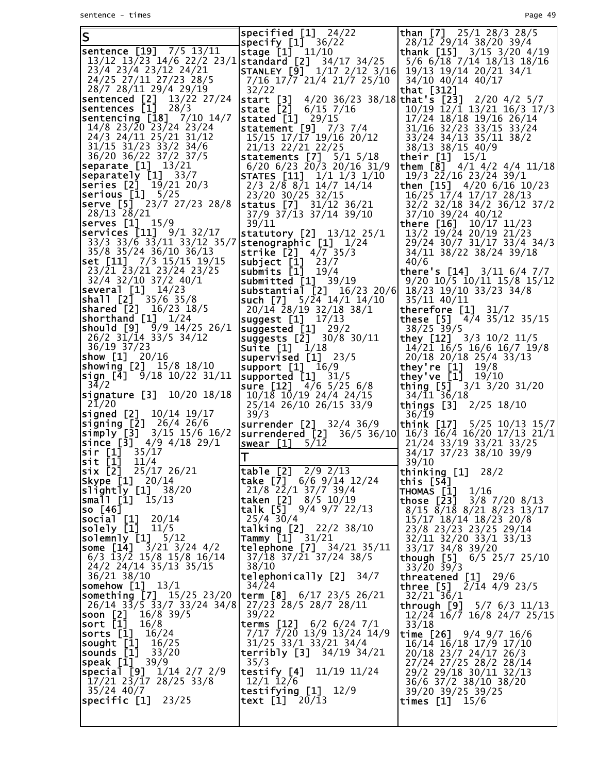| ΙS                                                                                                                                                                                     | specified $[1]$ 24/22                                                      | <b>than</b> [7] $25/1$ 28/3 28/5                                                      |
|----------------------------------------------------------------------------------------------------------------------------------------------------------------------------------------|----------------------------------------------------------------------------|---------------------------------------------------------------------------------------|
| sentence [19] 7/5 13/11                                                                                                                                                                | specify $[1]$ 36/22                                                        | 28/12 29/14 38/20 39/4                                                                |
| 13/12 13/23 14/6 22/2 23/1                                                                                                                                                             | stage [1] 11/10<br><b>standard</b> [2] 34/17 34/25                         | thank [15] $3/15$ $3/20$ $4/19$<br>5/6 6/18 7/14 18/13 18/16                          |
| 23/4 23/4 23/12 24/21                                                                                                                                                                  | $\textsf{STANLEY} \texttt{[9]} \texttt{1/17} \texttt{2/12} \texttt{3/16}$  | 19/13 19/14 20/21 34/1                                                                |
| 24/25 27/11 27/23 28/5                                                                                                                                                                 | 7/16 17/7 21/4 21/7 25/10                                                  | 34/10 40/14 40/17                                                                     |
| 28/7 28/11 29/4 29/19                                                                                                                                                                  | 32/22                                                                      | that [312]                                                                            |
| sentenced [2] 13/22 27/24                                                                                                                                                              | start [3]                                                                  | 4/20 36/23 38/18 that's [23] 2/20 4/2 5/7                                             |
| sentences [1]<br>28/3<br>sentencing [18] 7/10 14/7                                                                                                                                     | state [2]<br>$6/15$ 7/16<br>stated $\begin{bmatrix} 1 \end{bmatrix}$ 29/15 | $10/19$ $\overline{12}/\overline{1}$ $13/21$ $16/3$ $17/3$<br>17/24 18/18 19/16 26/14 |
| 14/8 23/20 23/24 23/24                                                                                                                                                                 | statement $[9]$ 7/3 7/4                                                    | $31/16$ $32/23$ $33/15$ $33/24$                                                       |
| 24/3 24/11 25/21 31/12                                                                                                                                                                 | 15/15 17/17 19/16 20/12                                                    | 33/24 34/13 35/11 38/2                                                                |
| 31/15 31/23 33/2 34/6                                                                                                                                                                  | 21/13 22/21 22/25                                                          | 38/13 38/15 40/9                                                                      |
| 36/20 36/22 37/2 37/5                                                                                                                                                                  | statements $[7]$ $5/1$ $5/18$                                              | their $[1]$ $15/1$                                                                    |
| <b>separate [1]</b> 13/21<br>separately [1] 33/7                                                                                                                                       | $6/20$ $6/23$ $20/3$ $20/16$ $31/9$<br><b>STATES</b> [11] 1/1 1/3 1/10     | them $[8]$ 4/1 4/2 4/4 11/18<br>19/3 22/16 23/24 39/1                                 |
| <b>series [2]</b> 19/21 20/3                                                                                                                                                           | 2/3 2/8 8/1 14/7 14/14                                                     | then [15] 4/20 6/16 10/23                                                             |
| $\textsf{serious [1]}$ 5/25                                                                                                                                                            | 23/20 30/25 32/15                                                          | 16/25 17/4 17/17 28/13                                                                |
| serve [5] <sup>-</sup> 23/7 27/23 28/8                                                                                                                                                 | <b>status</b> [7] 31/12 36/21                                              | 32/2 32/18 34/2 36/12 37/2                                                            |
| 28/13 28/21<br>serves $[1]$ $15/9$                                                                                                                                                     | 37/9 37/13 37/14 39/10                                                     | 37/10 39/24 40/12                                                                     |
| <b>Services [11]</b> 9/1 32/17                                                                                                                                                         | 39/11<br>statutory $[2]$ 13/12 25/1                                        | there $[16]$ $10/17$ $11/23$<br>$13/2$ $\overline{19}/\overline{2}4$ 20/19 21/23      |
| 33/3 33/6 33/11 33/12 35/7                                                                                                                                                             | stenographic [1] 1/24                                                      | 29/24 30/7 31/17 33/4 34/3                                                            |
| 35/8 35/24 36/10 36/13                                                                                                                                                                 | strike $[2]$ $4/7$ 35/3                                                    | 34/11 38/22 38/24 39/18                                                               |
| set [11] 7/3 15/15 19/15                                                                                                                                                               | subject $[1]$ 23/7                                                         | 40/6                                                                                  |
| $23/\overline{2}1$ $\overline{2}3/2\overline{1}$ $23/\overline{2}4$ $23/\overline{2}5$<br>32/4 32/10 37/2 40/1                                                                         | submits $[1]$ 19/4<br>submitted $[1]$ 39/19                                | there's $[14]$ $3/11$ $6/4$ $7/7$                                                     |
| <b>sev<u>eral</u> [1]</b> 14/23                                                                                                                                                        | substantial $[2]$ 16/23 20/6                                               | $9/20$ 10/5 10/11 15/8 15/12<br>18/23 19/10 33/23 34/8                                |
| <b> shall [2]</b> 35/6 35/8                                                                                                                                                            | such $[7]$ $5/24$ $14/1$ $14/10$                                           | 35/11 40/11                                                                           |
| <b>shared [2]</b> 16/23 18/5                                                                                                                                                           | 20/14 28/19 32/18 38/1                                                     | therefore [1]<br>31/7                                                                 |
| shorthand [1] 1/24                                                                                                                                                                     | suggest $[1]$ $17/13$                                                      | these $[5]$ 4/4 35/12 35/15                                                           |
| should $[9]$ $9/9$ 14/25 26/1<br>$26/2$ $31/14$ $33/5$ $34/12$                                                                                                                         | suggested $[1]$ 29/2<br>suggests $[2]$ 30/8 30/11                          | $38/25$ 39/5<br>they $[12]$ $3/3$ $10/2$ $11/5$                                       |
| 36/19 37/23                                                                                                                                                                            | <b>Suite</b> $[1]$ $1/18$                                                  | 14/21 16/5 16/6 16/7 19/8                                                             |
| <b>show [1]</b> 20/16                                                                                                                                                                  | supervised $[1]$ 23/5                                                      | 20/18 20/18 25/4 33/13                                                                |
| <b> showing [2]</b> 15/8 18/10                                                                                                                                                         | support $[1]$ 16/9                                                         | they're [1]<br>19/8                                                                   |
| <b>sign [4]</b> 9/18 10/22 31/11<br>34/2                                                                                                                                               | supported [1]<br>31/5<br>sure [12] 4/6 5/25 6/8                            | they've [1] 19/10<br>thing [5] 3/1 3/20 31/20                                         |
| <b>signature [3]</b> 10/20 18/18                                                                                                                                                       | 10/18 10/19 24/4 24/15                                                     | $34/\overline{1}1^{\overline{3}}\overline{6}/18$                                      |
| 21/20                                                                                                                                                                                  | 25/14 26/10 26/15 33/9                                                     | things [3]<br>2/25 18/10                                                              |
| <b>signed [2]</b> 10/14 19/17                                                                                                                                                          | 39/3<br><b>surrender</b> [2] 32/4 36/9                                     | 36/19<br>think [17] 5/25 10/13 15/7                                                   |
| $\begin{bmatrix} 2 \\ 3 \\ 4 \end{bmatrix}$ $\begin{bmatrix} 2 \\ 4 \end{bmatrix}$ $\begin{bmatrix} 26/4 & 26/6 \\ 26 & 12/6 \end{bmatrix}$<br>$\sinh 1y$ [3] $\frac{3}{15}$ 15/6 16/2 | surrendered [2] $36/5$ $36/10$ $16/3$ $16/4$ $16/20$ $17/13$ $21/1$        |                                                                                       |
| <b>since [3]</b> 4/9 4/18 29/1                                                                                                                                                         | swear [1]<br>5/12                                                          | 21/24 33/19 33/21 33/25                                                               |
| sir [1]<br>35/17                                                                                                                                                                       | lΤ                                                                         | 34/17 37/23 38/10 39/9                                                                |
| $\sqrt{51}$ $\left[1\right]$ $11/4$<br>six [2] 25/17 26/21                                                                                                                             | table $[2]$ $2/9$ $2/13$                                                   | 39/10<br>thinking [1]                                                                 |
| Skype [1] 20/14                                                                                                                                                                        | take [7] 6/6 9/14 12/24                                                    | 28/2<br>this [54]                                                                     |
| slightly [1] 38/20                                                                                                                                                                     | $21/8$ $22/1$ $37/7$ $39/4$                                                | THOMAS [1]<br>1/16                                                                    |
| small [1]<br>15/13                                                                                                                                                                     | taken [2]<br>8/5 10/19                                                     | those $[23]$<br>$3/8$ 7/20 8/13                                                       |
| so [46]<br> social [1]<br>20/14                                                                                                                                                        | talk [5] $9/4$ $9/7$ 22/13<br>$25/4$ 30/4                                  | $8/15$ $8/18$ $8/21$ $8/23$ $13/17$<br>15/17 18/14 18/23 20/8                         |
| so]ely_[1 <u>]</u><br>11/5                                                                                                                                                             | talking $[2]$ 22/2 38/10                                                   | 23/8 23/23 23/25 29/14                                                                |
| <b>solemnly [1]</b> 5/12                                                                                                                                                               | Taṃmy [1]<br>31/21                                                         | 32/11 32/20 33/1 33/13                                                                |
| <b>Some [14]</b> 3/21 3/24 4/2                                                                                                                                                         | [telphone [7] 34/21 35/11]                                                 | 33/17 34/8 39/20                                                                      |
| $6/3$ 13/2 15/8 15/8 16/14<br>24/2 24/14 35/13 35/15                                                                                                                                   | $37/18$ $37/21$ $37/24$ $38/5$<br>38/10                                    | <b>though [5]</b> $6/5$ 25/7 25/10<br>$33/20$ $39/3$                                  |
| 36/21 38/10                                                                                                                                                                            | telephonically [2]<br>34/7                                                 | threatened $[1]$ 29/6                                                                 |
| $ $ somehow [1] $13/1$                                                                                                                                                                 | 34/24                                                                      | <b>three</b> $[5]$ $2/14$ $4/9$ 23/5                                                  |
| <b>Something [7]</b> 15/25 23/20                                                                                                                                                       | <b>term [8]</b> $6/17$ 23/5 26/21                                          | $32/21$ 36/1                                                                          |
| $26/14$ $3\overline{3}/5$ $\overline{3}3/7$ $33/24$ $34/8$<br><b>soon [2]</b> 16/8 39/5                                                                                                | 27/23 28/5 28/7 28/11<br>39/22                                             | through $[9]$ 5/7 6/3 11/13<br>12/24 16/7 16/8 24/7 25/15                             |
| sort [1]<br>16/8                                                                                                                                                                       | terms $[12]$ 6/2 6/24 7/1                                                  | 33/18                                                                                 |
| sorts [1]<br>16/24                                                                                                                                                                     | 7/17 7/20 13/9 13/24 14/9                                                  | <b>time [26]</b> 9/4 9/7 16/6                                                         |
| sought [1]<br>16/25<br>33/20                                                                                                                                                           | 31/25 33/1 33/21 34/4<br><b>terribly</b> $[3]$ $34/19$ $34/21$             | 16/14 16/18 17/9 17/10                                                                |
| sounds [1]<br><b> speak [1]</b> 39/9                                                                                                                                                   | 35/3                                                                       | 20/18 23/7 24/17 26/3<br>27/24 27/25 28/2 28/14                                       |
| special [9] 1/14 2/7 2/9                                                                                                                                                               | testify [4]<br>11/19 11/24                                                 | 29/2 29/18 30/11 32/13                                                                |
| $17/21$ 23/17 28/25 33/8                                                                                                                                                               | $12/1$ $12/6$                                                              | 36/6 37/2 38/10 38/20                                                                 |
| 35/24 40/7<br> specific [1]<br>23/25                                                                                                                                                   | testifying $[1]$ $12/9$<br>text $[1]$ 20/13                                | 39/20 39/25 39/25<br>times [1]<br>15/6                                                |
|                                                                                                                                                                                        |                                                                            |                                                                                       |
|                                                                                                                                                                                        |                                                                            |                                                                                       |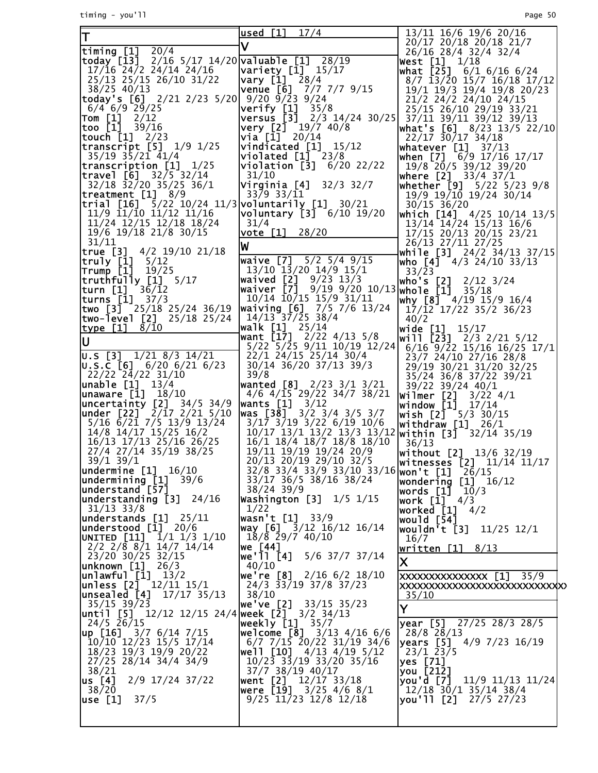timing - you'll Page 50

| T                                                                                | used [1] 17/4                                                                                           | 13/11 16/6 19/6 20/16                                               |
|----------------------------------------------------------------------------------|---------------------------------------------------------------------------------------------------------|---------------------------------------------------------------------|
| timing $[1]$ $\overline{20/4}$                                                   |                                                                                                         | 20/17 20/18 20/18 21/7                                              |
| today [13] 2/16 5/17 14/20 valuable [1] 28/19                                    |                                                                                                         | 26/16 28/4 32/4 32/4<br>West [1]<br>1/18                            |
| $17/16$ 24/2 24/14 24/16                                                         | $\sqrt{2}$                                                                                              | what [25] 6/1 6/16 6/24                                             |
| 25/13 25/15 26/10 31/22                                                          | vary [1] 28/4                                                                                           | 8/7 13/20 15/7 16/18 17/12                                          |
| 38/25 40/13                                                                      | $venue$ [6]<br>7/7 7/7 9/15                                                                             | 19/1 19/3 19/4 19/8 20/23                                           |
| today's [6] 2/21 2/23 5/20  9/20 9/23 9/24                                       |                                                                                                         | 21/2 24/2 24/10 24/15                                               |
| $6/4$ 6/9 29/25<br> Tom [1]<br>2/12                                              | $\begin{bmatrix} \text{Verify} & [1] & 35/8 \\ \text{versus} & [3] & 2/3 & 14/24 & 30/25 \end{bmatrix}$ | 25/15 26/10 29/19 33/21<br>37/11 39/11 39/12 39/13                  |
| too [1]<br>39/16                                                                 | very [2] 19/7 40/8                                                                                      |                                                                     |
| <b>touch [1]</b> 2/23                                                            | via [1] 20/14                                                                                           | $22/17$ $30/17$ $34/18$                                             |
| <b>transcript [5]</b> 1/9 1/25                                                   | vindicated [1] 15/12                                                                                    | <b>whatever [1]</b> 37/13                                           |
| 35/19 35/21 41/4                                                                 | $\boldsymbol{\mathsf{violated}}$ $\boldsymbol{\mathsf{[1]}}$ 23/8                                       | when [7] 6/9 17/16 17/17                                            |
| $\textsf{transcription}$ [1] $1/25$<br>$\textsf{travel} \; [6] \; 32/5 \; 32/14$ | $\bm{\triangleright}$ iolation [3] $\bm{6}/20$ 22/22<br>31/10                                           | 19/8 20/5 39/12 39/20                                               |
| 32/18 32/20 35/25 36/1                                                           | <b>Virginia [4]</b> 32/3 32/7                                                                           | <b> where [2]</b> 33/4 37/1<br><b>whether [9]</b> 5/22 5/23 9/8     |
| $\textsf{treatment} \quad \textsf{[1]} \quad \textsf{8/9}$                       | 33/9 33/11                                                                                              | 19/9 19/10 19/24 30/14                                              |
| trial [16] 5/22 10/24 11/3 voluntarily [1] 30/21                                 |                                                                                                         | $30/15$ $36/20$                                                     |
| 11/9 11/10 11/12 11/16                                                           | voluntary [3] 6/10 19/20                                                                                | which [14] 4/25 10/14 13/5                                          |
| 11/24 12/15 12/18 18/24<br>19/6 19/18 21/8 30/15                                 | 31/4                                                                                                    | $13/14$ $14/24$ $15/13$ $16/6$                                      |
| 31/11                                                                            | vote [1] 28/20                                                                                          | 17/15 20/13 20/15 23/21                                             |
| true [3] 4/2 19/10 21/18                                                         | W                                                                                                       | 26/13 27/11 27/25<br>while $[3]$ $24/2$ $34/13$ $37/15$             |
| truly [1] 5/12                                                                   | waive [7] 5/2 5/4 9/15                                                                                  | who [4] 4/3 24/10 33/13                                             |
| <b>Trump [1]</b> 19/25                                                           | $13/10$ $13/20$ $14/9$ $15/1$                                                                           | 33/23                                                               |
| truthfū]ly [1] 5/17                                                              | waived $[2]$ $9/23$ $13/3$                                                                              | who's [2]<br>$2/12$ 3/24                                            |
| 36/12<br><b>turns [1]</b> 37/3                                                   | waiver [7] 9/19 9/20 10/13 whole [1] 35/18<br>10/14 10/15 15/9 31/11                                    | why [8] 4/19 15/9 16/4                                              |
| two [3] $\frac{1}{2}$ 25/18 25/24 36/19                                          | waiving $[6]$ 7/5 7/6 13/24                                                                             | $17/\overline{12}$ 17/22 35/2 36/23                                 |
| <b> two-level [2]</b> 25/18 25/24                                                | 14/13 37/25 38/4                                                                                        | 40/2                                                                |
| 8/10<br><u>type [1]</u>                                                          | <b>walk [1]</b> 25/14                                                                                   | wide [1]<br>15/17                                                   |
| lu                                                                               | want [17] 2/22 4/13 5/8                                                                                 | <b>will [23]</b> 2/3 2/21 5/12                                      |
| $ 0.5 [3]$ $1/21 8/3 14/21$                                                      | 5/22 5/25 9/11 10/19 12/24<br>22/1 24/15 25/14 30/4                                                     | $6/16$ $9/22$ $15/16$ $16/25$ $17/1$                                |
| U.S.C [6] 6/20 6/21 6/23                                                         | 30/14 36/20 37/13 39/3                                                                                  | 23/7 24/10 27/16 28/8<br>29/19 30/21 31/20 32/25                    |
| $22/22$ $24/22$ $31/10$                                                          | 39/8                                                                                                    | 35/24 36/8 37/22 39/21                                              |
| <b>unable [1]</b> 13/4                                                           | wanted [8] 2/23 3/1 3/21                                                                                | 39/22 39/24 40/1                                                    |
| <b>unaware [1]</b> 18/10                                                         | $4/6$ $4/\overline{15}$ 29/22 34/7 38/21                                                                | Wilmer [2]<br>$3/22$ 4/1                                            |
| uncertainty [2] 34/5 34/9<br>$under [22]$ $2/17$ $2/21$ $5/10$                   | wants $[1] 3/12$<br>was [38] $3/2$ 3/4 3/5 3/7                                                          | <b>window [1]</b> 17/14                                             |
| 5/16 6/21 7/5 13/9 13/24                                                         | $3/17$ $3/19$ $3/22$ $6/19$ $10/6$                                                                      | <b>wish [2]</b> $-5/3$ 30/15<br><b> withdraw [1]</b> 26/1           |
| 14/8 14/17 15/25 16/2                                                            | 10/17 13/1 13/2 13/3 13/12 within [3] 32/14 35/19                                                       |                                                                     |
| 16/13 17/13 25/16 26/25                                                          | 16/1 18/4 18/7 18/8 18/10                                                                               | 36/13                                                               |
| 27/4 27/14 35/19 38/25                                                           | 19/11 19/19 19/24 20/9                                                                                  | without [2] 13/6 32/19<br> witnesses [2] 11/14 11/17                |
| 39/1 39/1<br>undermine [1] 16/10                                                 | 20/13 20/19 29/10 32/5<br>$32/8$ $33/4$ $33/9$ $33/10$ $33/16$ won't [1]                                |                                                                     |
| undermining [1]<br>39/6                                                          | 33/17 36/5 38/16 38/24                                                                                  | 26/15<br>wondering<br>$[1]$<br>16/12                                |
| understand [57]                                                                  | 38/24 39/9                                                                                              | words [1]<br>10/3                                                   |
| understanding [3] 24/16<br>  31/13 33/8                                          | Washington [3] $1/5$ $1/15$                                                                             | <b>work [1]</b> 4/3                                                 |
|                                                                                  | 1/22                                                                                                    | worked [1]<br>4/2                                                   |
| understands [1]<br>25/11<br> understood [1] 20/6                                 | wasn't [1]<br>33/9<br>way [6] 3/12 16/12 16/14                                                          | would [54]<br> wouldn't [3]<br>$11/25$ $12/1$                       |
| UNITED [11] 1/1 1/3 1/10                                                         | $18/\bar{8}$ 29/7 40/10                                                                                 | 16/7                                                                |
| $2/2$ $2/8$ $8/1$ $14/7$ $14/14$                                                 | we [44]                                                                                                 | written $[1]$ 8/13                                                  |
| 23/20 30/25 32/15                                                                | we'll [4]<br>5/6 37/7 37/14                                                                             | $\mathsf{X}$                                                        |
| unknown [1]<br>26/3                                                              | 40/10                                                                                                   |                                                                     |
| unlawful [1]<br>13/2<br>unless [2] <sup>-</sup> 12/11 15/1                       | we're [8]<br>$2/16$ 6/2 18/10<br>24/3 33/19 37/8 37/23                                                  | XXXXXXXXXXXXXXX [1]<br>35/9<br><b>XXXXXXXXXXXXXXXXXXXXXXXXXXXXX</b> |
| unsealed [4]<br>17/17 35/13                                                      | 38/10                                                                                                   | 35/10                                                               |
| 35/15 39/23                                                                      | we've [2]<br>33/15 35/23                                                                                | Y                                                                   |
| until [5] 12/12 12/15 24/4 week [2̄] 3/2 34/13                                   |                                                                                                         |                                                                     |
| 24/5 26/15<br>$\mu p$ [16] 3/7 6/14 7/15                                         | weekly [1]<br>35/7                                                                                      | <b>year</b> [5] $27/25$ 28/3 28/5<br>28/8 28/13                     |
| 10/10 12/23 15/5 17/14                                                           | welcome $[8]$ 3/13 4/16 6/6<br>$6/7$ 7/15 20/22 31/19 34/6                                              | <b>years [5]</b> 4/9 7/23 16/19                                     |
| 18/23 19/3 19/9 20/22                                                            | <b>well [10]</b> 4/13 4/19 5/12                                                                         | $23/1$ 23/5                                                         |
| 27/25 28/14 34/4 34/9                                                            | 10/23 33/19 33/20 35/16                                                                                 | yes [71]                                                            |
| 38/21                                                                            | 37/7 38/19 40/17                                                                                        | you [212]                                                           |
| us [4]<br>2/9 17/24 37/22                                                        | <b>went [2]</b> 12/17 33/18                                                                             | you'd [7]<br>11/9 11/13 11/24                                       |
| 38/20<br>use [1]<br>37/5                                                         | <b>were [19]</b> 3/25 4/6 8/1<br>$9/25$ 11/23 12/8 12/18                                                | 12/18 30/1 35/14 38/4<br>you'll [2] 27/5 27/23                      |
|                                                                                  |                                                                                                         |                                                                     |
|                                                                                  |                                                                                                         |                                                                     |